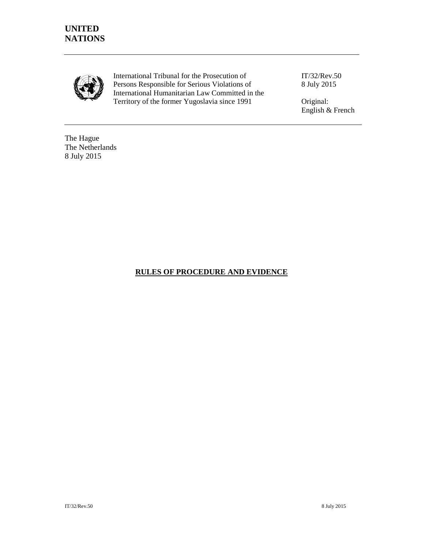

International Tribunal for the Prosecution of Persons Responsible for Serious Violations of International Humanitarian Law Committed in the Territory of the former Yugoslavia since 1991

IT/32/Rev.50 8 July 2015

Original: English & French

The Hague The Netherlands 8 July 2015

# **RULES OF PROCEDURE AND EVIDENCE**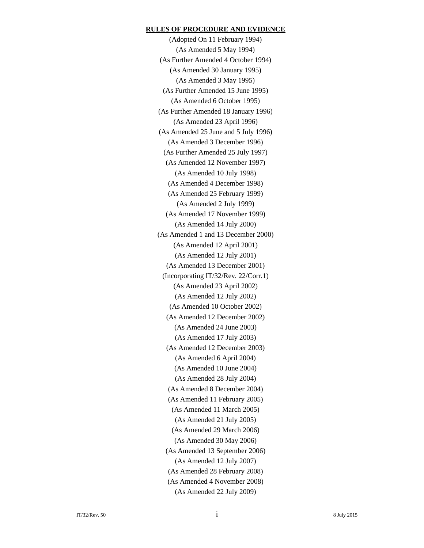#### **RULES OF PROCEDURE AND EVIDENCE**

(Adopted On 11 February 1994) (As Amended 5 May 1994) (As Further Amended 4 October 1994) (As Amended 30 January 1995) (As Amended 3 May 1995) (As Further Amended 15 June 1995) (As Amended 6 October 1995) (As Further Amended 18 January 1996) (As Amended 23 April 1996) (As Amended 25 June and 5 July 1996) (As Amended 3 December 1996) (As Further Amended 25 July 1997) (As Amended 12 November 1997) (As Amended 10 July 1998) (As Amended 4 December 1998) (As Amended 25 February 1999) (As Amended 2 July 1999) (As Amended 17 November 1999) (As Amended 14 July 2000) (As Amended 1 and 13 December 2000) (As Amended 12 April 2001) (As Amended 12 July 2001) (As Amended 13 December 2001) (Incorporating IT/32/Rev. 22/Corr.1) (As Amended 23 April 2002) (As Amended 12 July 2002) (As Amended 10 October 2002) (As Amended 12 December 2002) (As Amended 24 June 2003) (As Amended 17 July 2003) (As Amended 12 December 2003) (As Amended 6 April 2004) (As Amended 10 June 2004) (As Amended 28 July 2004) (As Amended 8 December 2004) (As Amended 11 February 2005) (As Amended 11 March 2005) (As Amended 21 July 2005) (As Amended 29 March 2006) (As Amended 30 May 2006) (As Amended 13 September 2006) (As Amended 12 July 2007) (As Amended 28 February 2008) (As Amended 4 November 2008) (As Amended 22 July 2009)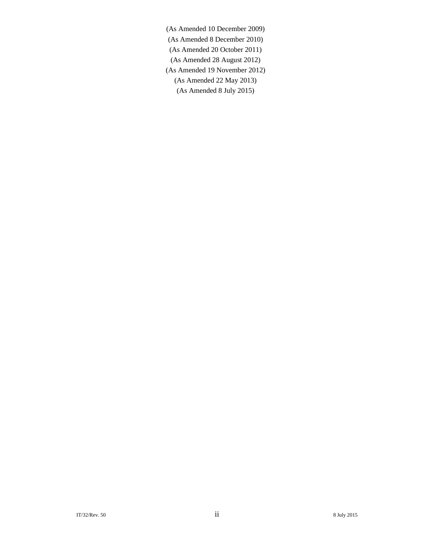(As Amended 10 December 2009) (As Amended 8 December 2010) (As Amended 20 October 2011) (As Amended 28 August 2012) (As Amended 19 November 2012) (As Amended 22 May 2013) (As Amended 8 July 2015)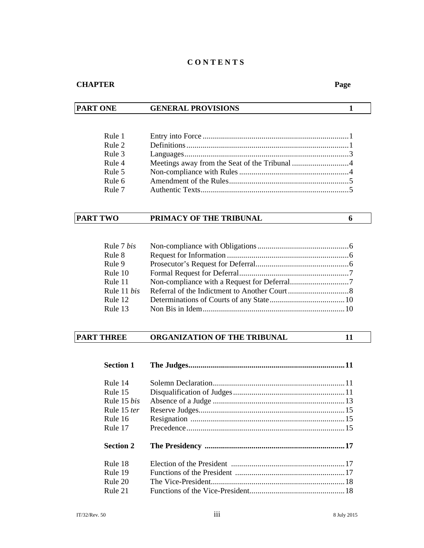## **C O N T E N T S**

**PART ONE GENERAL PROVISIONS** 1

### **CHAPTER** Page

 Rule 4 Meetings away from the Seat of the Tribunal ............................ 4 Rule 5 Non-compliance with Rules ...................................................... 4 Rule 6 Amendment of the Rules ........................................................... 5 Rule 7 Authentic Texts ......................................................................... 5

 Rule 1 Entry into Force ........................................................................ 1 Rule 2 Definitions ................................................................................ 1 Rule 3 Languages ................................................................................. 3

#### **PART TWO PRIMACY OF THE TRIBUNAL 6**

 Rule 7 *bis* Non-compliance with Obligations ............................................. 6 Rule 8 Request for Information ............................................................ 6 Rule 9 Prosecutor's Request for Deferral .............................................. 6 Rule 10 Formal Request for Deferral ...................................................... 7 Rule 11 Non-compliance with a Request for Deferral ............................. 7 Rule 11 *bis* Referral of the Indictment to Another Court .............................. 8 Rule 12 Determinations of Courts of any State ..................................... 10 Rule 13 Non Bis in Idem ...................................................................... 10

## **PART THREE ORGANIZATION OF THE TRIBUNAL 11**

| <b>Section 1</b>   |  |
|--------------------|--|
| Rule 14            |  |
| Rule 15            |  |
| Rule 15 <i>bis</i> |  |
| Rule 15 ter        |  |
| Rule 16            |  |
| Rule 17            |  |
| <b>Section 2</b>   |  |
| Rule 18            |  |
| Rule 19            |  |
| Rule 20            |  |
| Rule 21            |  |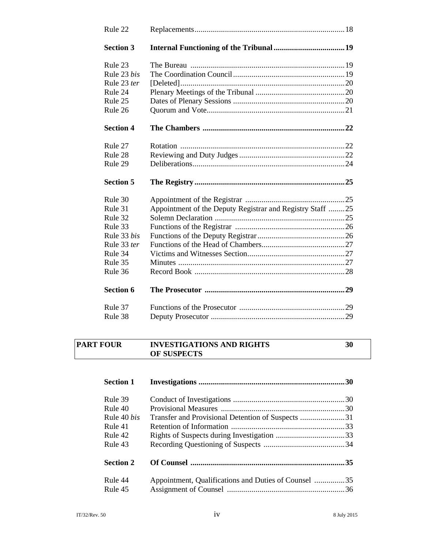| Rule 22          |                                                           |  |
|------------------|-----------------------------------------------------------|--|
| <b>Section 3</b> |                                                           |  |
| Rule 23          |                                                           |  |
| Rule 23 bis      |                                                           |  |
| Rule 23 ter      |                                                           |  |
| Rule 24          |                                                           |  |
| Rule 25          |                                                           |  |
| Rule 26          |                                                           |  |
| <b>Section 4</b> |                                                           |  |
| Rule 27          |                                                           |  |
| Rule 28          |                                                           |  |
| Rule 29          |                                                           |  |
|                  |                                                           |  |
| <b>Section 5</b> |                                                           |  |
| Rule 30          |                                                           |  |
| Rule 31          | Appointment of the Deputy Registrar and Registry Staff 25 |  |
| Rule 32          |                                                           |  |
| Rule 33          |                                                           |  |
| Rule 33 bis      |                                                           |  |
| Rule 33 ter      |                                                           |  |
| Rule 34          |                                                           |  |
| Rule 35          |                                                           |  |
| Rule 36          |                                                           |  |
| <b>Section 6</b> |                                                           |  |
| Rule 37          |                                                           |  |

# **PART FOUR INVESTIGATIONS AND RIGHTS** 30  **OF SUSPECTS**

| <b>Section 1</b>   |                                                      |  |
|--------------------|------------------------------------------------------|--|
| Rule 39            |                                                      |  |
| Rule 40            |                                                      |  |
| Rule 40 bis        | Transfer and Provisional Detention of Suspects 31    |  |
| Rule 41            |                                                      |  |
| Rule 42            |                                                      |  |
| Rule 43            |                                                      |  |
| <b>Section 2</b>   |                                                      |  |
| Rule 44<br>Rule 45 | Appointment, Qualifications and Duties of Counsel 35 |  |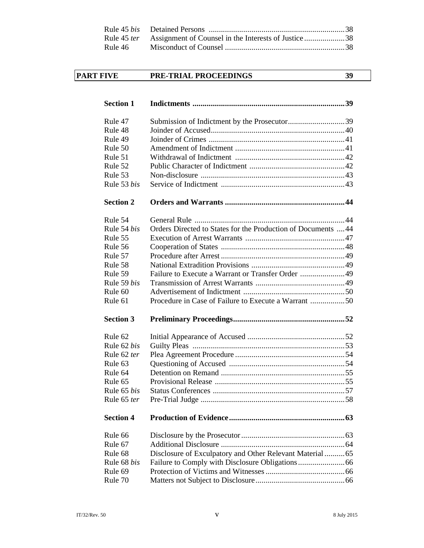|         | Rule 45 ter Assignment of Counsel in the Interests of Justice38 |  |
|---------|-----------------------------------------------------------------|--|
| Rule 46 |                                                                 |  |

# **PART FIVE PRE-TRIAL PROCEEDINGS** 39

| <b>Section 1</b> |                                                              |  |
|------------------|--------------------------------------------------------------|--|
| Rule 47          | Submission of Indictment by the Prosecutor39                 |  |
| Rule 48          |                                                              |  |
| Rule 49          |                                                              |  |
| Rule 50          |                                                              |  |
| Rule 51          |                                                              |  |
| Rule 52          |                                                              |  |
| Rule 53          |                                                              |  |
| Rule 53 bis      |                                                              |  |
| <b>Section 2</b> |                                                              |  |
| Rule 54          |                                                              |  |
| Rule 54 bis      | Orders Directed to States for the Production of Documents 44 |  |
| Rule 55          |                                                              |  |
| Rule 56          |                                                              |  |
| Rule 57          |                                                              |  |
| Rule 58          |                                                              |  |
| Rule 59          |                                                              |  |
| Rule 59 bis      |                                                              |  |
| Rule 60          |                                                              |  |
| Rule 61          |                                                              |  |
| <b>Section 3</b> |                                                              |  |
| Rule 62          |                                                              |  |
| Rule 62 bis      |                                                              |  |
| Rule 62 ter      |                                                              |  |
| Rule 63          |                                                              |  |
| Rule 64          |                                                              |  |
| Rule 65          |                                                              |  |
| Rule 65 bis      |                                                              |  |
| Rule 65 ter      |                                                              |  |
| <b>Section 4</b> |                                                              |  |
| Rule 66          |                                                              |  |
| Rule 67          |                                                              |  |
| Rule 68          | Disclosure of Exculpatory and Other Relevant Material 65     |  |
| Rule 68 bis      |                                                              |  |
| Rule 69          |                                                              |  |
| Rule 70          |                                                              |  |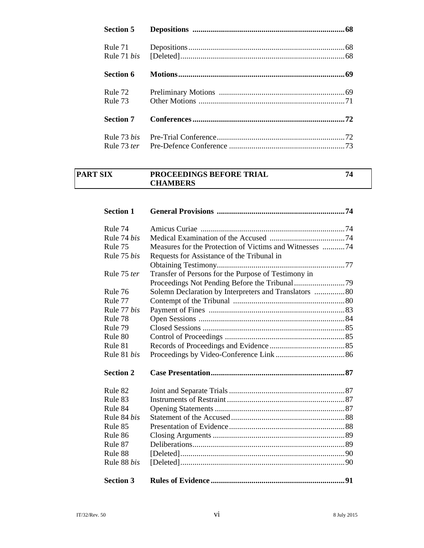| <b>Section 5</b>              |     |
|-------------------------------|-----|
| Rule 71<br>Rule 71 <i>bis</i> |     |
| <b>Section 6</b>              |     |
| Rule 72<br>Rule 73            |     |
| <b>Section 7</b>              |     |
|                               | .73 |

## **PART SIX PROCEEDINGS BEFORE TRIAL 74 CHAMBERS**

| <b>Section 1</b> |                                                         |  |
|------------------|---------------------------------------------------------|--|
| Rule 74          |                                                         |  |
| Rule 74 bis      |                                                         |  |
| Rule 75          | Measures for the Protection of Victims and Witnesses 74 |  |
| Rule 75 bis      | Requests for Assistance of the Tribunal in              |  |
|                  |                                                         |  |
| Rule 75 ter      | Transfer of Persons for the Purpose of Testimony in     |  |
|                  |                                                         |  |
| Rule 76          | Solemn Declaration by Interpreters and Translators  80  |  |
| Rule 77          |                                                         |  |
| Rule 77 bis      |                                                         |  |
| Rule 78          |                                                         |  |
| Rule 79          |                                                         |  |
| Rule 80          |                                                         |  |
| Rule 81          |                                                         |  |
| Rule 81 bis      |                                                         |  |
| <b>Section 2</b> |                                                         |  |
| Rule 82          |                                                         |  |
| Rule 83          |                                                         |  |
| Rule 84          |                                                         |  |
| Rule 84 bis      |                                                         |  |
| Rule 85          |                                                         |  |
| Rule 86          |                                                         |  |
| Rule 87          |                                                         |  |
| Rule 88          |                                                         |  |
| Rule 88 bis      |                                                         |  |
| <b>Section 3</b> |                                                         |  |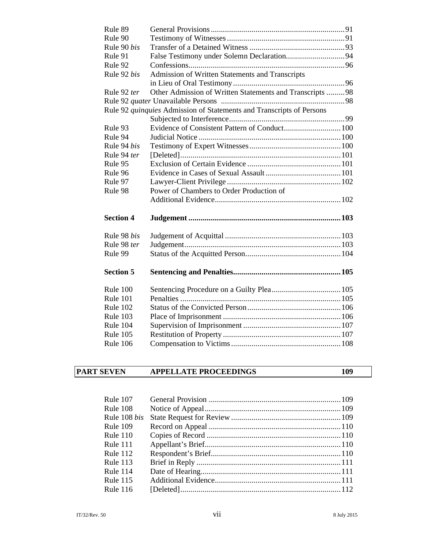| Rule 89<br>Rule 90 |                                                                      |  |
|--------------------|----------------------------------------------------------------------|--|
| Rule 90 bis        |                                                                      |  |
| Rule 91            |                                                                      |  |
| Rule 92            |                                                                      |  |
| Rule 92 bis        | Admission of Written Statements and Transcripts                      |  |
|                    |                                                                      |  |
| Rule 92 ter        | Other Admission of Written Statements and Transcripts  98            |  |
|                    |                                                                      |  |
|                    | Rule 92 quinquies Admission of Statements and Transcripts of Persons |  |
|                    |                                                                      |  |
| Rule 93            |                                                                      |  |
| Rule 94            |                                                                      |  |
| Rule 94 bis        |                                                                      |  |
| Rule 94 ter        |                                                                      |  |
| Rule 95            |                                                                      |  |
| Rule 96            |                                                                      |  |
| Rule 97            |                                                                      |  |
| Rule 98            | Power of Chambers to Order Production of                             |  |
|                    |                                                                      |  |
|                    |                                                                      |  |
| <b>Section 4</b>   |                                                                      |  |
| Rule 98 bis        |                                                                      |  |
| Rule 98 ter        |                                                                      |  |
| Rule 99            |                                                                      |  |
| <b>Section 5</b>   |                                                                      |  |
| Rule 100           |                                                                      |  |
| Rule 101           |                                                                      |  |
| Rule 102           |                                                                      |  |
| Rule 103           |                                                                      |  |
| Rule 104           |                                                                      |  |
| Rule 105           |                                                                      |  |
| Rule 106           |                                                                      |  |
|                    |                                                                      |  |

# **PART SEVEN APPELLATE PROCEEDINGS** 109

| Rule 107        |  |
|-----------------|--|
| Rule 108        |  |
| Rule 108 bis    |  |
| Rule 109        |  |
| Rule $110$      |  |
| <b>Rule 111</b> |  |
| <b>Rule 112</b> |  |
| Rule $113$      |  |
| Rule $114$      |  |
| <b>Rule 115</b> |  |
| <b>Rule 116</b> |  |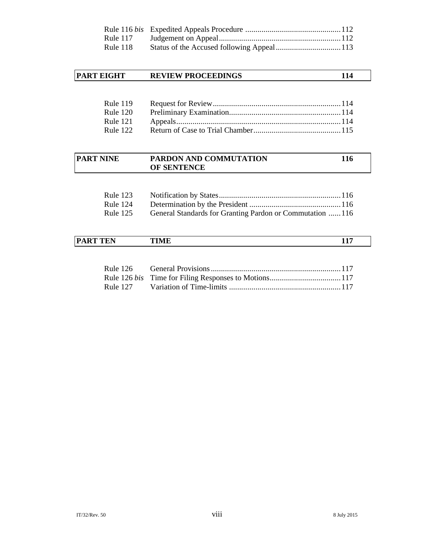| <b>Rule 117</b> |  |
|-----------------|--|
| Rule 118        |  |

## **PART EIGHT REVIEW PROCEEDINGS** 114

## **PART NINE PARDON AND COMMUTATION 116 OF SENTENCE**

| Rule $123$      |                                                          |  |
|-----------------|----------------------------------------------------------|--|
| <b>Rule 124</b> |                                                          |  |
| Rule 125        | General Standards for Granting Pardon or Commutation 116 |  |

| .<br>--<br>_ | . |
|--------------|---|
|              |   |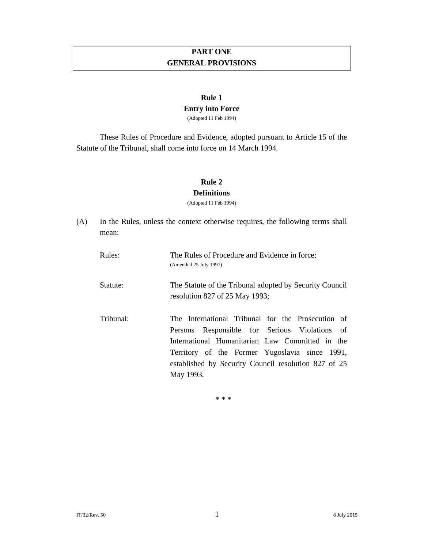## **PART ONE GENERAL PROVISIONS**

## **Rule 1 Entry into Force**  (Adopted 11 Feb 1994)

These Rules of Procedure and Evidence, adopted pursuant to Article 15 of the Statute of the Tribunal, shall come into force on 14 March 1994.

# **Rule 2**

# **Definitions**

## (Adopted 11 Feb 1994)

(A) In the Rules, unless the context otherwise requires, the following terms shall mean:

| Rules:    | The Rules of Procedure and Evidence in force;<br>(Amended 25 July 1997)                                                                                                                                                                                                      |
|-----------|------------------------------------------------------------------------------------------------------------------------------------------------------------------------------------------------------------------------------------------------------------------------------|
| Statute:  | The Statute of the Tribunal adopted by Security Council<br>resolution 827 of 25 May 1993;                                                                                                                                                                                    |
| Tribunal: | The International Tribunal for the Prosecution of<br>Persons Responsible for Serious Violations of<br>International Humanitarian Law Committed in the<br>Territory of the Former Yugoslavia since 1991,<br>established by Security Council resolution 827 of 25<br>May 1993. |

\* \* \*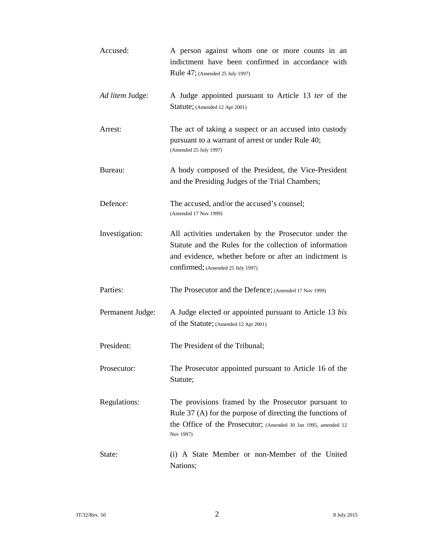| Accused:         | A person against whom one or more counts in an<br>indictment have been confirmed in accordance with<br>Rule 47; (Amended 25 July 1997)                                                                          |
|------------------|-----------------------------------------------------------------------------------------------------------------------------------------------------------------------------------------------------------------|
| Ad litem Judge:  | A Judge appointed pursuant to Article 13 ter of the<br>Statute; (Amended 12 Apr 2001)                                                                                                                           |
| Arrest:          | The act of taking a suspect or an accused into custody<br>pursuant to a warrant of arrest or under Rule 40;<br>(Amended 25 July 1997)                                                                           |
| Bureau:          | A body composed of the President, the Vice-President<br>and the Presiding Judges of the Trial Chambers;                                                                                                         |
| Defence:         | The accused, and/or the accused's counsel;<br>(Amended 17 Nov 1999)                                                                                                                                             |
| Investigation:   | All activities undertaken by the Prosecutor under the<br>Statute and the Rules for the collection of information<br>and evidence, whether before or after an indictment is<br>confirmed; (Amended 25 July 1997) |
| Parties:         | The Prosecutor and the Defence; (Amended 17 Nov 1999)                                                                                                                                                           |
| Permanent Judge: | A Judge elected or appointed pursuant to Article 13 bis<br>of the Statute; (Amended 12 Apr 2001)                                                                                                                |
| President:       | The President of the Tribunal;                                                                                                                                                                                  |
| Prosecutor:      | The Prosecutor appointed pursuant to Article 16 of the<br>Statute;                                                                                                                                              |
| Regulations:     | The provisions framed by the Prosecutor pursuant to<br>Rule $37(A)$ for the purpose of directing the functions of<br>the Office of the Prosecutor; (Amended 30 Jan 1995, amended 12<br>Nov 1997)                |
| State:           | (i) A State Member or non-Member of the United<br>Nations;                                                                                                                                                      |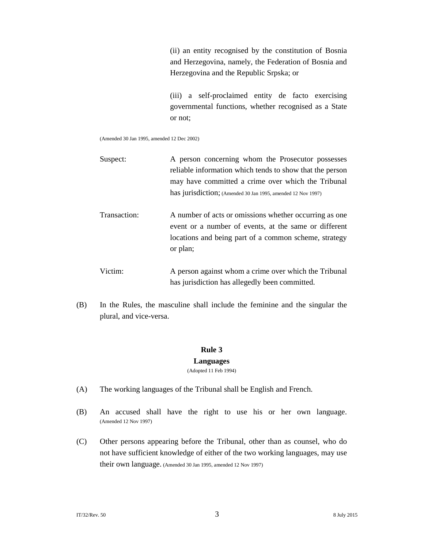(ii) an entity recognised by the constitution of Bosnia and Herzegovina, namely, the Federation of Bosnia and Herzegovina and the Republic Srpska; or

 (iii) a self-proclaimed entity de facto exercising governmental functions, whether recognised as a State or not;

(Amended 30 Jan 1995, amended 12 Dec 2002)

| Suspect:     | A person concerning whom the Prosecutor possesses<br>reliable information which tends to show that the person<br>may have committed a crime over which the Tribunal<br>has jurisdiction; (Amended 30 Jan 1995, amended 12 Nov 1997) |
|--------------|-------------------------------------------------------------------------------------------------------------------------------------------------------------------------------------------------------------------------------------|
| Transaction: | A number of acts or omissions whether occurring as one<br>event or a number of events, at the same or different<br>locations and being part of a common scheme, strategy<br>or plan;                                                |
| Victim:      | A person against whom a crime over which the Tribunal<br>has jurisdiction has allegedly been committed.                                                                                                                             |

(B) In the Rules, the masculine shall include the feminine and the singular the plural, and vice-versa.

### **Rule 3**

#### **Languages**

(Adopted 11 Feb 1994)

- (A) The working languages of the Tribunal shall be English and French.
- (B) An accused shall have the right to use his or her own language. (Amended 12 Nov 1997)
- (C) Other persons appearing before the Tribunal, other than as counsel, who do not have sufficient knowledge of either of the two working languages, may use their own language. (Amended 30 Jan 1995, amended 12 Nov 1997)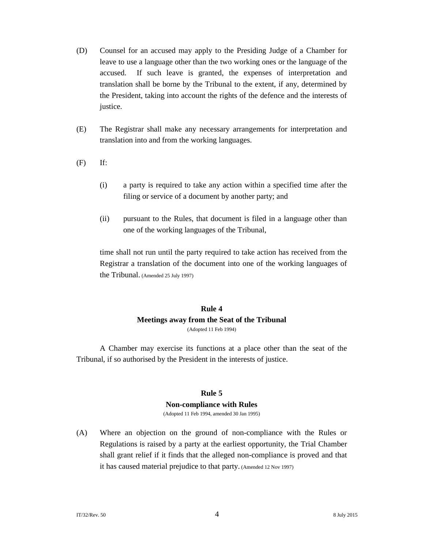- (D) Counsel for an accused may apply to the Presiding Judge of a Chamber for leave to use a language other than the two working ones or the language of the accused. If such leave is granted, the expenses of interpretation and translation shall be borne by the Tribunal to the extent, if any, determined by the President, taking into account the rights of the defence and the interests of justice.
- (E) The Registrar shall make any necessary arrangements for interpretation and translation into and from the working languages.
- $(F)$  If:
	- (i) a party is required to take any action within a specified time after the filing or service of a document by another party; and
	- (ii) pursuant to the Rules, that document is filed in a language other than one of the working languages of the Tribunal,

time shall not run until the party required to take action has received from the Registrar a translation of the document into one of the working languages of the Tribunal. (Amended 25 July 1997)

## **Rule 4 Meetings away from the Seat of the Tribunal**  (Adopted 11 Feb 1994)

 A Chamber may exercise its functions at a place other than the seat of the Tribunal, if so authorised by the President in the interests of justice.

## **Rule 5 Non-compliance with Rules**

(Adopted 11 Feb 1994, amended 30 Jan 1995)

(A) Where an objection on the ground of non-compliance with the Rules or Regulations is raised by a party at the earliest opportunity, the Trial Chamber shall grant relief if it finds that the alleged non-compliance is proved and that it has caused material prejudice to that party. (Amended 12 Nov 1997)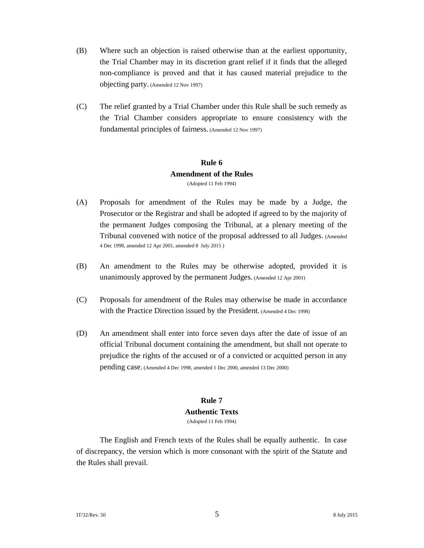- (B) Where such an objection is raised otherwise than at the earliest opportunity, the Trial Chamber may in its discretion grant relief if it finds that the alleged non-compliance is proved and that it has caused material prejudice to the objecting party. (Amended 12 Nov 1997)
- (C) The relief granted by a Trial Chamber under this Rule shall be such remedy as the Trial Chamber considers appropriate to ensure consistency with the fundamental principles of fairness. (Amended 12 Nov 1997)

## **Rule 6 Amendment of the Rules**  (Adopted 11 Feb 1994)

- (A) Proposals for amendment of the Rules may be made by a Judge, the Prosecutor or the Registrar and shall be adopted if agreed to by the majority of the permanent Judges composing the Tribunal, at a plenary meeting of the Tribunal convened with notice of the proposal addressed to all Judges. (Amended 4 Dec 1998, amended 12 Apr 2001, amended 8 July 2015 )
- (B) An amendment to the Rules may be otherwise adopted, provided it is unanimously approved by the permanent Judges. (Amended 12 Apr 2001)
- (C) Proposals for amendment of the Rules may otherwise be made in accordance with the Practice Direction issued by the President. (Amended 4 Dec 1998)
- (D) An amendment shall enter into force seven days after the date of issue of an official Tribunal document containing the amendment, but shall not operate to prejudice the rights of the accused or of a convicted or acquitted person in any pending case. (Amended 4 Dec 1998, amended 1 Dec 2000, amended 13 Dec 2000)

## **Rule 7**

### **Authentic Texts**

### (Adopted 11 Feb 1994)

 The English and French texts of the Rules shall be equally authentic. In case of discrepancy, the version which is more consonant with the spirit of the Statute and the Rules shall prevail.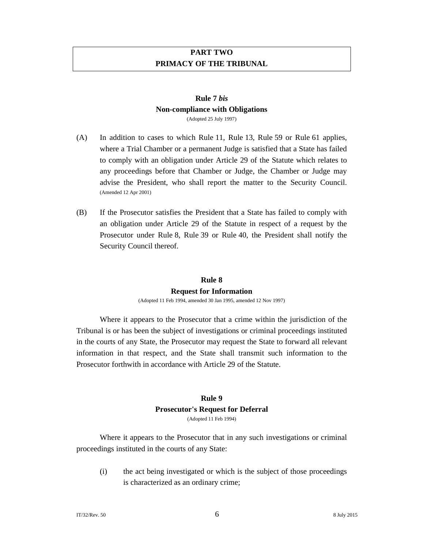## **PART TWO PRIMACY OF THE TRIBUNAL**

# **Rule 7** *bis* **Non-compliance with Obligations**

(Adopted 25 July 1997)

- (A) In addition to cases to which Rule 11, Rule 13, Rule 59 or Rule 61 applies, where a Trial Chamber or a permanent Judge is satisfied that a State has failed to comply with an obligation under Article 29 of the Statute which relates to any proceedings before that Chamber or Judge, the Chamber or Judge may advise the President, who shall report the matter to the Security Council. (Amended 12 Apr 2001)
- (B) If the Prosecutor satisfies the President that a State has failed to comply with an obligation under Article 29 of the Statute in respect of a request by the Prosecutor under Rule 8, Rule 39 or Rule 40, the President shall notify the Security Council thereof.

# **Rule 8 Request for Information**

(Adopted 11 Feb 1994, amended 30 Jan 1995, amended 12 Nov 1997)

 Where it appears to the Prosecutor that a crime within the jurisdiction of the Tribunal is or has been the subject of investigations or criminal proceedings instituted in the courts of any State, the Prosecutor may request the State to forward all relevant information in that respect, and the State shall transmit such information to the Prosecutor forthwith in accordance with Article 29 of the Statute.

#### **Rule 9**

## **Prosecutor's Request for Deferral**

(Adopted 11 Feb 1994)

 Where it appears to the Prosecutor that in any such investigations or criminal proceedings instituted in the courts of any State:

(i) the act being investigated or which is the subject of those proceedings is characterized as an ordinary crime;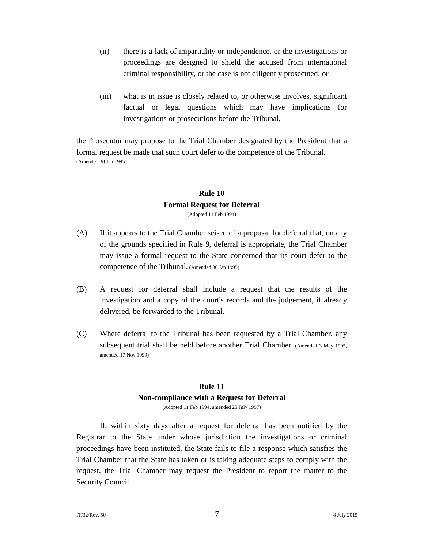- (ii) there is a lack of impartiality or independence, or the investigations or proceedings are designed to shield the accused from international criminal responsibility, or the case is not diligently prosecuted; or
- (iii) what is in issue is closely related to, or otherwise involves, significant factual or legal questions which may have implications for investigations or prosecutions before the Tribunal,

the Prosecutor may propose to the Trial Chamber designated by the President that a formal request be made that such court defer to the competence of the Tribunal. (Amended 30 Jan 1995)

## **Rule 10 Formal Request for Deferral**  (Adopted 11 Feb 1994)

(A) If it appears to the Trial Chamber seised of a proposal for deferral that, on any of the grounds specified in Rule 9, deferral is appropriate, the Trial Chamber may issue a formal request to the State concerned that its court defer to the competence of the Tribunal. (Amended 30 Jan 1995)

- (B) A request for deferral shall include a request that the results of the investigation and a copy of the court's records and the judgement, if already delivered, be forwarded to the Tribunal.
- (C) Where deferral to the Tribunal has been requested by a Trial Chamber, any subsequent trial shall be held before another Trial Chamber. (Amended 3 May 1995, amended 17 Nov 1999)

# **Rule 11 Non-compliance with a Request for Deferral**

(Adopted 11 Feb 1994, amended 25 July 1997)

 If, within sixty days after a request for deferral has been notified by the Registrar to the State under whose jurisdiction the investigations or criminal proceedings have been instituted, the State fails to file a response which satisfies the Trial Chamber that the State has taken or is taking adequate steps to comply with the request, the Trial Chamber may request the President to report the matter to the Security Council.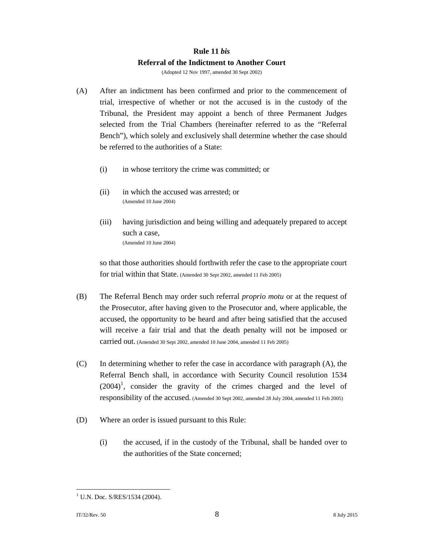# **Rule 11** *bis* **Referral of the Indictment to Another Court**

(Adopted 12 Nov 1997, amended 30 Sept 2002)

- (A) After an indictment has been confirmed and prior to the commencement of trial, irrespective of whether or not the accused is in the custody of the Tribunal, the President may appoint a bench of three Permanent Judges selected from the Trial Chambers (hereinafter referred to as the "Referral Bench"), which solely and exclusively shall determine whether the case should be referred to the authorities of a State:
	- (i) in whose territory the crime was committed; or
	- (ii) in which the accused was arrested; or (Amended 10 June 2004)
	- (iii) having jurisdiction and being willing and adequately prepared to accept such a case, (Amended 10 June 2004)

so that those authorities should forthwith refer the case to the appropriate court for trial within that State. (Amended 30 Sept 2002, amended 11 Feb 2005)

- (B) The Referral Bench may order such referral *proprio motu* or at the request of the Prosecutor, after having given to the Prosecutor and, where applicable, the accused, the opportunity to be heard and after being satisfied that the accused will receive a fair trial and that the death penalty will not be imposed or carried out. (Amended 30 Sept 2002, amended 10 June 2004, amended 11 Feb 2005)
- (C) In determining whether to refer the case in accordance with paragraph (A), the Referral Bench shall, in accordance with Security Council resolution 1534  $(2004)^1$ , consider the gravity of the crimes charged and the level of responsibility of the accused. (Amended 30 Sept 2002, amended 28 July 2004, amended 11 Feb 2005)
- (D) Where an order is issued pursuant to this Rule:
	- (i) the accused, if in the custody of the Tribunal, shall be handed over to the authorities of the State concerned;

 $\overline{a}$ <sup>1</sup> U.N. Doc. S/RES/1534 (2004).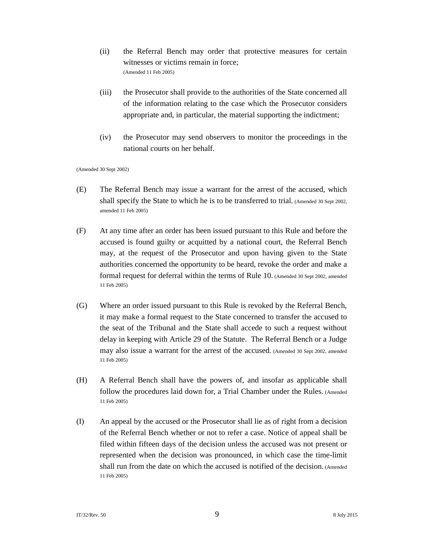- (ii) the Referral Bench may order that protective measures for certain witnesses or victims remain in force; (Amended 11 Feb 2005)
- (iii) the Prosecutor shall provide to the authorities of the State concerned all of the information relating to the case which the Prosecutor considers appropriate and, in particular, the material supporting the indictment;
- (iv) the Prosecutor may send observers to monitor the proceedings in the national courts on her behalf.

(Amended 30 Sept 2002)

- (E) The Referral Bench may issue a warrant for the arrest of the accused, which shall specify the State to which he is to be transferred to trial. (Amended 30 Sept 2002, amended 11 Feb 2005)
- (F) At any time after an order has been issued pursuant to this Rule and before the accused is found guilty or acquitted by a national court, the Referral Bench may, at the request of the Prosecutor and upon having given to the State authorities concerned the opportunity to be heard, revoke the order and make a formal request for deferral within the terms of Rule 10. (Amended 30 Sept 2002, amended 11 Feb 2005)
- (G) Where an order issued pursuant to this Rule is revoked by the Referral Bench, it may make a formal request to the State concerned to transfer the accused to the seat of the Tribunal and the State shall accede to such a request without delay in keeping with Article 29 of the Statute. The Referral Bench or a Judge may also issue a warrant for the arrest of the accused. (Amended 30 Sept 2002, amended 11 Feb 2005)
- (H) A Referral Bench shall have the powers of, and insofar as applicable shall follow the procedures laid down for, a Trial Chamber under the Rules. (Amended 11 Feb 2005)
- (I) An appeal by the accused or the Prosecutor shall lie as of right from a decision of the Referral Bench whether or not to refer a case. Notice of appeal shall be filed within fifteen days of the decision unless the accused was not present or represented when the decision was pronounced, in which case the time-limit shall run from the date on which the accused is notified of the decision. (Amended 11 Feb 2005)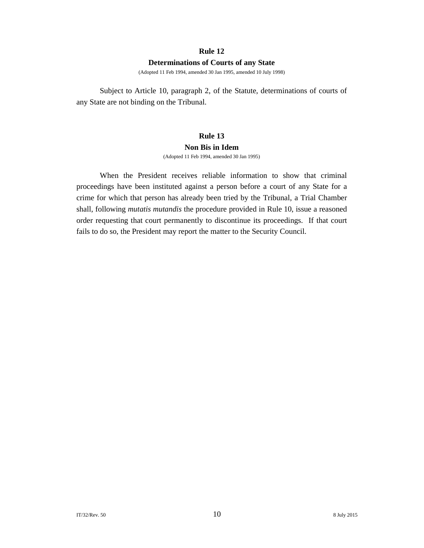#### **Rule 12**

#### **Determinations of Courts of any State**

(Adopted 11 Feb 1994, amended 30 Jan 1995, amended 10 July 1998)

 Subject to Article 10, paragraph 2, of the Statute, determinations of courts of any State are not binding on the Tribunal.

#### **Rule 13**

### **Non Bis in Idem**

(Adopted 11 Feb 1994, amended 30 Jan 1995)

 When the President receives reliable information to show that criminal proceedings have been instituted against a person before a court of any State for a crime for which that person has already been tried by the Tribunal, a Trial Chamber shall, following *mutatis mutandis* the procedure provided in Rule 10, issue a reasoned order requesting that court permanently to discontinue its proceedings. If that court fails to do so, the President may report the matter to the Security Council.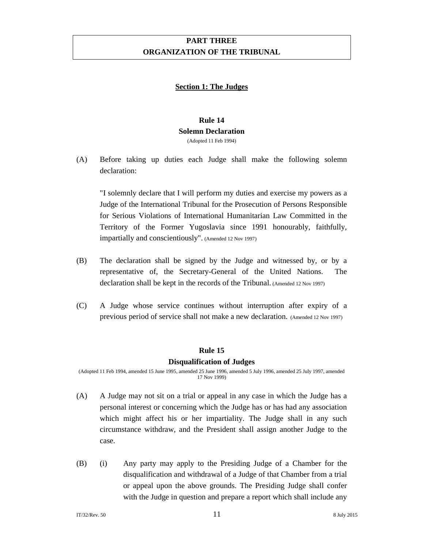## **PART THREE ORGANIZATION OF THE TRIBUNAL**

#### **Section 1: The Judges**

# **Rule 14 Solemn Declaration**

(Adopted 11 Feb 1994)

(A) Before taking up duties each Judge shall make the following solemn declaration:

"I solemnly declare that I will perform my duties and exercise my powers as a Judge of the International Tribunal for the Prosecution of Persons Responsible for Serious Violations of International Humanitarian Law Committed in the Territory of the Former Yugoslavia since 1991 honourably, faithfully, impartially and conscientiously". (Amended 12 Nov 1997)

- (B) The declaration shall be signed by the Judge and witnessed by, or by a representative of, the Secretary-General of the United Nations. The declaration shall be kept in the records of the Tribunal. (Amended 12 Nov 1997)
- (C) A Judge whose service continues without interruption after expiry of a previous period of service shall not make a new declaration. (Amended 12 Nov 1997)

## **Rule 15**

#### **Disqualification of Judges**

(Adopted 11 Feb 1994, amended 15 June 1995, amended 25 June 1996, amended 5 July 1996, amended 25 July 1997, amended 17 Nov 1999)

- (A) A Judge may not sit on a trial or appeal in any case in which the Judge has a personal interest or concerning which the Judge has or has had any association which might affect his or her impartiality. The Judge shall in any such circumstance withdraw, and the President shall assign another Judge to the case.
- (B) (i) Any party may apply to the Presiding Judge of a Chamber for the disqualification and withdrawal of a Judge of that Chamber from a trial or appeal upon the above grounds. The Presiding Judge shall confer with the Judge in question and prepare a report which shall include any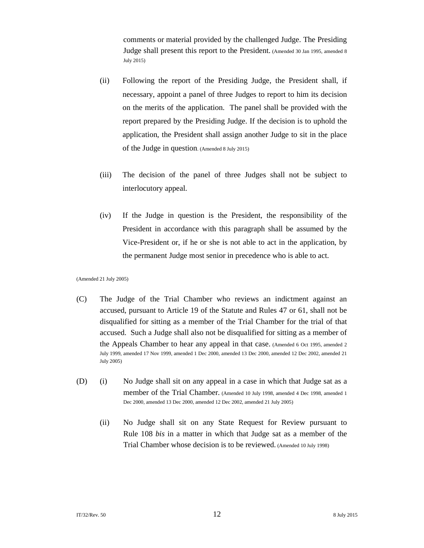comments or material provided by the challenged Judge. The Presiding Judge shall present this report to the President. (Amended 30 Jan 1995, amended 8 July 2015)

- (ii) Following the report of the Presiding Judge, the President shall, if necessary, appoint a panel of three Judges to report to him its decision on the merits of the application. The panel shall be provided with the report prepared by the Presiding Judge. If the decision is to uphold the application, the President shall assign another Judge to sit in the place of the Judge in question. (Amended 8 July 2015)
- (iii) The decision of the panel of three Judges shall not be subject to interlocutory appeal.
- (iv) If the Judge in question is the President, the responsibility of the President in accordance with this paragraph shall be assumed by the Vice-President or, if he or she is not able to act in the application, by the permanent Judge most senior in precedence who is able to act.

(Amended 21 July 2005)

- (C) The Judge of the Trial Chamber who reviews an indictment against an accused, pursuant to Article 19 of the Statute and Rules 47 or 61, shall not be disqualified for sitting as a member of the Trial Chamber for the trial of that accused. Such a Judge shall also not be disqualified for sitting as a member of the Appeals Chamber to hear any appeal in that case. (Amended 6 Oct 1995, amended 2) July 1999, amended 17 Nov 1999, amended 1 Dec 2000, amended 13 Dec 2000, amended 12 Dec 2002, amended 21 July 2005)
- (D) (i) No Judge shall sit on any appeal in a case in which that Judge sat as a member of the Trial Chamber. (Amended 10 July 1998, amended 4 Dec 1998, amended 1 Dec 2000, amended 13 Dec 2000, amended 12 Dec 2002, amended 21 July 2005)
	- (ii) No Judge shall sit on any State Request for Review pursuant to Rule 108 *bis* in a matter in which that Judge sat as a member of the Trial Chamber whose decision is to be reviewed. (Amended 10 July 1998)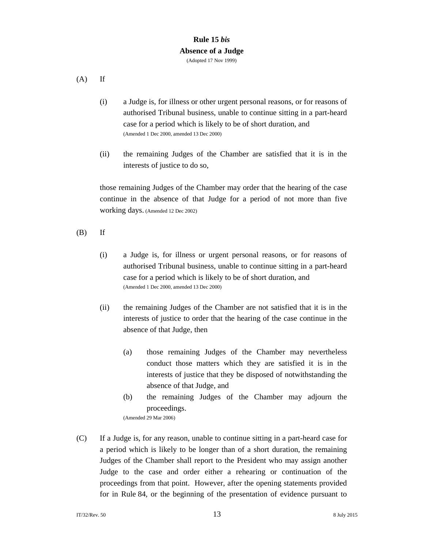## **Rule 15** *bis* **Absence of a Judge**

(Adopted 17 Nov 1999)

 $(A)$  If

- (i) a Judge is, for illness or other urgent personal reasons, or for reasons of authorised Tribunal business, unable to continue sitting in a part-heard case for a period which is likely to be of short duration, and (Amended 1 Dec 2000, amended 13 Dec 2000)
- (ii) the remaining Judges of the Chamber are satisfied that it is in the interests of justice to do so,

those remaining Judges of the Chamber may order that the hearing of the case continue in the absence of that Judge for a period of not more than five working days. (Amended 12 Dec 2002)

 $(B)$  If

- (i) a Judge is, for illness or urgent personal reasons, or for reasons of authorised Tribunal business, unable to continue sitting in a part-heard case for a period which is likely to be of short duration, and (Amended 1 Dec 2000, amended 13 Dec 2000)
- (ii) the remaining Judges of the Chamber are not satisfied that it is in the interests of justice to order that the hearing of the case continue in the absence of that Judge, then
	- (a) those remaining Judges of the Chamber may nevertheless conduct those matters which they are satisfied it is in the interests of justice that they be disposed of notwithstanding the absence of that Judge, and
	- (b) the remaining Judges of the Chamber may adjourn the proceedings.

(Amended 29 Mar 2006)

(C) If a Judge is, for any reason, unable to continue sitting in a part-heard case for a period which is likely to be longer than of a short duration, the remaining Judges of the Chamber shall report to the President who may assign another Judge to the case and order either a rehearing or continuation of the proceedings from that point. However, after the opening statements provided for in Rule 84, or the beginning of the presentation of evidence pursuant to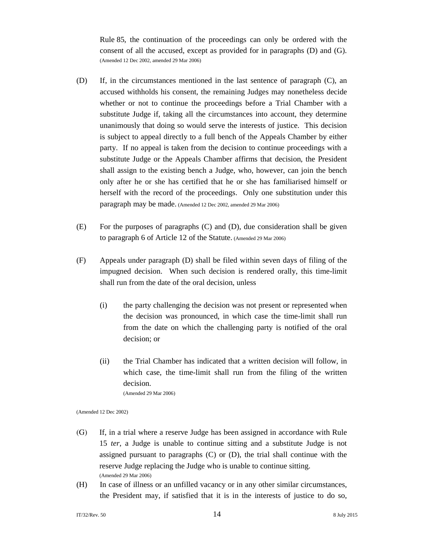Rule 85, the continuation of the proceedings can only be ordered with the consent of all the accused, except as provided for in paragraphs (D) and (G). (Amended 12 Dec 2002, amended 29 Mar 2006)

- (D) If, in the circumstances mentioned in the last sentence of paragraph (C), an accused withholds his consent, the remaining Judges may nonetheless decide whether or not to continue the proceedings before a Trial Chamber with a substitute Judge if, taking all the circumstances into account, they determine unanimously that doing so would serve the interests of justice. This decision is subject to appeal directly to a full bench of the Appeals Chamber by either party. If no appeal is taken from the decision to continue proceedings with a substitute Judge or the Appeals Chamber affirms that decision, the President shall assign to the existing bench a Judge, who, however, can join the bench only after he or she has certified that he or she has familiarised himself or herself with the record of the proceedings. Only one substitution under this paragraph may be made. (Amended 12 Dec 2002, amended 29 Mar 2006)
- (E) For the purposes of paragraphs (C) and (D), due consideration shall be given to paragraph 6 of Article 12 of the Statute. (Amended 29 Mar 2006)
- (F) Appeals under paragraph (D) shall be filed within seven days of filing of the impugned decision. When such decision is rendered orally, this time-limit shall run from the date of the oral decision, unless
	- (i) the party challenging the decision was not present or represented when the decision was pronounced, in which case the time-limit shall run from the date on which the challenging party is notified of the oral decision; or
	- (ii) the Trial Chamber has indicated that a written decision will follow, in which case, the time-limit shall run from the filing of the written decision. (Amended 29 Mar 2006)

- (G) If, in a trial where a reserve Judge has been assigned in accordance with Rule 15 *ter*, a Judge is unable to continue sitting and a substitute Judge is not assigned pursuant to paragraphs (C) or (D), the trial shall continue with the reserve Judge replacing the Judge who is unable to continue sitting. (Amended 29 Mar 2006)
- (H) In case of illness or an unfilled vacancy or in any other similar circumstances, the President may, if satisfied that it is in the interests of justice to do so,

<sup>(</sup>Amended 12 Dec 2002)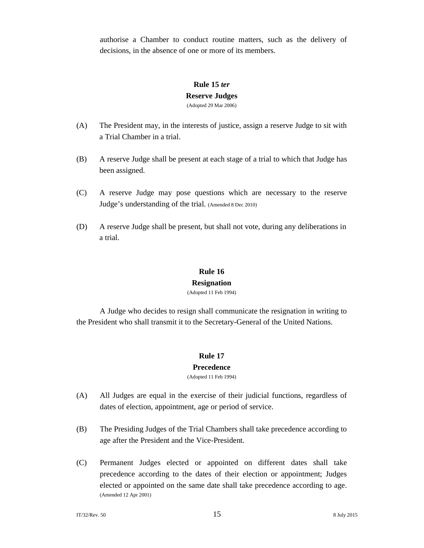authorise a Chamber to conduct routine matters, such as the delivery of decisions, in the absence of one or more of its members.

## **Rule 15** *ter* **Reserve Judges**  (Adopted 29 Mar 2006)

- (A) The President may, in the interests of justice, assign a reserve Judge to sit with a Trial Chamber in a trial.
- (B) A reserve Judge shall be present at each stage of a trial to which that Judge has been assigned.
- (C) A reserve Judge may pose questions which are necessary to the reserve Judge's understanding of the trial. (Amended 8 Dec 2010)
- (D) A reserve Judge shall be present, but shall not vote, during any deliberations in a trial.

## **Rule 16**

## **Resignation**

## (Adopted 11 Feb 1994)

A Judge who decides to resign shall communicate the resignation in writing to the President who shall transmit it to the Secretary-General of the United Nations.

## **Rule 17**

## **Precedence**

(Adopted 11 Feb 1994)

- (A) All Judges are equal in the exercise of their judicial functions, regardless of dates of election, appointment, age or period of service.
- (B) The Presiding Judges of the Trial Chambers shall take precedence according to age after the President and the Vice-President.
- (C) Permanent Judges elected or appointed on different dates shall take precedence according to the dates of their election or appointment; Judges elected or appointed on the same date shall take precedence according to age. (Amended 12 Apr 2001)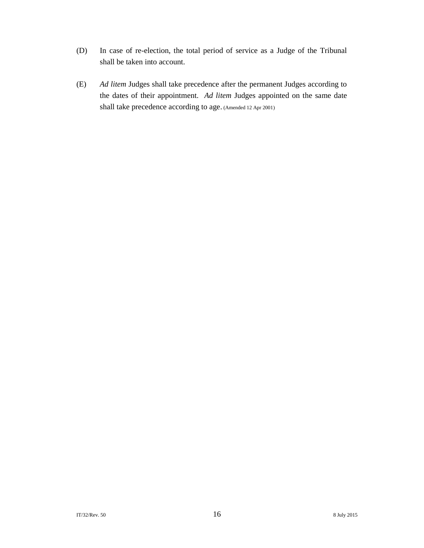- (D) In case of re-election, the total period of service as a Judge of the Tribunal shall be taken into account.
- (E) *Ad litem* Judges shall take precedence after the permanent Judges according to the dates of their appointment. *Ad litem* Judges appointed on the same date shall take precedence according to age. (Amended 12 Apr 2001)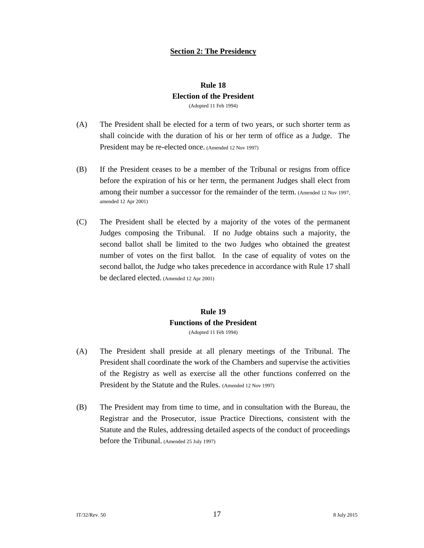## **Section 2: The Presidency**

# **Rule 18 Election of the President**

(Adopted 11 Feb 1994)

- (A) The President shall be elected for a term of two years, or such shorter term as shall coincide with the duration of his or her term of office as a Judge. The President may be re-elected once. (Amended 12 Nov 1997)
- (B) If the President ceases to be a member of the Tribunal or resigns from office before the expiration of his or her term, the permanent Judges shall elect from among their number a successor for the remainder of the term. (Amended 12 Nov 1997, amended 12 Apr 2001)
- (C) The President shall be elected by a majority of the votes of the permanent Judges composing the Tribunal. If no Judge obtains such a majority, the second ballot shall be limited to the two Judges who obtained the greatest number of votes on the first ballot. In the case of equality of votes on the second ballot, the Judge who takes precedence in accordance with Rule 17 shall be declared elected. (Amended 12 Apr 2001)

## **Rule 19 Functions of the President**  (Adopted 11 Feb 1994)

- (A) The President shall preside at all plenary meetings of the Tribunal. The President shall coordinate the work of the Chambers and supervise the activities of the Registry as well as exercise all the other functions conferred on the President by the Statute and the Rules. (Amended 12 Nov 1997)
- (B) The President may from time to time, and in consultation with the Bureau, the Registrar and the Prosecutor, issue Practice Directions, consistent with the Statute and the Rules, addressing detailed aspects of the conduct of proceedings before the Tribunal. (Amended 25 July 1997)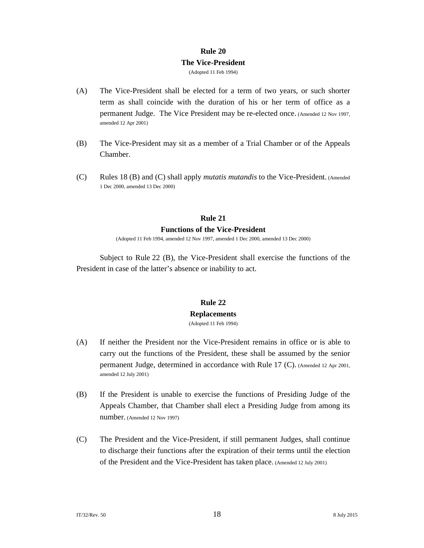# **Rule 20**

## **The Vice-President**

(Adopted 11 Feb 1994)

- (A) The Vice-President shall be elected for a term of two years, or such shorter term as shall coincide with the duration of his or her term of office as a permanent Judge. The Vice President may be re-elected once. (Amended 12 Nov 1997, amended 12 Apr 2001)
- (B) The Vice-President may sit as a member of a Trial Chamber or of the Appeals Chamber.
- (C) Rules 18 (B) and (C) shall apply *mutatis mutandis* to the Vice-President. (Amended 1 Dec 2000, amended 13 Dec 2000)

## **Rule 21**

## **Functions of the Vice-President**

(Adopted 11 Feb 1994, amended 12 Nov 1997, amended 1 Dec 2000, amended 13 Dec 2000)

Subject to Rule 22 (B), the Vice-President shall exercise the functions of the President in case of the latter's absence or inability to act.

## **Rule 22**

## **Replacements**

#### (Adopted 11 Feb 1994)

- (A) If neither the President nor the Vice-President remains in office or is able to carry out the functions of the President, these shall be assumed by the senior permanent Judge, determined in accordance with Rule 17 (C). (Amended 12 Apr 2001, amended 12 July 2001)
- (B) If the President is unable to exercise the functions of Presiding Judge of the Appeals Chamber, that Chamber shall elect a Presiding Judge from among its number. (Amended 12 Nov 1997)
- (C) The President and the Vice-President, if still permanent Judges, shall continue to discharge their functions after the expiration of their terms until the election of the President and the Vice-President has taken place. (Amended 12 July 2001)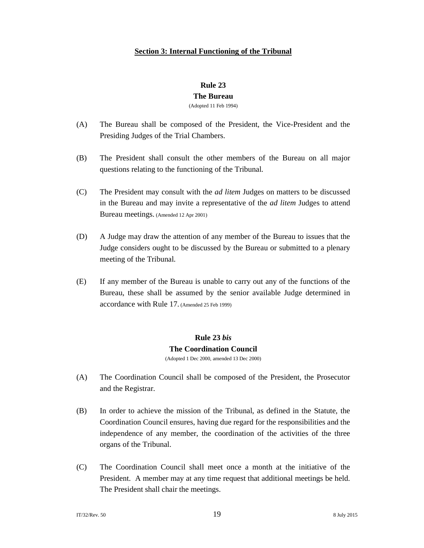## **Section 3: Internal Functioning of the Tribunal**

### **Rule 23**

### **The Bureau**

(Adopted 11 Feb 1994)

- (A) The Bureau shall be composed of the President, the Vice-President and the Presiding Judges of the Trial Chambers.
- (B) The President shall consult the other members of the Bureau on all major questions relating to the functioning of the Tribunal.
- (C) The President may consult with the *ad litem* Judges on matters to be discussed in the Bureau and may invite a representative of the *ad litem* Judges to attend Bureau meetings. (Amended 12 Apr 2001)
- (D) A Judge may draw the attention of any member of the Bureau to issues that the Judge considers ought to be discussed by the Bureau or submitted to a plenary meeting of the Tribunal.
- (E) If any member of the Bureau is unable to carry out any of the functions of the Bureau, these shall be assumed by the senior available Judge determined in accordance with Rule 17. (Amended 25 Feb 1999)

# **Rule 23** *bis* **The Coordination Council**

(Adopted 1 Dec 2000, amended 13 Dec 2000)

- (A) The Coordination Council shall be composed of the President, the Prosecutor and the Registrar.
- (B) In order to achieve the mission of the Tribunal, as defined in the Statute, the Coordination Council ensures, having due regard for the responsibilities and the independence of any member, the coordination of the activities of the three organs of the Tribunal.
- (C) The Coordination Council shall meet once a month at the initiative of the President. A member may at any time request that additional meetings be held. The President shall chair the meetings.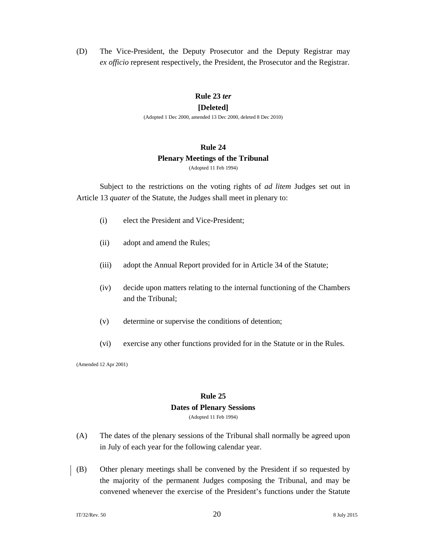(D) The Vice-President, the Deputy Prosecutor and the Deputy Registrar may *ex officio* represent respectively, the President, the Prosecutor and the Registrar.

## **Rule 23** *ter*

### **[Deleted]**

(Adopted 1 Dec 2000, amended 13 Dec 2000, deleted 8 Dec 2010)

#### **Rule 24**

### **Plenary Meetings of the Tribunal**

(Adopted 11 Feb 1994)

 Subject to the restrictions on the voting rights of *ad litem* Judges set out in Article 13 *quater* of the Statute, the Judges shall meet in plenary to:

- (i) elect the President and Vice-President;
- (ii) adopt and amend the Rules;
- (iii) adopt the Annual Report provided for in Article 34 of the Statute;
- (iv) decide upon matters relating to the internal functioning of the Chambers and the Tribunal;
- (v) determine or supervise the conditions of detention;
- (vi) exercise any other functions provided for in the Statute or in the Rules.

(Amended 12 Apr 2001)

# **Rule 25 Dates of Plenary Sessions**

(Adopted 11 Feb 1994)

- (A) The dates of the plenary sessions of the Tribunal shall normally be agreed upon in July of each year for the following calendar year.
- (B) Other plenary meetings shall be convened by the President if so requested by the majority of the permanent Judges composing the Tribunal, and may be convened whenever the exercise of the President's functions under the Statute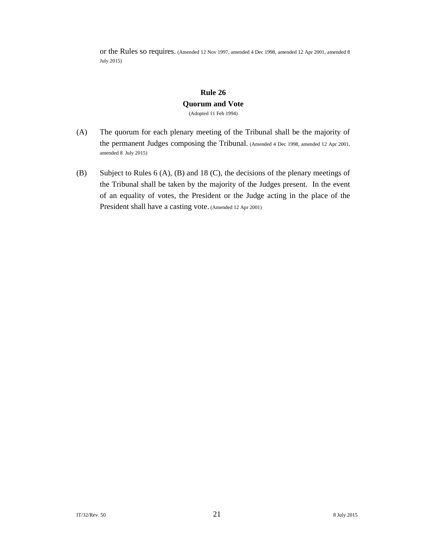or the Rules so requires. (Amended 12 Nov 1997, amended 4 Dec 1998, amended 12 Apr 2001, amended 8 July 2015)

# **Rule 26 Quorum and Vote**

(Adopted 11 Feb 1994)

- (A) The quorum for each plenary meeting of the Tribunal shall be the majority of the permanent Judges composing the Tribunal. (Amended 4 Dec 1998, amended 12 Apr 2001, amended 8 July 2015)
- (B) Subject to Rules 6 (A), (B) and 18 (C), the decisions of the plenary meetings of the Tribunal shall be taken by the majority of the Judges present. In the event of an equality of votes, the President or the Judge acting in the place of the President shall have a casting vote. (Amended 12 Apr 2001)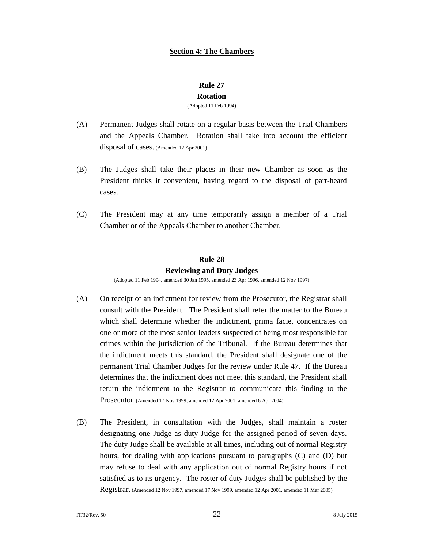## **Section 4: The Chambers**

#### **Rule 27**

#### **Rotation**

(Adopted 11 Feb 1994)

- (A) Permanent Judges shall rotate on a regular basis between the Trial Chambers and the Appeals Chamber. Rotation shall take into account the efficient disposal of cases. (Amended 12 Apr 2001)
- (B) The Judges shall take their places in their new Chamber as soon as the President thinks it convenient, having regard to the disposal of part-heard cases.
- (C) The President may at any time temporarily assign a member of a Trial Chamber or of the Appeals Chamber to another Chamber.

## **Rule 28 Reviewing and Duty Judges**

(Adopted 11 Feb 1994, amended 30 Jan 1995, amended 23 Apr 1996, amended 12 Nov 1997)

- (A) On receipt of an indictment for review from the Prosecutor, the Registrar shall consult with the President. The President shall refer the matter to the Bureau which shall determine whether the indictment, prima facie, concentrates on one or more of the most senior leaders suspected of being most responsible for crimes within the jurisdiction of the Tribunal. If the Bureau determines that the indictment meets this standard, the President shall designate one of the permanent Trial Chamber Judges for the review under Rule 47. If the Bureau determines that the indictment does not meet this standard, the President shall return the indictment to the Registrar to communicate this finding to the Prosecutor (Amended 17 Nov 1999, amended 12 Apr 2001, amended 6 Apr 2004)
- (B) The President, in consultation with the Judges, shall maintain a roster designating one Judge as duty Judge for the assigned period of seven days. The duty Judge shall be available at all times, including out of normal Registry hours, for dealing with applications pursuant to paragraphs (C) and (D) but may refuse to deal with any application out of normal Registry hours if not satisfied as to its urgency. The roster of duty Judges shall be published by the Registrar. (Amended 12 Nov 1997, amended 17 Nov 1999, amended 12 Apr 2001, amended 11 Mar 2005)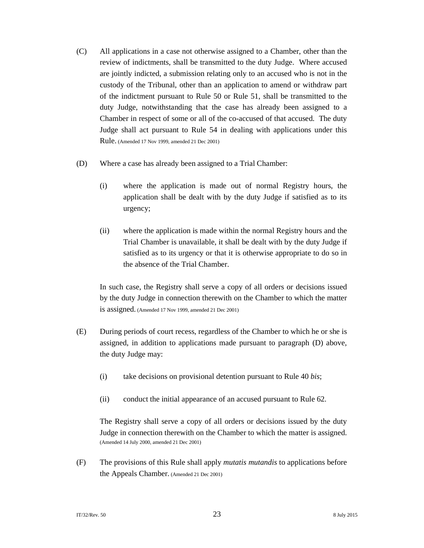- (C) All applications in a case not otherwise assigned to a Chamber, other than the review of indictments, shall be transmitted to the duty Judge. Where accused are jointly indicted, a submission relating only to an accused who is not in the custody of the Tribunal, other than an application to amend or withdraw part of the indictment pursuant to Rule 50 or Rule 51, shall be transmitted to the duty Judge, notwithstanding that the case has already been assigned to a Chamber in respect of some or all of the co-accused of that accused. The duty Judge shall act pursuant to Rule 54 in dealing with applications under this Rule. (Amended 17 Nov 1999, amended 21 Dec 2001)
- (D) Where a case has already been assigned to a Trial Chamber:
	- (i) where the application is made out of normal Registry hours, the application shall be dealt with by the duty Judge if satisfied as to its urgency;
	- (ii) where the application is made within the normal Registry hours and the Trial Chamber is unavailable, it shall be dealt with by the duty Judge if satisfied as to its urgency or that it is otherwise appropriate to do so in the absence of the Trial Chamber.

In such case, the Registry shall serve a copy of all orders or decisions issued by the duty Judge in connection therewith on the Chamber to which the matter is assigned. (Amended 17 Nov 1999, amended 21 Dec 2001)

- (E) During periods of court recess, regardless of the Chamber to which he or she is assigned, in addition to applications made pursuant to paragraph (D) above, the duty Judge may:
	- (i) take decisions on provisional detention pursuant to Rule 40 *bis*;
	- (ii) conduct the initial appearance of an accused pursuant to Rule 62.

The Registry shall serve a copy of all orders or decisions issued by the duty Judge in connection therewith on the Chamber to which the matter is assigned. (Amended 14 July 2000, amended 21 Dec 2001)

(F) The provisions of this Rule shall apply *mutatis mutandis* to applications before the Appeals Chamber. (Amended 21 Dec 2001)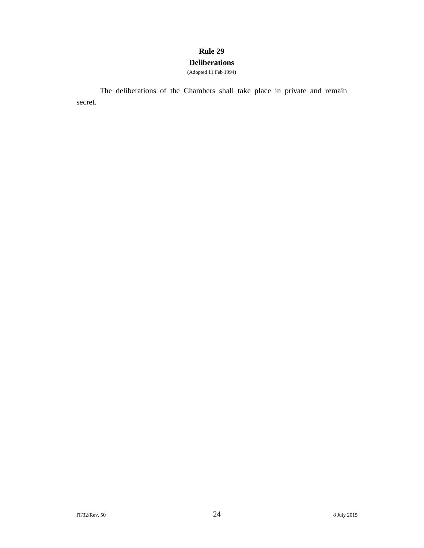# **Rule 29 Deliberations**

(Adopted 11 Feb 1994)

 The deliberations of the Chambers shall take place in private and remain secret.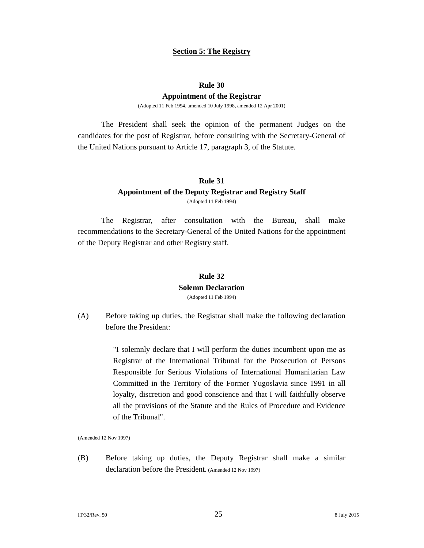### **Section 5: The Registry**

#### **Rule 30**

### **Appointment of the Registrar**

(Adopted 11 Feb 1994, amended 10 July 1998, amended 12 Apr 2001)

 The President shall seek the opinion of the permanent Judges on the candidates for the post of Registrar, before consulting with the Secretary-General of the United Nations pursuant to Article 17, paragraph 3, of the Statute.

## **Rule 31 Appointment of the Deputy Registrar and Registry Staff**  (Adopted 11 Feb 1994)

 The Registrar, after consultation with the Bureau, shall make recommendations to the Secretary-General of the United Nations for the appointment of the Deputy Registrar and other Registry staff.

### **Rule 32**

#### **Solemn Declaration**

(Adopted 11 Feb 1994)

(A) Before taking up duties, the Registrar shall make the following declaration before the President:

> "I solemnly declare that I will perform the duties incumbent upon me as Registrar of the International Tribunal for the Prosecution of Persons Responsible for Serious Violations of International Humanitarian Law Committed in the Territory of the Former Yugoslavia since 1991 in all loyalty, discretion and good conscience and that I will faithfully observe all the provisions of the Statute and the Rules of Procedure and Evidence of the Tribunal".

(Amended 12 Nov 1997)

(B) Before taking up duties, the Deputy Registrar shall make a similar declaration before the President. (Amended 12 Nov 1997)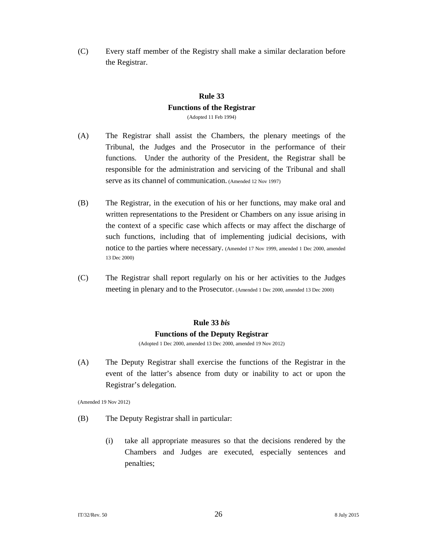(C) Every staff member of the Registry shall make a similar declaration before the Registrar.

# **Rule 33 Functions of the Registrar**

(Adopted 11 Feb 1994)

- (A) The Registrar shall assist the Chambers, the plenary meetings of the Tribunal, the Judges and the Prosecutor in the performance of their functions. Under the authority of the President, the Registrar shall be responsible for the administration and servicing of the Tribunal and shall serve as its channel of communication. (Amended 12 Nov 1997)
- (B) The Registrar, in the execution of his or her functions, may make oral and written representations to the President or Chambers on any issue arising in the context of a specific case which affects or may affect the discharge of such functions, including that of implementing judicial decisions, with notice to the parties where necessary. (Amended 17 Nov 1999, amended 1 Dec 2000, amended 13 Dec 2000)
- (C) The Registrar shall report regularly on his or her activities to the Judges meeting in plenary and to the Prosecutor. (Amended 1 Dec 2000, amended 13 Dec 2000)

# **Rule 33** *bis*

## **Functions of the Deputy Registrar**

(Adopted 1 Dec 2000, amended 13 Dec 2000, amended 19 Nov 2012)

(A) The Deputy Registrar shall exercise the functions of the Registrar in the event of the latter's absence from duty or inability to act or upon the Registrar's delegation.

(Amended 19 Nov 2012)

- (B) The Deputy Registrar shall in particular:
	- (i) take all appropriate measures so that the decisions rendered by the Chambers and Judges are executed, especially sentences and penalties;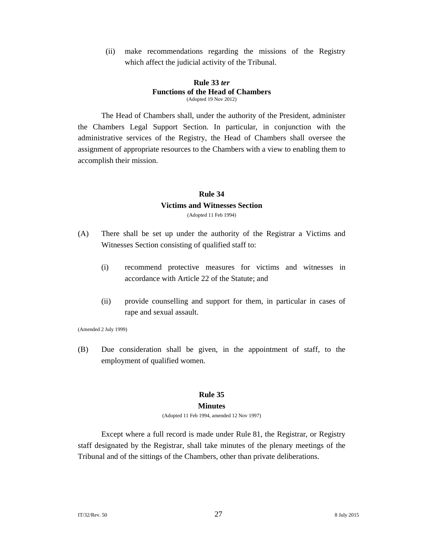(ii) make recommendations regarding the missions of the Registry which affect the judicial activity of the Tribunal.

#### **Rule 33** *ter* **Functions of the Head of Chambers**  (Adopted 19 Nov 2012)

The Head of Chambers shall, under the authority of the President, administer the Chambers Legal Support Section. In particular, in conjunction with the administrative services of the Registry, the Head of Chambers shall oversee the assignment of appropriate resources to the Chambers with a view to enabling them to accomplish their mission.

# **Rule 34 Victims and Witnesses Section**

(Adopted 11 Feb 1994)

- (A) There shall be set up under the authority of the Registrar a Victims and Witnesses Section consisting of qualified staff to:
	- (i) recommend protective measures for victims and witnesses in accordance with Article 22 of the Statute; and
	- (ii) provide counselling and support for them, in particular in cases of rape and sexual assault.

(Amended 2 July 1999)

(B) Due consideration shall be given, in the appointment of staff, to the employment of qualified women.

## **Rule 35**

## **Minutes**

(Adopted 11 Feb 1994, amended 12 Nov 1997)

 Except where a full record is made under Rule 81, the Registrar, or Registry staff designated by the Registrar, shall take minutes of the plenary meetings of the Tribunal and of the sittings of the Chambers, other than private deliberations.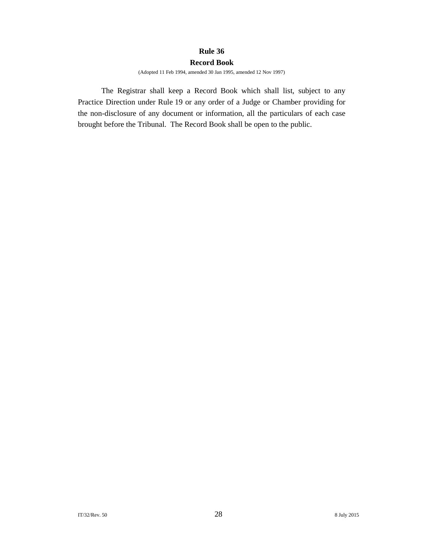### **Record Book**

(Adopted 11 Feb 1994, amended 30 Jan 1995, amended 12 Nov 1997)

 The Registrar shall keep a Record Book which shall list, subject to any Practice Direction under Rule 19 or any order of a Judge or Chamber providing for the non-disclosure of any document or information, all the particulars of each case brought before the Tribunal. The Record Book shall be open to the public.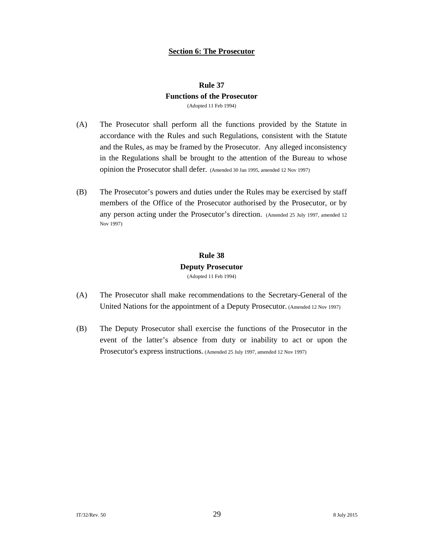### **Section 6: The Prosecutor**

# **Rule 37 Functions of the Prosecutor**

(Adopted 11 Feb 1994)

- (A) The Prosecutor shall perform all the functions provided by the Statute in accordance with the Rules and such Regulations, consistent with the Statute and the Rules, as may be framed by the Prosecutor. Any alleged inconsistency in the Regulations shall be brought to the attention of the Bureau to whose opinion the Prosecutor shall defer. (Amended 30 Jan 1995, amended 12 Nov 1997)
- (B) The Prosecutor's powers and duties under the Rules may be exercised by staff members of the Office of the Prosecutor authorised by the Prosecutor, or by any person acting under the Prosecutor's direction. (Amended 25 July 1997, amended 12 Nov 1997)

### **Rule 38 Deputy Prosecutor**  (Adopted 11 Feb 1994)

- (A) The Prosecutor shall make recommendations to the Secretary-General of the United Nations for the appointment of a Deputy Prosecutor. (Amended 12 Nov 1997)
- (B) The Deputy Prosecutor shall exercise the functions of the Prosecutor in the event of the latter's absence from duty or inability to act or upon the Prosecutor's express instructions. (Amended 25 July 1997, amended 12 Nov 1997)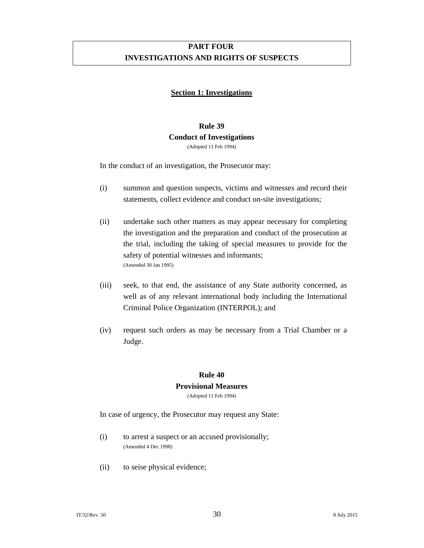## **PART FOUR INVESTIGATIONS AND RIGHTS OF SUSPECTS**

### **Section 1: Investigations**

### **Rule 39**

### **Conduct of Investigations**

(Adopted 11 Feb 1994)

In the conduct of an investigation, the Prosecutor may:

- (i) summon and question suspects, victims and witnesses and record their statements, collect evidence and conduct on-site investigations;
- (ii) undertake such other matters as may appear necessary for completing the investigation and the preparation and conduct of the prosecution at the trial, including the taking of special measures to provide for the safety of potential witnesses and informants; (Amended 30 Jan 1995)
- (iii) seek, to that end, the assistance of any State authority concerned, as well as of any relevant international body including the International Criminal Police Organization (INTERPOL); and
- (iv) request such orders as may be necessary from a Trial Chamber or a Judge.

## **Rule 40 Provisional Measures**

(Adopted 11 Feb 1994)

In case of urgency, the Prosecutor may request any State:

- (i) to arrest a suspect or an accused provisionally; (Amended 4 Dec 1998)
- (ii) to seise physical evidence;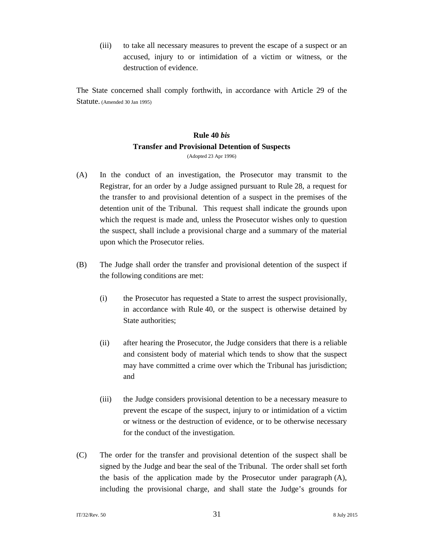(iii) to take all necessary measures to prevent the escape of a suspect or an accused, injury to or intimidation of a victim or witness, or the destruction of evidence.

The State concerned shall comply forthwith, in accordance with Article 29 of the Statute. (Amended 30 Jan 1995)

## **Rule 40** *bis* **Transfer and Provisional Detention of Suspects**  (Adopted 23 Apr 1996)

- (A) In the conduct of an investigation, the Prosecutor may transmit to the Registrar, for an order by a Judge assigned pursuant to Rule 28, a request for the transfer to and provisional detention of a suspect in the premises of the detention unit of the Tribunal. This request shall indicate the grounds upon which the request is made and, unless the Prosecutor wishes only to question the suspect, shall include a provisional charge and a summary of the material upon which the Prosecutor relies.
- (B) The Judge shall order the transfer and provisional detention of the suspect if the following conditions are met:
	- (i) the Prosecutor has requested a State to arrest the suspect provisionally, in accordance with Rule 40, or the suspect is otherwise detained by State authorities;
	- (ii) after hearing the Prosecutor, the Judge considers that there is a reliable and consistent body of material which tends to show that the suspect may have committed a crime over which the Tribunal has jurisdiction; and
	- (iii) the Judge considers provisional detention to be a necessary measure to prevent the escape of the suspect, injury to or intimidation of a victim or witness or the destruction of evidence, or to be otherwise necessary for the conduct of the investigation.
- (C) The order for the transfer and provisional detention of the suspect shall be signed by the Judge and bear the seal of the Tribunal. The order shall set forth the basis of the application made by the Prosecutor under paragraph (A), including the provisional charge, and shall state the Judge's grounds for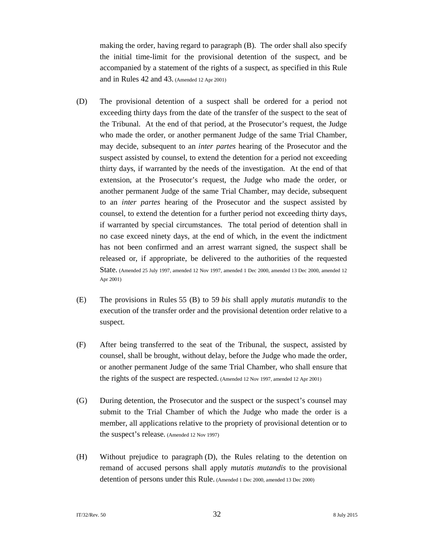making the order, having regard to paragraph (B). The order shall also specify the initial time-limit for the provisional detention of the suspect, and be accompanied by a statement of the rights of a suspect, as specified in this Rule and in Rules 42 and 43. (Amended 12 Apr 2001)

- (D) The provisional detention of a suspect shall be ordered for a period not exceeding thirty days from the date of the transfer of the suspect to the seat of the Tribunal. At the end of that period, at the Prosecutor's request, the Judge who made the order, or another permanent Judge of the same Trial Chamber, may decide, subsequent to an *inter partes* hearing of the Prosecutor and the suspect assisted by counsel, to extend the detention for a period not exceeding thirty days, if warranted by the needs of the investigation. At the end of that extension, at the Prosecutor's request, the Judge who made the order, or another permanent Judge of the same Trial Chamber, may decide, subsequent to an *inter partes* hearing of the Prosecutor and the suspect assisted by counsel, to extend the detention for a further period not exceeding thirty days, if warranted by special circumstances. The total period of detention shall in no case exceed ninety days, at the end of which, in the event the indictment has not been confirmed and an arrest warrant signed, the suspect shall be released or, if appropriate, be delivered to the authorities of the requested State. (Amended 25 July 1997, amended 12 Nov 1997, amended 1 Dec 2000, amended 13 Dec 2000, amended 12 Apr 2001)
- (E) The provisions in Rules 55 (B) to 59 *bis* shall apply *mutatis mutandis* to the execution of the transfer order and the provisional detention order relative to a suspect.
- (F) After being transferred to the seat of the Tribunal, the suspect, assisted by counsel, shall be brought, without delay, before the Judge who made the order, or another permanent Judge of the same Trial Chamber, who shall ensure that the rights of the suspect are respected. (Amended 12 Nov 1997, amended 12 Apr 2001)
- (G) During detention, the Prosecutor and the suspect or the suspect's counsel may submit to the Trial Chamber of which the Judge who made the order is a member, all applications relative to the propriety of provisional detention or to the suspect's release. (Amended 12 Nov 1997)
- (H) Without prejudice to paragraph (D), the Rules relating to the detention on remand of accused persons shall apply *mutatis mutandis* to the provisional detention of persons under this Rule. (Amended 1 Dec 2000, amended 13 Dec 2000)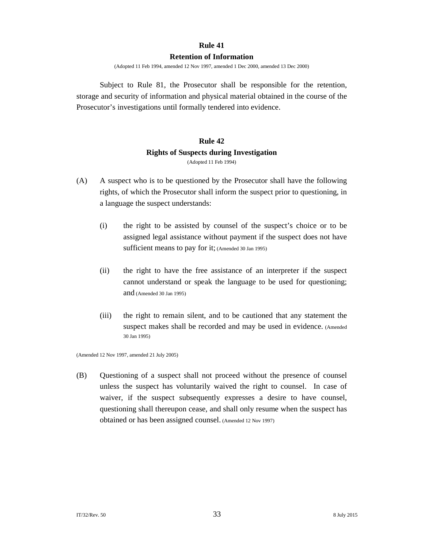### **Retention of Information**

(Adopted 11 Feb 1994, amended 12 Nov 1997, amended 1 Dec 2000, amended 13 Dec 2000)

 Subject to Rule 81, the Prosecutor shall be responsible for the retention, storage and security of information and physical material obtained in the course of the Prosecutor's investigations until formally tendered into evidence.

## **Rule 42 Rights of Suspects during Investigation**  (Adopted 11 Feb 1994)

- (A) A suspect who is to be questioned by the Prosecutor shall have the following rights, of which the Prosecutor shall inform the suspect prior to questioning, in a language the suspect understands:
	- (i) the right to be assisted by counsel of the suspect's choice or to be assigned legal assistance without payment if the suspect does not have sufficient means to pay for it; (Amended 30 Jan 1995)
	- (ii) the right to have the free assistance of an interpreter if the suspect cannot understand or speak the language to be used for questioning; and (Amended 30 Jan 1995)
	- (iii) the right to remain silent, and to be cautioned that any statement the suspect makes shall be recorded and may be used in evidence. (Amended 30 Jan 1995)

(Amended 12 Nov 1997, amended 21 July 2005)

(B) Questioning of a suspect shall not proceed without the presence of counsel unless the suspect has voluntarily waived the right to counsel. In case of waiver, if the suspect subsequently expresses a desire to have counsel, questioning shall thereupon cease, and shall only resume when the suspect has obtained or has been assigned counsel. (Amended 12 Nov 1997)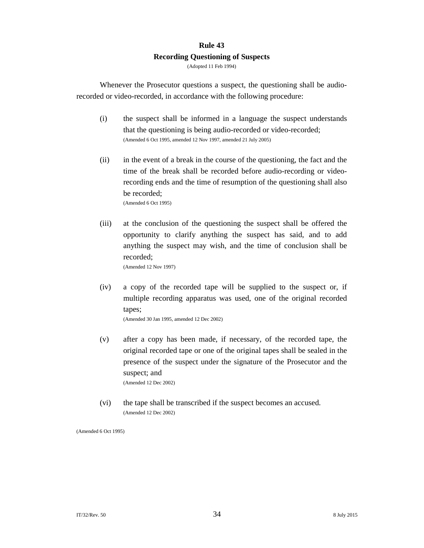# **Rule 43 Recording Questioning of Suspects**

(Adopted 11 Feb 1994)

 Whenever the Prosecutor questions a suspect, the questioning shall be audiorecorded or video-recorded, in accordance with the following procedure:

- (i) the suspect shall be informed in a language the suspect understands that the questioning is being audio-recorded or video-recorded; (Amended 6 Oct 1995, amended 12 Nov 1997, amended 21 July 2005)
- (ii) in the event of a break in the course of the questioning, the fact and the time of the break shall be recorded before audio-recording or videorecording ends and the time of resumption of the questioning shall also be recorded; (Amended 6 Oct 1995)
- (iii) at the conclusion of the questioning the suspect shall be offered the opportunity to clarify anything the suspect has said, and to add anything the suspect may wish, and the time of conclusion shall be recorded; (Amended 12 Nov 1997)

(iv) a copy of the recorded tape will be supplied to the suspect or, if multiple recording apparatus was used, one of the original recorded tapes; (Amended 30 Jan 1995, amended 12 Dec 2002)

- (v) after a copy has been made, if necessary, of the recorded tape, the original recorded tape or one of the original tapes shall be sealed in the presence of the suspect under the signature of the Prosecutor and the suspect; and (Amended 12 Dec 2002)
- (vi) the tape shall be transcribed if the suspect becomes an accused. (Amended 12 Dec 2002)

(Amended 6 Oct 1995)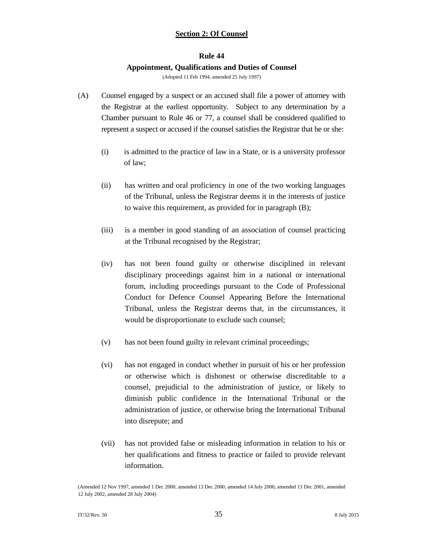### **Section 2: Of Counsel**

### **Rule 44**

### **Appointment, Qualifications and Duties of Counsel**

(Adopted 11 Feb 1994, amended 25 July 1997)

- (A) Counsel engaged by a suspect or an accused shall file a power of attorney with the Registrar at the earliest opportunity. Subject to any determination by a Chamber pursuant to Rule 46 or 77*,* a counsel shall be considered qualified to represent a suspect or accused if the counsel satisfies the Registrar that he or she:
	- (i) is admitted to the practice of law in a State, or is a university professor of law;
	- (ii) has written and oral proficiency in one of the two working languages of the Tribunal, unless the Registrar deems it in the interests of justice to waive this requirement, as provided for in paragraph (B);
	- (iii) is a member in good standing of an association of counsel practicing at the Tribunal recognised by the Registrar;
	- (iv) has not been found guilty or otherwise disciplined in relevant disciplinary proceedings against him in a national or international forum, including proceedings pursuant to the Code of Professional Conduct for Defence Counsel Appearing Before the International Tribunal, unless the Registrar deems that, in the circumstances, it would be disproportionate to exclude such counsel;
	- (v) has not been found guilty in relevant criminal proceedings;
	- (vi) has not engaged in conduct whether in pursuit of his or her profession or otherwise which is dishonest or otherwise discreditable to a counsel, prejudicial to the administration of justice, or likely to diminish public confidence in the International Tribunal or the administration of justice, or otherwise bring the International Tribunal into disrepute; and
	- (vii) has not provided false or misleading information in relation to his or her qualifications and fitness to practice or failed to provide relevant information.

<sup>(</sup>Amended 12 Nov 1997, amended 1 Dec 2000, amended 13 Dec 2000, amended 14 July 2000, amended 13 Dec 2001, amended 12 July 2002, amended 28 July 2004)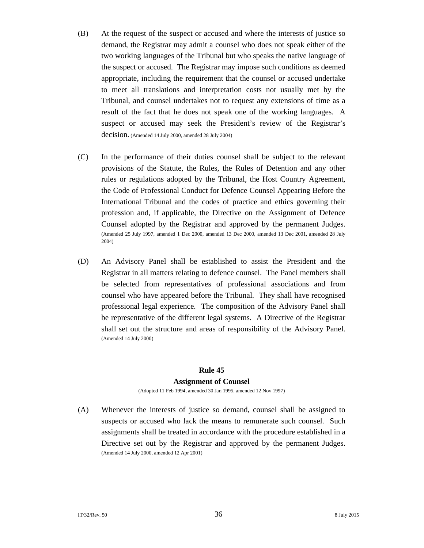- (B) At the request of the suspect or accused and where the interests of justice so demand, the Registrar may admit a counsel who does not speak either of the two working languages of the Tribunal but who speaks the native language of the suspect or accused. The Registrar may impose such conditions as deemed appropriate, including the requirement that the counsel or accused undertake to meet all translations and interpretation costs not usually met by the Tribunal, and counsel undertakes not to request any extensions of time as a result of the fact that he does not speak one of the working languages. A suspect or accused may seek the President's review of the Registrar's decision. (Amended 14 July 2000, amended 28 July 2004)
- (C) In the performance of their duties counsel shall be subject to the relevant provisions of the Statute, the Rules, the Rules of Detention and any other rules or regulations adopted by the Tribunal, the Host Country Agreement, the Code of Professional Conduct for Defence Counsel Appearing Before the International Tribunal and the codes of practice and ethics governing their profession and, if applicable, the Directive on the Assignment of Defence Counsel adopted by the Registrar and approved by the permanent Judges. (Amended 25 July 1997, amended 1 Dec 2000, amended 13 Dec 2000, amended 13 Dec 2001, amended 28 July 2004)
- (D) An Advisory Panel shall be established to assist the President and the Registrar in all matters relating to defence counsel. The Panel members shall be selected from representatives of professional associations and from counsel who have appeared before the Tribunal. They shall have recognised professional legal experience. The composition of the Advisory Panel shall be representative of the different legal systems. A Directive of the Registrar shall set out the structure and areas of responsibility of the Advisory Panel. (Amended 14 July 2000)

#### **Assignment of Counsel**

(Adopted 11 Feb 1994, amended 30 Jan 1995, amended 12 Nov 1997)

(A) Whenever the interests of justice so demand, counsel shall be assigned to suspects or accused who lack the means to remunerate such counsel. Such assignments shall be treated in accordance with the procedure established in a Directive set out by the Registrar and approved by the permanent Judges. (Amended 14 July 2000, amended 12 Apr 2001)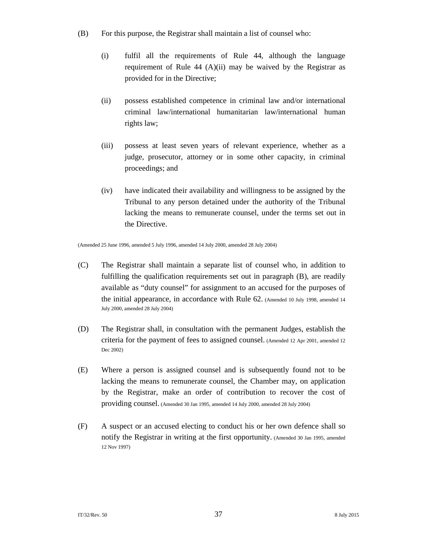- (B) For this purpose, the Registrar shall maintain a list of counsel who:
	- (i) fulfil all the requirements of Rule 44, although the language requirement of Rule 44 (A)(ii) may be waived by the Registrar as provided for in the Directive;
	- (ii) possess established competence in criminal law and/or international criminal law/international humanitarian law/international human rights law;
	- (iii) possess at least seven years of relevant experience, whether as a judge, prosecutor, attorney or in some other capacity, in criminal proceedings; and
	- (iv) have indicated their availability and willingness to be assigned by the Tribunal to any person detained under the authority of the Tribunal lacking the means to remunerate counsel, under the terms set out in the Directive.

(Amended 25 June 1996, amended 5 July 1996, amended 14 July 2000, amended 28 July 2004)

- (C) The Registrar shall maintain a separate list of counsel who, in addition to fulfilling the qualification requirements set out in paragraph (B), are readily available as "duty counsel" for assignment to an accused for the purposes of the initial appearance, in accordance with Rule 62. (Amended 10 July 1998, amended 14 July 2000, amended 28 July 2004)
- (D) The Registrar shall, in consultation with the permanent Judges, establish the criteria for the payment of fees to assigned counsel. (Amended 12 Apr 2001, amended 12 Dec 2002)
- (E) Where a person is assigned counsel and is subsequently found not to be lacking the means to remunerate counsel, the Chamber may, on application by the Registrar, make an order of contribution to recover the cost of providing counsel. (Amended 30 Jan 1995, amended 14 July 2000, amended 28 July 2004)
- (F) A suspect or an accused electing to conduct his or her own defence shall so notify the Registrar in writing at the first opportunity. (Amended 30 Jan 1995, amended 12 Nov 1997)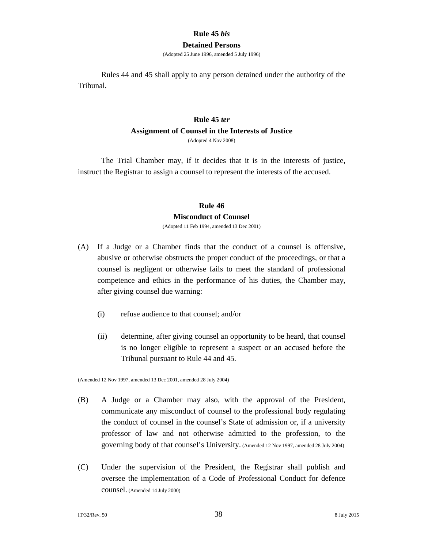### **Rule 45** *bis*

#### **Detained Persons**

(Adopted 25 June 1996, amended 5 July 1996)

 Rules 44 and 45 shall apply to any person detained under the authority of the Tribunal.

# **Rule 45** *ter* **Assignment of Counsel in the Interests of Justice**

(Adopted 4 Nov 2008)

 The Trial Chamber may, if it decides that it is in the interests of justice, instruct the Registrar to assign a counsel to represent the interests of the accused.

# **Rule 46**

## **Misconduct of Counsel**

(Adopted 11 Feb 1994, amended 13 Dec 2001)

- (A) If a Judge or a Chamber finds that the conduct of a counsel is offensive, abusive or otherwise obstructs the proper conduct of the proceedings, or that a counsel is negligent or otherwise fails to meet the standard of professional competence and ethics in the performance of his duties, the Chamber may, after giving counsel due warning:
	- (i) refuse audience to that counsel; and/or
	- (ii) determine, after giving counsel an opportunity to be heard, that counsel is no longer eligible to represent a suspect or an accused before the Tribunal pursuant to Rule 44 and 45.

(Amended 12 Nov 1997, amended 13 Dec 2001, amended 28 July 2004)

- (B) A Judge or a Chamber may also, with the approval of the President, communicate any misconduct of counsel to the professional body regulating the conduct of counsel in the counsel's State of admission or, if a university professor of law and not otherwise admitted to the profession, to the governing body of that counsel's University. (Amended 12 Nov 1997, amended 28 July 2004)
- (C) Under the supervision of the President, the Registrar shall publish and oversee the implementation of a Code of Professional Conduct for defence counsel. (Amended 14 July 2000)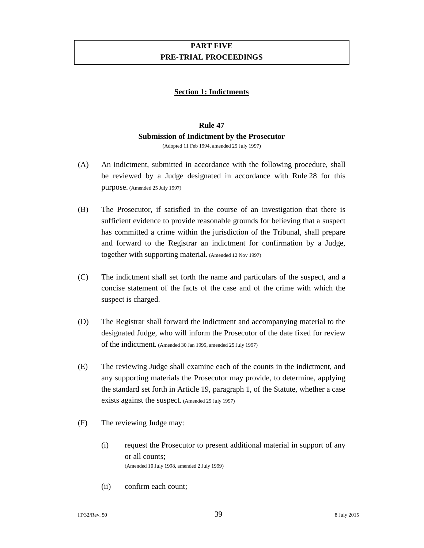## **PART FIVE PRE-TRIAL PROCEEDINGS**

### **Section 1: Indictments**

### **Rule 47**

#### **Submission of Indictment by the Prosecutor**

(Adopted 11 Feb 1994, amended 25 July 1997)

- (A) An indictment, submitted in accordance with the following procedure, shall be reviewed by a Judge designated in accordance with Rule 28 for this purpose. (Amended 25 July 1997)
- (B) The Prosecutor, if satisfied in the course of an investigation that there is sufficient evidence to provide reasonable grounds for believing that a suspect has committed a crime within the jurisdiction of the Tribunal, shall prepare and forward to the Registrar an indictment for confirmation by a Judge, together with supporting material. (Amended 12 Nov 1997)
- (C) The indictment shall set forth the name and particulars of the suspect, and a concise statement of the facts of the case and of the crime with which the suspect is charged.
- (D) The Registrar shall forward the indictment and accompanying material to the designated Judge, who will inform the Prosecutor of the date fixed for review of the indictment. (Amended 30 Jan 1995, amended 25 July 1997)
- (E) The reviewing Judge shall examine each of the counts in the indictment, and any supporting materials the Prosecutor may provide, to determine, applying the standard set forth in Article 19, paragraph 1, of the Statute, whether a case exists against the suspect. (Amended 25 July 1997)
- (F) The reviewing Judge may:
	- (i) request the Prosecutor to present additional material in support of any or all counts; (Amended 10 July 1998, amended 2 July 1999)
	- (ii) confirm each count;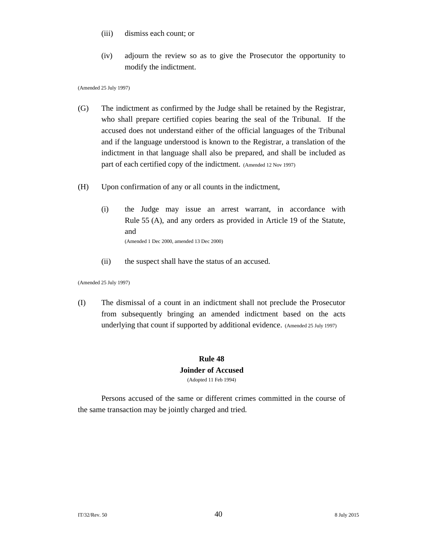- (iii) dismiss each count; or
- (iv) adjourn the review so as to give the Prosecutor the opportunity to modify the indictment.

(Amended 25 July 1997)

- (G) The indictment as confirmed by the Judge shall be retained by the Registrar, who shall prepare certified copies bearing the seal of the Tribunal. If the accused does not understand either of the official languages of the Tribunal and if the language understood is known to the Registrar, a translation of the indictment in that language shall also be prepared, and shall be included as part of each certified copy of the indictment. (Amended 12 Nov 1997)
- (H) Upon confirmation of any or all counts in the indictment,
	- (i) the Judge may issue an arrest warrant, in accordance with Rule 55 (A), and any orders as provided in Article 19 of the Statute, and (Amended 1 Dec 2000, amended 13 Dec 2000)
	- (ii) the suspect shall have the status of an accused.

(Amended 25 July 1997)

(I) The dismissal of a count in an indictment shall not preclude the Prosecutor from subsequently bringing an amended indictment based on the acts underlying that count if supported by additional evidence. (Amended 25 July 1997)

# **Rule 48 Joinder of Accused**

(Adopted 11 Feb 1994)

 Persons accused of the same or different crimes committed in the course of the same transaction may be jointly charged and tried.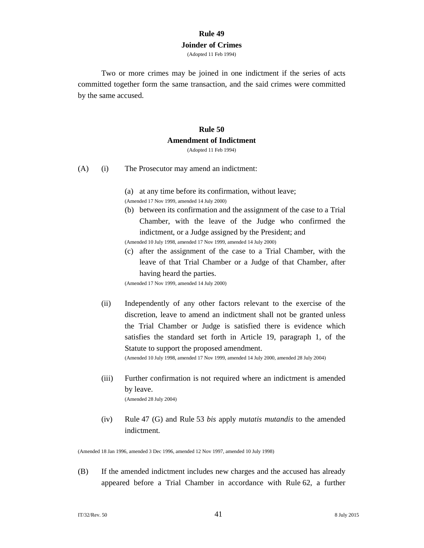#### **Joinder of Crimes**

(Adopted 11 Feb 1994)

 Two or more crimes may be joined in one indictment if the series of acts committed together form the same transaction, and the said crimes were committed by the same accused.

## **Rule 50 Amendment of Indictment**

(Adopted 11 Feb 1994)

(A) (i) The Prosecutor may amend an indictment:

(a) at any time before its confirmation, without leave;

(Amended 17 Nov 1999, amended 14 July 2000)

- (b) between its confirmation and the assignment of the case to a Trial Chamber, with the leave of the Judge who confirmed the indictment, or a Judge assigned by the President; and (Amended 10 July 1998, amended 17 Nov 1999, amended 14 July 2000)
- (c) after the assignment of the case to a Trial Chamber, with the leave of that Trial Chamber or a Judge of that Chamber, after having heard the parties.

(Amended 17 Nov 1999, amended 14 July 2000)

(ii) Independently of any other factors relevant to the exercise of the discretion, leave to amend an indictment shall not be granted unless the Trial Chamber or Judge is satisfied there is evidence which satisfies the standard set forth in Article 19, paragraph 1, of the Statute to support the proposed amendment.

(Amended 10 July 1998, amended 17 Nov 1999, amended 14 July 2000, amended 28 July 2004)

- (iii) Further confirmation is not required where an indictment is amended by leave. (Amended 28 July 2004)
- (iv) Rule 47 (G) and Rule 53 *bis* apply *mutatis mutandis* to the amended indictment.

(Amended 18 Jan 1996, amended 3 Dec 1996, amended 12 Nov 1997, amended 10 July 1998)

(B) If the amended indictment includes new charges and the accused has already appeared before a Trial Chamber in accordance with Rule 62, a further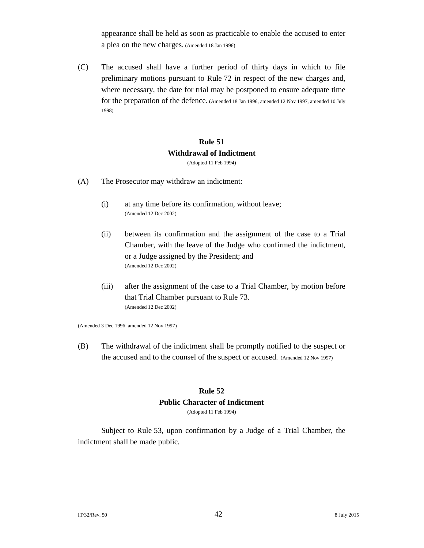appearance shall be held as soon as practicable to enable the accused to enter a plea on the new charges. (Amended 18 Jan 1996)

(C) The accused shall have a further period of thirty days in which to file preliminary motions pursuant to Rule 72 in respect of the new charges and, where necessary, the date for trial may be postponed to ensure adequate time for the preparation of the defence. (Amended 18 Jan 1996, amended 12 Nov 1997, amended 10 July 1998)

# **Rule 51 Withdrawal of Indictment**

(Adopted 11 Feb 1994)

- (A) The Prosecutor may withdraw an indictment:
	- (i) at any time before its confirmation, without leave; (Amended 12 Dec 2002)
	- (ii) between its confirmation and the assignment of the case to a Trial Chamber, with the leave of the Judge who confirmed the indictment, or a Judge assigned by the President; and (Amended 12 Dec 2002)
	- (iii) after the assignment of the case to a Trial Chamber, by motion before that Trial Chamber pursuant to Rule 73. (Amended 12 Dec 2002)

(Amended 3 Dec 1996, amended 12 Nov 1997)

(B) The withdrawal of the indictment shall be promptly notified to the suspect or the accused and to the counsel of the suspect or accused. (Amended 12 Nov 1997)

# **Rule 52 Public Character of Indictment**

(Adopted 11 Feb 1994)

 Subject to Rule 53, upon confirmation by a Judge of a Trial Chamber, the indictment shall be made public.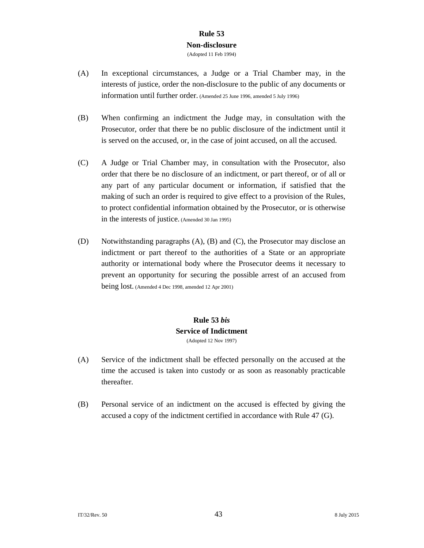### **Non-disclosure**

(Adopted 11 Feb 1994)

- (A) In exceptional circumstances, a Judge or a Trial Chamber may, in the interests of justice, order the non-disclosure to the public of any documents or information until further order. (Amended 25 June 1996, amended 5 July 1996)
- (B) When confirming an indictment the Judge may, in consultation with the Prosecutor, order that there be no public disclosure of the indictment until it is served on the accused, or, in the case of joint accused, on all the accused.
- (C) A Judge or Trial Chamber may, in consultation with the Prosecutor, also order that there be no disclosure of an indictment, or part thereof, or of all or any part of any particular document or information, if satisfied that the making of such an order is required to give effect to a provision of the Rules, to protect confidential information obtained by the Prosecutor, or is otherwise in the interests of justice. (Amended 30 Jan 1995)
- (D) Notwithstanding paragraphs (A), (B) and (C), the Prosecutor may disclose an indictment or part thereof to the authorities of a State or an appropriate authority or international body where the Prosecutor deems it necessary to prevent an opportunity for securing the possible arrest of an accused from being lost. (Amended 4 Dec 1998, amended 12 Apr 2001)

## **Rule 53** *bis* **Service of Indictment**  (Adopted 12 Nov 1997)

- (A) Service of the indictment shall be effected personally on the accused at the time the accused is taken into custody or as soon as reasonably practicable thereafter.
- (B) Personal service of an indictment on the accused is effected by giving the accused a copy of the indictment certified in accordance with Rule 47 (G).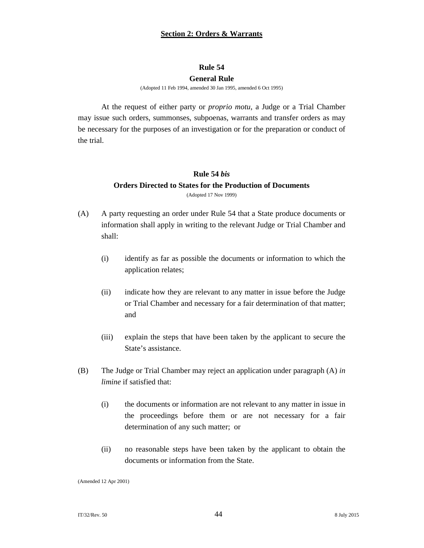### **General Rule**

(Adopted 11 Feb 1994, amended 30 Jan 1995, amended 6 Oct 1995)

 At the request of either party or *proprio motu*, a Judge or a Trial Chamber may issue such orders, summonses, subpoenas, warrants and transfer orders as may be necessary for the purposes of an investigation or for the preparation or conduct of the trial.

## **Rule 54** *bis*  **Orders Directed to States for the Production of Documents**  (Adopted 17 Nov 1999)

(A) A party requesting an order under Rule 54 that a State produce documents or information shall apply in writing to the relevant Judge or Trial Chamber and shall:

- (i) identify as far as possible the documents or information to which the application relates;
- (ii) indicate how they are relevant to any matter in issue before the Judge or Trial Chamber and necessary for a fair determination of that matter; and
- (iii) explain the steps that have been taken by the applicant to secure the State's assistance.
- (B) The Judge or Trial Chamber may reject an application under paragraph (A) *in limine* if satisfied that:
	- (i) the documents or information are not relevant to any matter in issue in the proceedings before them or are not necessary for a fair determination of any such matter; or
	- (ii) no reasonable steps have been taken by the applicant to obtain the documents or information from the State.

(Amended 12 Apr 2001)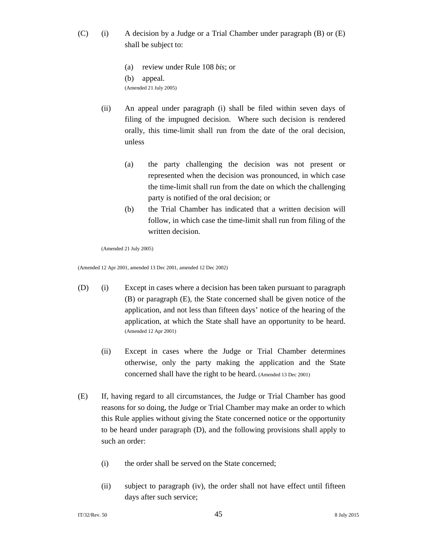- (C) (i) A decision by a Judge or a Trial Chamber under paragraph (B) or (E) shall be subject to:
	- (a) review under Rule 108 *bis*; or (b) appeal. (Amended 21 July 2005)
	- (ii) An appeal under paragraph (i) shall be filed within seven days of filing of the impugned decision. Where such decision is rendered orally, this time-limit shall run from the date of the oral decision, unless
		- (a) the party challenging the decision was not present or represented when the decision was pronounced, in which case the time-limit shall run from the date on which the challenging party is notified of the oral decision; or
		- (b) the Trial Chamber has indicated that a written decision will follow, in which case the time-limit shall run from filing of the written decision.

(Amended 21 July 2005)

(Amended 12 Apr 2001, amended 13 Dec 2001, amended 12 Dec 2002)

- (D) (i) Except in cases where a decision has been taken pursuant to paragraph (B) or paragraph (E), the State concerned shall be given notice of the application, and not less than fifteen days' notice of the hearing of the application, at which the State shall have an opportunity to be heard. (Amended 12 Apr 2001)
	- (ii) Except in cases where the Judge or Trial Chamber determines otherwise, only the party making the application and the State concerned shall have the right to be heard. (Amended 13 Dec 2001)
- (E) If, having regard to all circumstances, the Judge or Trial Chamber has good reasons for so doing, the Judge or Trial Chamber may make an order to which this Rule applies without giving the State concerned notice or the opportunity to be heard under paragraph (D), and the following provisions shall apply to such an order:
	- (i) the order shall be served on the State concerned;
	- (ii) subject to paragraph (iv), the order shall not have effect until fifteen days after such service;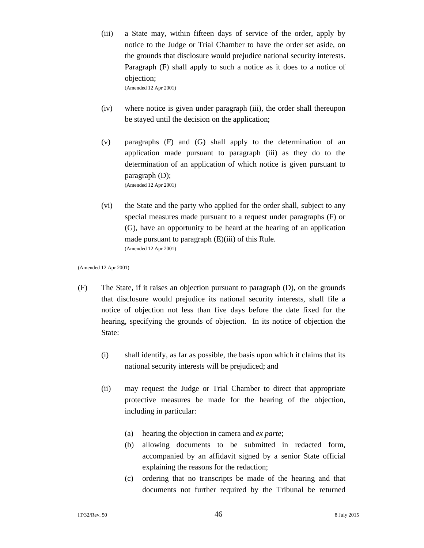- (iii) a State may, within fifteen days of service of the order, apply by notice to the Judge or Trial Chamber to have the order set aside, on the grounds that disclosure would prejudice national security interests. Paragraph (F) shall apply to such a notice as it does to a notice of objection; (Amended 12 Apr 2001)
- (iv) where notice is given under paragraph (iii), the order shall thereupon be stayed until the decision on the application;
- (v) paragraphs (F) and (G) shall apply to the determination of an application made pursuant to paragraph (iii) as they do to the determination of an application of which notice is given pursuant to paragraph (D); (Amended 12 Apr 2001)
- (vi) the State and the party who applied for the order shall, subject to any special measures made pursuant to a request under paragraphs (F) or (G), have an opportunity to be heard at the hearing of an application made pursuant to paragraph (E)(iii) of this Rule. (Amended 12 Apr 2001)

(Amended 12 Apr 2001)

- (F) The State, if it raises an objection pursuant to paragraph (D), on the grounds that disclosure would prejudice its national security interests, shall file a notice of objection not less than five days before the date fixed for the hearing, specifying the grounds of objection. In its notice of objection the State:
	- (i) shall identify, as far as possible, the basis upon which it claims that its national security interests will be prejudiced; and
	- (ii) may request the Judge or Trial Chamber to direct that appropriate protective measures be made for the hearing of the objection, including in particular:
		- (a) hearing the objection in camera and *ex parte*;
		- (b) allowing documents to be submitted in redacted form, accompanied by an affidavit signed by a senior State official explaining the reasons for the redaction;
		- (c) ordering that no transcripts be made of the hearing and that documents not further required by the Tribunal be returned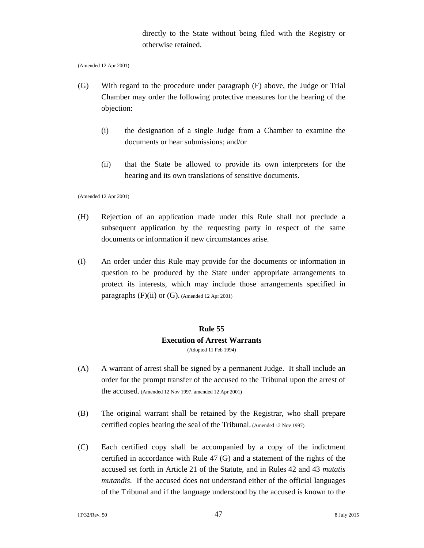directly to the State without being filed with the Registry or otherwise retained.

(Amended 12 Apr 2001)

- (G) With regard to the procedure under paragraph (F) above, the Judge or Trial Chamber may order the following protective measures for the hearing of the objection:
	- (i) the designation of a single Judge from a Chamber to examine the documents or hear submissions; and/or
	- (ii) that the State be allowed to provide its own interpreters for the hearing and its own translations of sensitive documents.

(Amended 12 Apr 2001)

- (H) Rejection of an application made under this Rule shall not preclude a subsequent application by the requesting party in respect of the same documents or information if new circumstances arise.
- (I) An order under this Rule may provide for the documents or information in question to be produced by the State under appropriate arrangements to protect its interests, which may include those arrangements specified in paragraphs  $(F)(ii)$  or  $(G)$ . (Amended 12 Apr 2001)

### **Rule 55 Execution of Arrest Warrants**  (Adopted 11 Feb 1994)

- (A) A warrant of arrest shall be signed by a permanent Judge. It shall include an order for the prompt transfer of the accused to the Tribunal upon the arrest of the accused. (Amended 12 Nov 1997, amended 12 Apr 2001)
- (B) The original warrant shall be retained by the Registrar, who shall prepare certified copies bearing the seal of the Tribunal. (Amended 12 Nov 1997)
- (C) Each certified copy shall be accompanied by a copy of the indictment certified in accordance with Rule 47 (G) and a statement of the rights of the accused set forth in Article 21 of the Statute, and in Rules 42 and 43 *mutatis mutandis*. If the accused does not understand either of the official languages of the Tribunal and if the language understood by the accused is known to the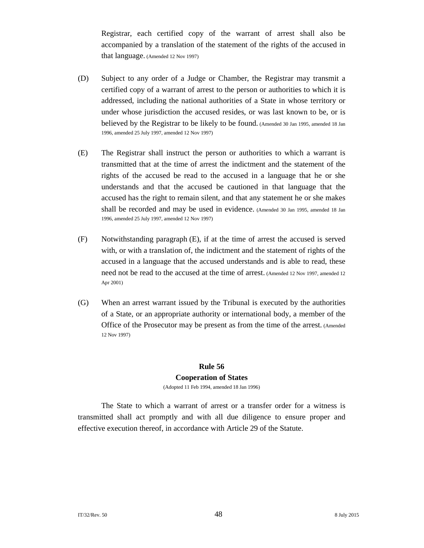Registrar, each certified copy of the warrant of arrest shall also be accompanied by a translation of the statement of the rights of the accused in that language. (Amended 12 Nov 1997)

- (D) Subject to any order of a Judge or Chamber, the Registrar may transmit a certified copy of a warrant of arrest to the person or authorities to which it is addressed, including the national authorities of a State in whose territory or under whose jurisdiction the accused resides, or was last known to be, or is believed by the Registrar to be likely to be found. (Amended 30 Jan 1995, amended 18 Jan 1996, amended 25 July 1997, amended 12 Nov 1997)
- (E) The Registrar shall instruct the person or authorities to which a warrant is transmitted that at the time of arrest the indictment and the statement of the rights of the accused be read to the accused in a language that he or she understands and that the accused be cautioned in that language that the accused has the right to remain silent, and that any statement he or she makes shall be recorded and may be used in evidence. (Amended 30 Jan 1995, amended 18 Jan 1996, amended 25 July 1997, amended 12 Nov 1997)
- (F) Notwithstanding paragraph (E), if at the time of arrest the accused is served with, or with a translation of, the indictment and the statement of rights of the accused in a language that the accused understands and is able to read, these need not be read to the accused at the time of arrest. (Amended 12 Nov 1997, amended 12 Apr 2001)
- (G) When an arrest warrant issued by the Tribunal is executed by the authorities of a State, or an appropriate authority or international body, a member of the Office of the Prosecutor may be present as from the time of the arrest. (Amended 12 Nov 1997)

### **Rule 56**

#### **Cooperation of States**

(Adopted 11 Feb 1994, amended 18 Jan 1996)

 The State to which a warrant of arrest or a transfer order for a witness is transmitted shall act promptly and with all due diligence to ensure proper and effective execution thereof, in accordance with Article 29 of the Statute.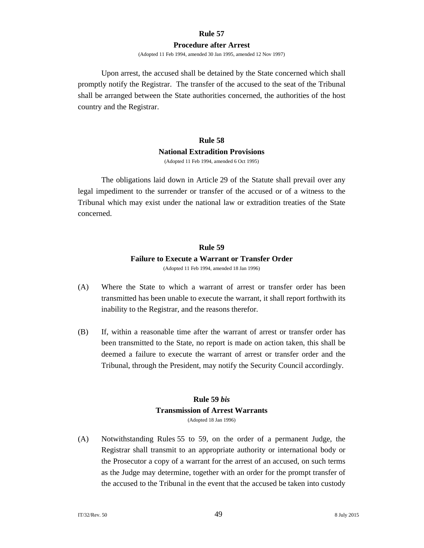#### **Procedure after Arrest**

(Adopted 11 Feb 1994, amended 30 Jan 1995, amended 12 Nov 1997)

 Upon arrest, the accused shall be detained by the State concerned which shall promptly notify the Registrar. The transfer of the accused to the seat of the Tribunal shall be arranged between the State authorities concerned, the authorities of the host country and the Registrar.

# **Rule 58 National Extradition Provisions**

(Adopted 11 Feb 1994, amended 6 Oct 1995)

 The obligations laid down in Article 29 of the Statute shall prevail over any legal impediment to the surrender or transfer of the accused or of a witness to the Tribunal which may exist under the national law or extradition treaties of the State concerned.

# **Rule 59 Failure to Execute a Warrant or Transfer Order**

(Adopted 11 Feb 1994, amended 18 Jan 1996)

- (A) Where the State to which a warrant of arrest or transfer order has been transmitted has been unable to execute the warrant, it shall report forthwith its inability to the Registrar, and the reasons therefor.
- (B) If, within a reasonable time after the warrant of arrest or transfer order has been transmitted to the State, no report is made on action taken, this shall be deemed a failure to execute the warrant of arrest or transfer order and the Tribunal, through the President, may notify the Security Council accordingly.

## **Rule 59** *bis* **Transmission of Arrest Warrants**  (Adopted 18 Jan 1996)

(A) Notwithstanding Rules 55 to 59, on the order of a permanent Judge, the Registrar shall transmit to an appropriate authority or international body or the Prosecutor a copy of a warrant for the arrest of an accused, on such terms as the Judge may determine, together with an order for the prompt transfer of the accused to the Tribunal in the event that the accused be taken into custody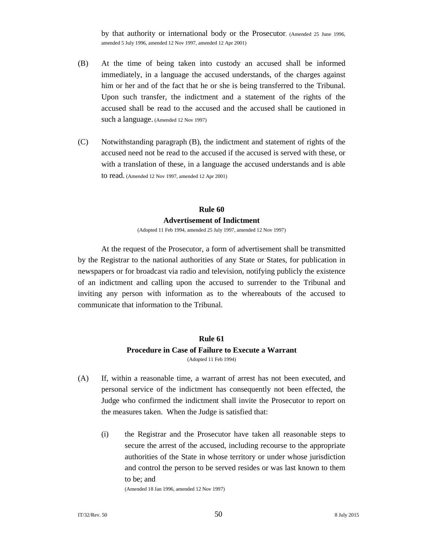by that authority or international body or the Prosecutor. (Amended 25 June 1996, amended 5 July 1996, amended 12 Nov 1997, amended 12 Apr 2001)

- (B) At the time of being taken into custody an accused shall be informed immediately, in a language the accused understands, of the charges against him or her and of the fact that he or she is being transferred to the Tribunal. Upon such transfer, the indictment and a statement of the rights of the accused shall be read to the accused and the accused shall be cautioned in such a language. (Amended 12 Nov 1997)
- (C) Notwithstanding paragraph (B), the indictment and statement of rights of the accused need not be read to the accused if the accused is served with these, or with a translation of these, in a language the accused understands and is able to read. (Amended 12 Nov 1997, amended 12 Apr 2001)

## **Rule 60 Advertisement of Indictment**

(Adopted 11 Feb 1994, amended 25 July 1997, amended 12 Nov 1997)

 At the request of the Prosecutor, a form of advertisement shall be transmitted by the Registrar to the national authorities of any State or States, for publication in newspapers or for broadcast via radio and television, notifying publicly the existence of an indictment and calling upon the accused to surrender to the Tribunal and inviting any person with information as to the whereabouts of the accused to communicate that information to the Tribunal.

# **Rule 61 Procedure in Case of Failure to Execute a Warrant**

(Adopted 11 Feb 1994)

- (A) If, within a reasonable time, a warrant of arrest has not been executed, and personal service of the indictment has consequently not been effected, the Judge who confirmed the indictment shall invite the Prosecutor to report on the measures taken. When the Judge is satisfied that:
	- (i) the Registrar and the Prosecutor have taken all reasonable steps to secure the arrest of the accused, including recourse to the appropriate authorities of the State in whose territory or under whose jurisdiction and control the person to be served resides or was last known to them to be; and

(Amended 18 Jan 1996, amended 12 Nov 1997)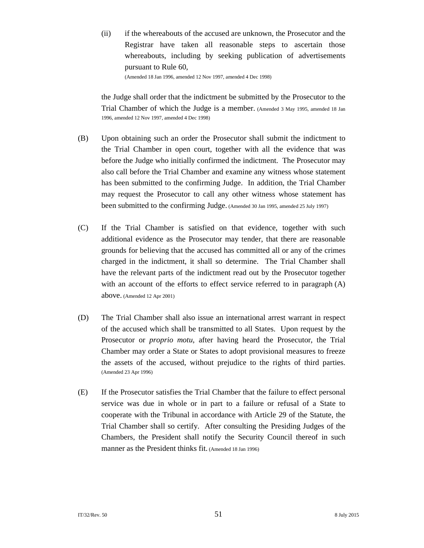(ii) if the whereabouts of the accused are unknown, the Prosecutor and the Registrar have taken all reasonable steps to ascertain those whereabouts, including by seeking publication of advertisements pursuant to Rule 60, (Amended 18 Jan 1996, amended 12 Nov 1997, amended 4 Dec 1998)

the Judge shall order that the indictment be submitted by the Prosecutor to the Trial Chamber of which the Judge is a member. (Amended 3 May 1995, amended 18 Jan 1996, amended 12 Nov 1997, amended 4 Dec 1998)

- (B) Upon obtaining such an order the Prosecutor shall submit the indictment to the Trial Chamber in open court, together with all the evidence that was before the Judge who initially confirmed the indictment. The Prosecutor may also call before the Trial Chamber and examine any witness whose statement has been submitted to the confirming Judge. In addition, the Trial Chamber may request the Prosecutor to call any other witness whose statement has been submitted to the confirming Judge. (Amended 30 Jan 1995, amended 25 July 1997)
- (C) If the Trial Chamber is satisfied on that evidence, together with such additional evidence as the Prosecutor may tender, that there are reasonable grounds for believing that the accused has committed all or any of the crimes charged in the indictment, it shall so determine. The Trial Chamber shall have the relevant parts of the indictment read out by the Prosecutor together with an account of the efforts to effect service referred to in paragraph (A) above. (Amended 12 Apr 2001)
- (D) The Trial Chamber shall also issue an international arrest warrant in respect of the accused which shall be transmitted to all States. Upon request by the Prosecutor or *proprio motu*, after having heard the Prosecutor, the Trial Chamber may order a State or States to adopt provisional measures to freeze the assets of the accused, without prejudice to the rights of third parties. (Amended 23 Apr 1996)
- (E) If the Prosecutor satisfies the Trial Chamber that the failure to effect personal service was due in whole or in part to a failure or refusal of a State to cooperate with the Tribunal in accordance with Article 29 of the Statute, the Trial Chamber shall so certify. After consulting the Presiding Judges of the Chambers, the President shall notify the Security Council thereof in such manner as the President thinks fit. (Amended 18 Jan 1996)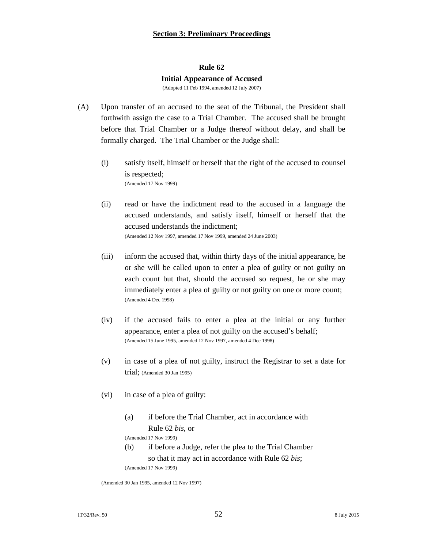## **Initial Appearance of Accused**

(Adopted 11 Feb 1994, amended 12 July 2007)

- (A) Upon transfer of an accused to the seat of the Tribunal, the President shall forthwith assign the case to a Trial Chamber. The accused shall be brought before that Trial Chamber or a Judge thereof without delay, and shall be formally charged. The Trial Chamber or the Judge shall:
	- (i) satisfy itself, himself or herself that the right of the accused to counsel is respected; (Amended 17 Nov 1999)
	- (ii) read or have the indictment read to the accused in a language the accused understands, and satisfy itself, himself or herself that the accused understands the indictment; (Amended 12 Nov 1997, amended 17 Nov 1999, amended 24 June 2003)
	- (iii) inform the accused that, within thirty days of the initial appearance, he or she will be called upon to enter a plea of guilty or not guilty on each count but that, should the accused so request, he or she may immediately enter a plea of guilty or not guilty on one or more count; (Amended 4 Dec 1998)
	- (iv) if the accused fails to enter a plea at the initial or any further appearance, enter a plea of not guilty on the accused's behalf; (Amended 15 June 1995, amended 12 Nov 1997, amended 4 Dec 1998)
	- (v) in case of a plea of not guilty, instruct the Registrar to set a date for trial; (Amended 30 Jan 1995)
	- (vi) in case of a plea of guilty:
		- (a) if before the Trial Chamber, act in accordance with Rule 62 *bis*, or

(Amended 17 Nov 1999)

(b) if before a Judge, refer the plea to the Trial Chamber so that it may act in accordance with Rule 62 *bis*; (Amended 17 Nov 1999)

(Amended 30 Jan 1995, amended 12 Nov 1997)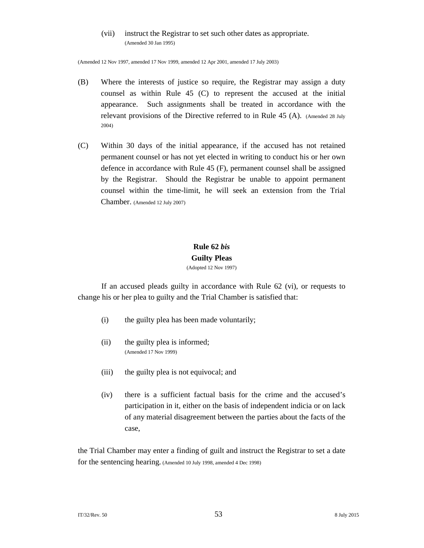### (vii) instruct the Registrar to set such other dates as appropriate. (Amended 30 Jan 1995)

(Amended 12 Nov 1997, amended 17 Nov 1999, amended 12 Apr 2001, amended 17 July 2003)

- (B) Where the interests of justice so require, the Registrar may assign a duty counsel as within Rule 45 (C) to represent the accused at the initial appearance. Such assignments shall be treated in accordance with the relevant provisions of the Directive referred to in Rule 45 (A). (Amended 28 July 2004)
- (C) Within 30 days of the initial appearance, if the accused has not retained permanent counsel or has not yet elected in writing to conduct his or her own defence in accordance with Rule 45 (F), permanent counsel shall be assigned by the Registrar. Should the Registrar be unable to appoint permanent counsel within the time-limit, he will seek an extension from the Trial Chamber. (Amended 12 July 2007)

# **Rule 62** *bis* **Guilty Pleas**

(Adopted 12 Nov 1997)

 If an accused pleads guilty in accordance with Rule 62 (vi), or requests to change his or her plea to guilty and the Trial Chamber is satisfied that:

- (i) the guilty plea has been made voluntarily;
- (ii) the guilty plea is informed; (Amended 17 Nov 1999)
- (iii) the guilty plea is not equivocal; and
- (iv) there is a sufficient factual basis for the crime and the accused's participation in it, either on the basis of independent indicia or on lack of any material disagreement between the parties about the facts of the case,

the Trial Chamber may enter a finding of guilt and instruct the Registrar to set a date for the sentencing hearing. (Amended 10 July 1998, amended 4 Dec 1998)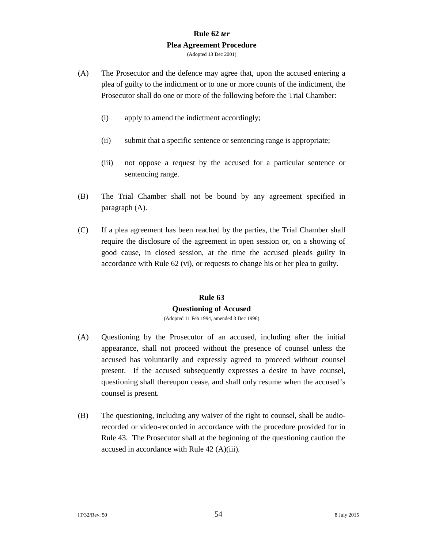# **Rule 62** *ter*  **Plea Agreement Procedure**

(Adopted 13 Dec 2001)

- (A) The Prosecutor and the defence may agree that, upon the accused entering a plea of guilty to the indictment or to one or more counts of the indictment, the Prosecutor shall do one or more of the following before the Trial Chamber:
	- (i) apply to amend the indictment accordingly;
	- (ii) submit that a specific sentence or sentencing range is appropriate;
	- (iii) not oppose a request by the accused for a particular sentence or sentencing range.
- (B) The Trial Chamber shall not be bound by any agreement specified in paragraph (A).
- (C) If a plea agreement has been reached by the parties, the Trial Chamber shall require the disclosure of the agreement in open session or, on a showing of good cause, in closed session, at the time the accused pleads guilty in accordance with Rule 62 (vi), or requests to change his or her plea to guilty.

## **Rule 63 Questioning of Accused**  (Adopted 11 Feb 1994, amended 3 Dec 1996)

- (A) Questioning by the Prosecutor of an accused, including after the initial appearance, shall not proceed without the presence of counsel unless the accused has voluntarily and expressly agreed to proceed without counsel present. If the accused subsequently expresses a desire to have counsel, questioning shall thereupon cease, and shall only resume when the accused's counsel is present.
- (B) The questioning, including any waiver of the right to counsel, shall be audiorecorded or video-recorded in accordance with the procedure provided for in Rule 43. The Prosecutor shall at the beginning of the questioning caution the accused in accordance with Rule 42 (A)(iii).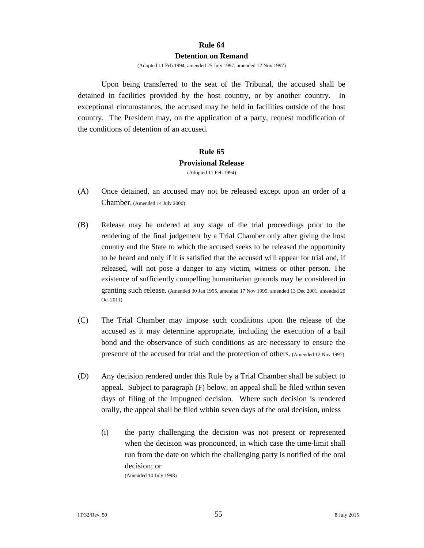#### **Detention on Remand**

(Adopted 11 Feb 1994, amended 25 July 1997, amended 12 Nov 1997)

 Upon being transferred to the seat of the Tribunal, the accused shall be detained in facilities provided by the host country, or by another country. In exceptional circumstances, the accused may be held in facilities outside of the host country. The President may, on the application of a party, request modification of the conditions of detention of an accused.

### **Rule 65 Provisional Release**

(Adopted 11 Feb 1994)

- (A) Once detained, an accused may not be released except upon an order of a Chamber. (Amended 14 July 2000)
- (B) Release may be ordered at any stage of the trial proceedings prior to the rendering of the final judgement by a Trial Chamber only after giving the host country and the State to which the accused seeks to be released the opportunity to be heard and only if it is satisfied that the accused will appear for trial and, if released, will not pose a danger to any victim, witness or other person. The existence of sufficiently compelling humanitarian grounds may be considered in granting such release. (Amended 30 Jan 1995, amended 17 Nov 1999, amended 13 Dec 2001, amended 20 Oct 2011)
- (C) The Trial Chamber may impose such conditions upon the release of the accused as it may determine appropriate, including the execution of a bail bond and the observance of such conditions as are necessary to ensure the presence of the accused for trial and the protection of others. (Amended 12 Nov 1997)
- (D) Any decision rendered under this Rule by a Trial Chamber shall be subject to appeal. Subject to paragraph (F) below, an appeal shall be filed within seven days of filing of the impugned decision. Where such decision is rendered orally, the appeal shall be filed within seven days of the oral decision, unless
	- (i) the party challenging the decision was not present or represented when the decision was pronounced, in which case the time-limit shall run from the date on which the challenging party is notified of the oral decision; or (Amended 10 July 1998)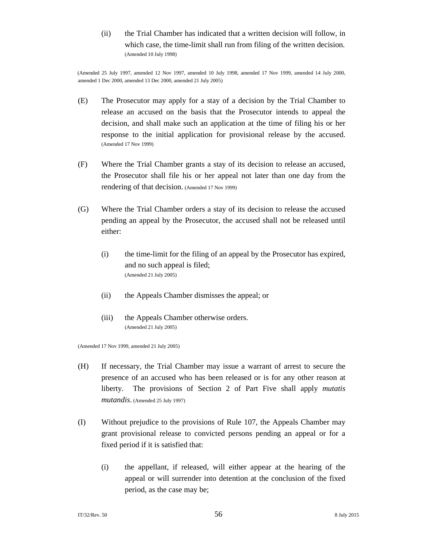(ii) the Trial Chamber has indicated that a written decision will follow, in which case, the time-limit shall run from filing of the written decision. (Amended 10 July 1998)

(Amended 25 July 1997, amended 12 Nov 1997, amended 10 July 1998, amended 17 Nov 1999, amended 14 July 2000, amended 1 Dec 2000, amended 13 Dec 2000, amended 21 July 2005)

- (E) The Prosecutor may apply for a stay of a decision by the Trial Chamber to release an accused on the basis that the Prosecutor intends to appeal the decision, and shall make such an application at the time of filing his or her response to the initial application for provisional release by the accused. (Amended 17 Nov 1999)
- (F) Where the Trial Chamber grants a stay of its decision to release an accused, the Prosecutor shall file his or her appeal not later than one day from the rendering of that decision. (Amended 17 Nov 1999)
- (G) Where the Trial Chamber orders a stay of its decision to release the accused pending an appeal by the Prosecutor, the accused shall not be released until either:
	- (i) the time-limit for the filing of an appeal by the Prosecutor has expired, and no such appeal is filed; (Amended 21 July 2005)
	- (ii) the Appeals Chamber dismisses the appeal; or
	- (iii) the Appeals Chamber otherwise orders. (Amended 21 July 2005)

(Amended 17 Nov 1999, amended 21 July 2005)

- (H) If necessary, the Trial Chamber may issue a warrant of arrest to secure the presence of an accused who has been released or is for any other reason at liberty. The provisions of Section 2 of Part Five shall apply *mutatis mutandis*. (Amended 25 July 1997)
- (I) Without prejudice to the provisions of Rule 107, the Appeals Chamber may grant provisional release to convicted persons pending an appeal or for a fixed period if it is satisfied that:
	- (i) the appellant, if released, will either appear at the hearing of the appeal or will surrender into detention at the conclusion of the fixed period, as the case may be;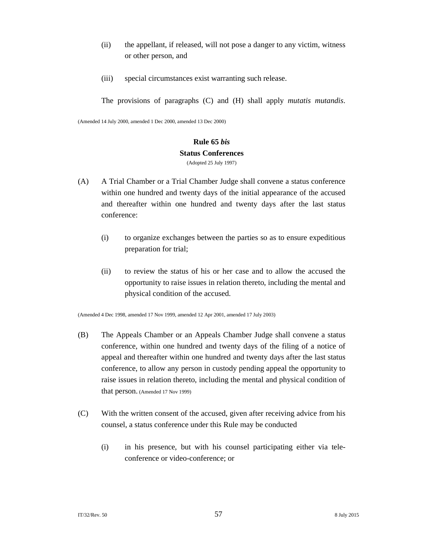- (ii) the appellant, if released, will not pose a danger to any victim, witness or other person, and
- (iii) special circumstances exist warranting such release.

The provisions of paragraphs (C) and (H) shall apply *mutatis mutandis*.

(Amended 14 July 2000, amended 1 Dec 2000, amended 13 Dec 2000)

# **Rule 65** *bis* **Status Conferences**

(Adopted 25 July 1997)

- (A) A Trial Chamber or a Trial Chamber Judge shall convene a status conference within one hundred and twenty days of the initial appearance of the accused and thereafter within one hundred and twenty days after the last status conference:
	- (i) to organize exchanges between the parties so as to ensure expeditious preparation for trial;
	- (ii) to review the status of his or her case and to allow the accused the opportunity to raise issues in relation thereto, including the mental and physical condition of the accused.

(Amended 4 Dec 1998, amended 17 Nov 1999, amended 12 Apr 2001, amended 17 July 2003)

- (B) The Appeals Chamber or an Appeals Chamber Judge shall convene a status conference, within one hundred and twenty days of the filing of a notice of appeal and thereafter within one hundred and twenty days after the last status conference, to allow any person in custody pending appeal the opportunity to raise issues in relation thereto, including the mental and physical condition of that person. (Amended 17 Nov 1999)
- (C) With the written consent of the accused, given after receiving advice from his counsel, a status conference under this Rule may be conducted
	- (i) in his presence, but with his counsel participating either via teleconference or video-conference; or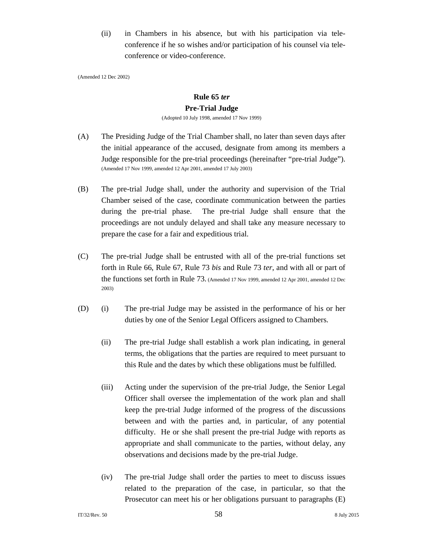(ii) in Chambers in his absence, but with his participation via teleconference if he so wishes and/or participation of his counsel via teleconference or video-conference.

(Amended 12 Dec 2002)

## **Rule 65** *ter*  **Pre-Trial Judge**

(Adopted 10 July 1998, amended 17 Nov 1999)

- (A) The Presiding Judge of the Trial Chamber shall, no later than seven days after the initial appearance of the accused, designate from among its members a Judge responsible for the pre-trial proceedings (hereinafter "pre-trial Judge"). (Amended 17 Nov 1999, amended 12 Apr 2001, amended 17 July 2003)
- (B) The pre-trial Judge shall, under the authority and supervision of the Trial Chamber seised of the case, coordinate communication between the parties during the pre-trial phase. The pre-trial Judge shall ensure that the proceedings are not unduly delayed and shall take any measure necessary to prepare the case for a fair and expeditious trial.
- (C) The pre-trial Judge shall be entrusted with all of the pre-trial functions set forth in Rule 66, Rule 67, Rule 73 *bis* and Rule 73 *ter*, and with all or part of the functions set forth in Rule 73. (Amended 17 Nov 1999, amended 12 Apr 2001, amended 12 Dec 2003)
- (D) (i) The pre-trial Judge may be assisted in the performance of his or her duties by one of the Senior Legal Officers assigned to Chambers.
	- (ii) The pre-trial Judge shall establish a work plan indicating, in general terms, the obligations that the parties are required to meet pursuant to this Rule and the dates by which these obligations must be fulfilled.
	- (iii) Acting under the supervision of the pre-trial Judge, the Senior Legal Officer shall oversee the implementation of the work plan and shall keep the pre-trial Judge informed of the progress of the discussions between and with the parties and, in particular, of any potential difficulty. He or she shall present the pre-trial Judge with reports as appropriate and shall communicate to the parties, without delay, any observations and decisions made by the pre-trial Judge.
	- (iv) The pre-trial Judge shall order the parties to meet to discuss issues related to the preparation of the case, in particular, so that the Prosecutor can meet his or her obligations pursuant to paragraphs (E)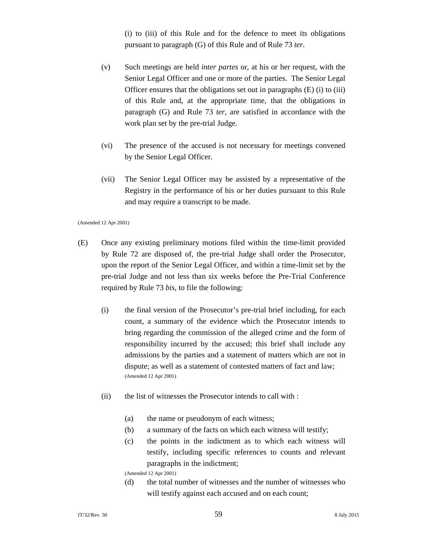(i) to (iii) of this Rule and for the defence to meet its obligations pursuant to paragraph (G) of this Rule and of Rule 73 *ter*.

- (v) Such meetings are held *inter partes* or, at his or her request, with the Senior Legal Officer and one or more of the parties. The Senior Legal Officer ensures that the obligations set out in paragraphs (E) (i) to (iii) of this Rule and, at the appropriate time, that the obligations in paragraph (G) and Rule 73 *ter*, are satisfied in accordance with the work plan set by the pre-trial Judge.
- (vi) The presence of the accused is not necessary for meetings convened by the Senior Legal Officer.
- (vii) The Senior Legal Officer may be assisted by a representative of the Registry in the performance of his or her duties pursuant to this Rule and may require a transcript to be made.

(Amended 12 Apr 2001)

- (E) Once any existing preliminary motions filed within the time-limit provided by Rule 72 are disposed of, the pre-trial Judge shall order the Prosecutor, upon the report of the Senior Legal Officer, and within a time-limit set by the pre-trial Judge and not less than six weeks before the Pre-Trial Conference required by Rule 73 *bis*, to file the following:
	- (i) the final version of the Prosecutor's pre-trial brief including, for each count, a summary of the evidence which the Prosecutor intends to bring regarding the commission of the alleged crime and the form of responsibility incurred by the accused; this brief shall include any admissions by the parties and a statement of matters which are not in dispute; as well as a statement of contested matters of fact and law; (Amended 12 Apr 2001)
	- (ii) the list of witnesses the Prosecutor intends to call with :
		- (a) the name or pseudonym of each witness;
		- (b) a summary of the facts on which each witness will testify;
		- (c) the points in the indictment as to which each witness will testify, including specific references to counts and relevant paragraphs in the indictment;

(Amended 12 Apr 2001)

(d) the total number of witnesses and the number of witnesses who will testify against each accused and on each count;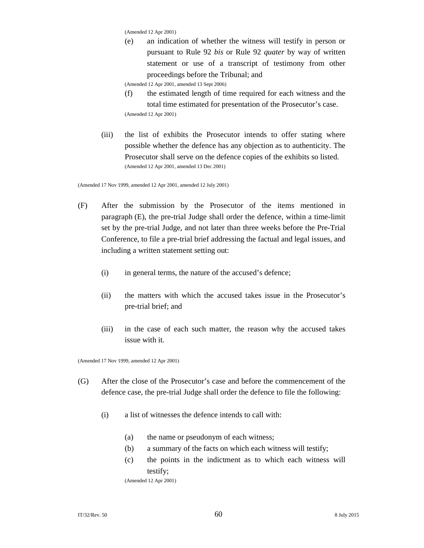(Amended 12 Apr 2001)

(e) an indication of whether the witness will testify in person or pursuant to Rule 92 *bis* or Rule 92 *quater* by way of written statement or use of a transcript of testimony from other proceedings before the Tribunal; and

(Amended 12 Apr 2001, amended 13 Sept 2006)

- (f) the estimated length of time required for each witness and the total time estimated for presentation of the Prosecutor's case. (Amended 12 Apr 2001)
- (iii) the list of exhibits the Prosecutor intends to offer stating where possible whether the defence has any objection as to authenticity. The Prosecutor shall serve on the defence copies of the exhibits so listed. (Amended 12 Apr 2001, amended 13 Dec 2001)

(Amended 17 Nov 1999, amended 12 Apr 2001, amended 12 July 2001)

- (F) After the submission by the Prosecutor of the items mentioned in paragraph (E), the pre-trial Judge shall order the defence, within a time-limit set by the pre-trial Judge, and not later than three weeks before the Pre-Trial Conference, to file a pre-trial brief addressing the factual and legal issues, and including a written statement setting out:
	- (i) in general terms, the nature of the accused's defence;
	- (ii) the matters with which the accused takes issue in the Prosecutor's pre-trial brief; and
	- (iii) in the case of each such matter, the reason why the accused takes issue with it.

(Amended 17 Nov 1999, amended 12 Apr 2001)

- (G) After the close of the Prosecutor's case and before the commencement of the defence case, the pre-trial Judge shall order the defence to file the following:
	- (i) a list of witnesses the defence intends to call with:
		- (a) the name or pseudonym of each witness;
		- (b) a summary of the facts on which each witness will testify;
		- (c) the points in the indictment as to which each witness will testify;

(Amended 12 Apr 2001)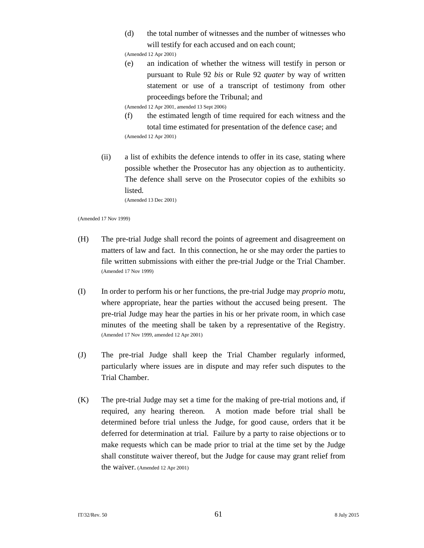- (d) the total number of witnesses and the number of witnesses who will testify for each accused and on each count;
- (Amended 12 Apr 2001)
- (e) an indication of whether the witness will testify in person or pursuant to Rule 92 *bis* or Rule 92 *quater* by way of written statement or use of a transcript of testimony from other proceedings before the Tribunal; and

(Amended 12 Apr 2001, amended 13 Sept 2006)

- (f) the estimated length of time required for each witness and the total time estimated for presentation of the defence case; and (Amended 12 Apr 2001)
- (ii) a list of exhibits the defence intends to offer in its case, stating where possible whether the Prosecutor has any objection as to authenticity. The defence shall serve on the Prosecutor copies of the exhibits so listed. (Amended 13 Dec 2001)

(Amended 17 Nov 1999)

- (H) The pre-trial Judge shall record the points of agreement and disagreement on matters of law and fact. In this connection, he or she may order the parties to file written submissions with either the pre-trial Judge or the Trial Chamber. (Amended 17 Nov 1999)
- (I) In order to perform his or her functions, the pre-trial Judge may *proprio motu*, where appropriate, hear the parties without the accused being present. The pre-trial Judge may hear the parties in his or her private room, in which case minutes of the meeting shall be taken by a representative of the Registry. (Amended 17 Nov 1999, amended 12 Apr 2001)
- (J) The pre-trial Judge shall keep the Trial Chamber regularly informed, particularly where issues are in dispute and may refer such disputes to the Trial Chamber.
- (K) The pre-trial Judge may set a time for the making of pre-trial motions and, if required, any hearing thereon. A motion made before trial shall be determined before trial unless the Judge, for good cause, orders that it be deferred for determination at trial. Failure by a party to raise objections or to make requests which can be made prior to trial at the time set by the Judge shall constitute waiver thereof, but the Judge for cause may grant relief from the waiver. (Amended 12 Apr 2001)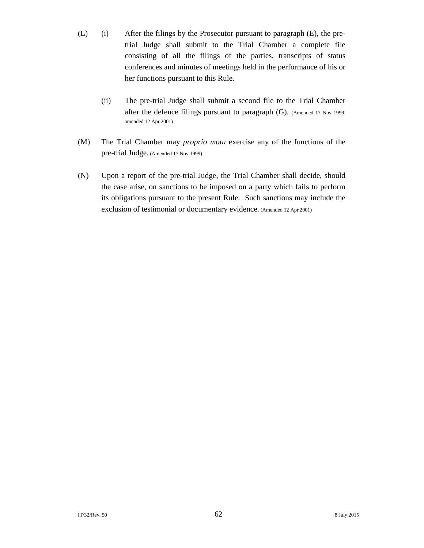- (L) (i) After the filings by the Prosecutor pursuant to paragraph (E), the pretrial Judge shall submit to the Trial Chamber a complete file consisting of all the filings of the parties, transcripts of status conferences and minutes of meetings held in the performance of his or her functions pursuant to this Rule.
	- (ii) The pre-trial Judge shall submit a second file to the Trial Chamber after the defence filings pursuant to paragraph (G). (Amended 17 Nov 1999, amended 12 Apr 2001)
- (M) The Trial Chamber may *proprio motu* exercise any of the functions of the pre-trial Judge. (Amended 17 Nov 1999)
- (N) Upon a report of the pre-trial Judge, the Trial Chamber shall decide, should the case arise, on sanctions to be imposed on a party which fails to perform its obligations pursuant to the present Rule. Such sanctions may include the exclusion of testimonial or documentary evidence. (Amended 12 Apr 2001)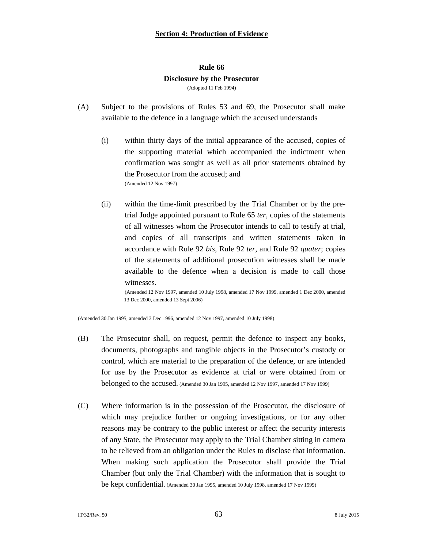## **Rule 66 Disclosure by the Prosecutor**  (Adopted 11 Feb 1994)

- (A) Subject to the provisions of Rules 53 and 69, the Prosecutor shall make available to the defence in a language which the accused understands
	- (i) within thirty days of the initial appearance of the accused, copies of the supporting material which accompanied the indictment when confirmation was sought as well as all prior statements obtained by the Prosecutor from the accused; and (Amended 12 Nov 1997)
	- (ii) within the time-limit prescribed by the Trial Chamber or by the pretrial Judge appointed pursuant to Rule 65 *ter*, copies of the statements of all witnesses whom the Prosecutor intends to call to testify at trial, and copies of all transcripts and written statements taken in accordance with Rule 92 *bis*, Rule 92 *ter*, and Rule 92 *quater*; copies of the statements of additional prosecution witnesses shall be made available to the defence when a decision is made to call those witnesses.

(Amended 12 Nov 1997, amended 10 July 1998, amended 17 Nov 1999, amended 1 Dec 2000, amended 13 Dec 2000, amended 13 Sept 2006)

(Amended 30 Jan 1995, amended 3 Dec 1996, amended 12 Nov 1997, amended 10 July 1998)

- (B) The Prosecutor shall, on request, permit the defence to inspect any books, documents, photographs and tangible objects in the Prosecutor's custody or control, which are material to the preparation of the defence, or are intended for use by the Prosecutor as evidence at trial or were obtained from or belonged to the accused. (Amended 30 Jan 1995, amended 12 Nov 1997, amended 17 Nov 1999)
- (C) Where information is in the possession of the Prosecutor, the disclosure of which may prejudice further or ongoing investigations, or for any other reasons may be contrary to the public interest or affect the security interests of any State, the Prosecutor may apply to the Trial Chamber sitting in camera to be relieved from an obligation under the Rules to disclose that information. When making such application the Prosecutor shall provide the Trial Chamber (but only the Trial Chamber) with the information that is sought to be kept confidential. (Amended 30 Jan 1995, amended 10 July 1998, amended 17 Nov 1999)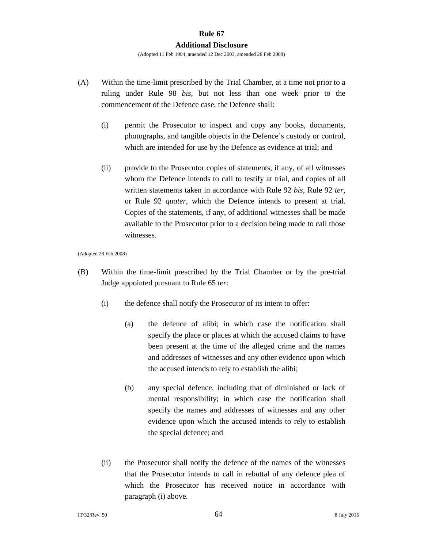#### **Additional Disclosure**

(Adopted 11 Feb 1994, amended 12 Dec 2003, amended 28 Feb 2008)

- (A) Within the time-limit prescribed by the Trial Chamber, at a time not prior to a ruling under Rule 98 *bis*, but not less than one week prior to the commencement of the Defence case, the Defence shall:
	- (i) permit the Prosecutor to inspect and copy any books, documents, photographs, and tangible objects in the Defence's custody or control, which are intended for use by the Defence as evidence at trial; and
	- (ii) provide to the Prosecutor copies of statements, if any, of all witnesses whom the Defence intends to call to testify at trial, and copies of all written statements taken in accordance with Rule 92 *bis*, Rule 92 *ter*, or Rule 92 *quater*, which the Defence intends to present at trial. Copies of the statements, if any, of additional witnesses shall be made available to the Prosecutor prior to a decision being made to call those witnesses.

(Adopted 28 Feb 2008)

- (B) Within the time-limit prescribed by the Trial Chamber or by the pre-trial Judge appointed pursuant to Rule 65 *ter*:
	- (i) the defence shall notify the Prosecutor of its intent to offer:
		- (a) the defence of alibi; in which case the notification shall specify the place or places at which the accused claims to have been present at the time of the alleged crime and the names and addresses of witnesses and any other evidence upon which the accused intends to rely to establish the alibi;
		- (b) any special defence, including that of diminished or lack of mental responsibility; in which case the notification shall specify the names and addresses of witnesses and any other evidence upon which the accused intends to rely to establish the special defence; and
	- (ii) the Prosecutor shall notify the defence of the names of the witnesses that the Prosecutor intends to call in rebuttal of any defence plea of which the Prosecutor has received notice in accordance with paragraph (i) above.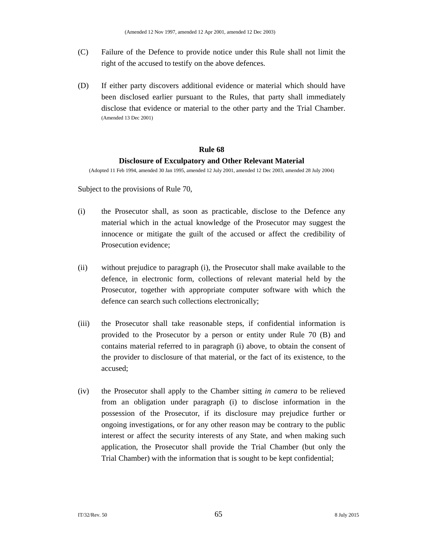- (C) Failure of the Defence to provide notice under this Rule shall not limit the right of the accused to testify on the above defences.
- (D) If either party discovers additional evidence or material which should have been disclosed earlier pursuant to the Rules, that party shall immediately disclose that evidence or material to the other party and the Trial Chamber. (Amended 13 Dec 2001)

### **Disclosure of Exculpatory and Other Relevant Material**

(Adopted 11 Feb 1994, amended 30 Jan 1995, amended 12 July 2001, amended 12 Dec 2003, amended 28 July 2004)

Subject to the provisions of Rule 70,

- (i) the Prosecutor shall, as soon as practicable, disclose to the Defence any material which in the actual knowledge of the Prosecutor may suggest the innocence or mitigate the guilt of the accused or affect the credibility of Prosecution evidence;
- (ii) without prejudice to paragraph (i), the Prosecutor shall make available to the defence, in electronic form, collections of relevant material held by the Prosecutor, together with appropriate computer software with which the defence can search such collections electronically;
- (iii) the Prosecutor shall take reasonable steps, if confidential information is provided to the Prosecutor by a person or entity under Rule 70 (B) and contains material referred to in paragraph (i) above, to obtain the consent of the provider to disclosure of that material, or the fact of its existence, to the accused;
- (iv) the Prosecutor shall apply to the Chamber sitting *in camera* to be relieved from an obligation under paragraph (i) to disclose information in the possession of the Prosecutor, if its disclosure may prejudice further or ongoing investigations, or for any other reason may be contrary to the public interest or affect the security interests of any State, and when making such application, the Prosecutor shall provide the Trial Chamber (but only the Trial Chamber) with the information that is sought to be kept confidential;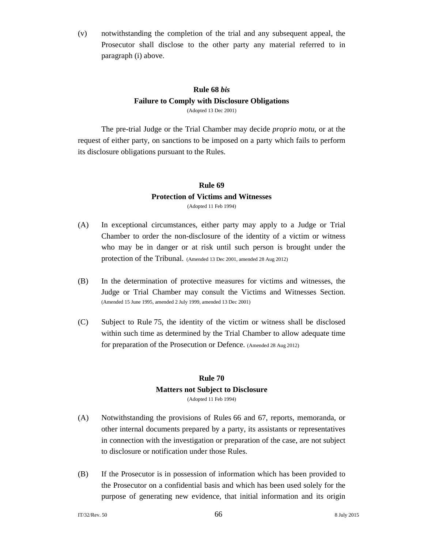(v) notwithstanding the completion of the trial and any subsequent appeal, the Prosecutor shall disclose to the other party any material referred to in paragraph (i) above.

## **Rule 68** *bis* **Failure to Comply with Disclosure Obligations**  (Adopted 13 Dec 2001)

 The pre-trial Judge or the Trial Chamber may decide *proprio motu*, or at the request of either party, on sanctions to be imposed on a party which fails to perform its disclosure obligations pursuant to the Rules.

### **Rule 69**

### **Protection of Victims and Witnesses**

(Adopted 11 Feb 1994)

- (A) In exceptional circumstances, either party may apply to a Judge or Trial Chamber to order the non-disclosure of the identity of a victim or witness who may be in danger or at risk until such person is brought under the protection of the Tribunal. (Amended 13 Dec 2001, amended 28 Aug 2012)
- (B) In the determination of protective measures for victims and witnesses, the Judge or Trial Chamber may consult the Victims and Witnesses Section. (Amended 15 June 1995, amended 2 July 1999, amended 13 Dec 2001)
- (C) Subject to Rule 75, the identity of the victim or witness shall be disclosed within such time as determined by the Trial Chamber to allow adequate time for preparation of the Prosecution or Defence. (Amended 28 Aug 2012)

# **Rule 70 Matters not Subject to Disclosure**

(Adopted 11 Feb 1994)

- (A) Notwithstanding the provisions of Rules 66 and 67, reports, memoranda, or other internal documents prepared by a party, its assistants or representatives in connection with the investigation or preparation of the case, are not subject to disclosure or notification under those Rules.
- (B) If the Prosecutor is in possession of information which has been provided to the Prosecutor on a confidential basis and which has been used solely for the purpose of generating new evidence, that initial information and its origin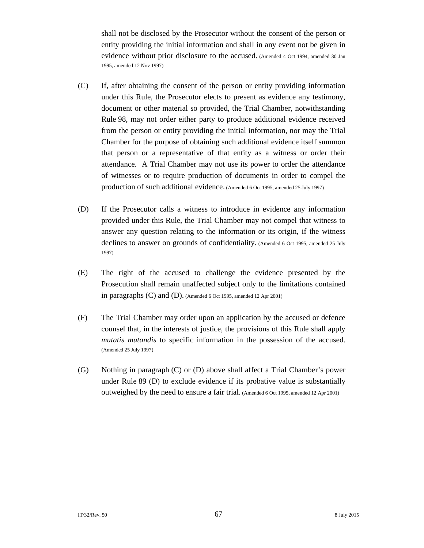shall not be disclosed by the Prosecutor without the consent of the person or entity providing the initial information and shall in any event not be given in evidence without prior disclosure to the accused. (Amended 4 Oct 1994, amended 30 Jan 1995, amended 12 Nov 1997)

- (C) If, after obtaining the consent of the person or entity providing information under this Rule, the Prosecutor elects to present as evidence any testimony, document or other material so provided, the Trial Chamber, notwithstanding Rule 98, may not order either party to produce additional evidence received from the person or entity providing the initial information, nor may the Trial Chamber for the purpose of obtaining such additional evidence itself summon that person or a representative of that entity as a witness or order their attendance. A Trial Chamber may not use its power to order the attendance of witnesses or to require production of documents in order to compel the production of such additional evidence. (Amended 6 Oct 1995, amended 25 July 1997)
- (D) If the Prosecutor calls a witness to introduce in evidence any information provided under this Rule, the Trial Chamber may not compel that witness to answer any question relating to the information or its origin, if the witness declines to answer on grounds of confidentiality. (Amended 6 Oct 1995, amended 25 July 1997)
- (E) The right of the accused to challenge the evidence presented by the Prosecution shall remain unaffected subject only to the limitations contained in paragraphs  $(C)$  and  $(D)$ . (Amended 6 Oct 1995, amended 12 Apr 2001)
- (F) The Trial Chamber may order upon an application by the accused or defence counsel that, in the interests of justice, the provisions of this Rule shall apply *mutatis mutandis* to specific information in the possession of the accused. (Amended 25 July 1997)
- (G) Nothing in paragraph (C) or (D) above shall affect a Trial Chamber's power under Rule 89 (D) to exclude evidence if its probative value is substantially outweighed by the need to ensure a fair trial. (Amended 6 Oct 1995, amended 12 Apr 2001)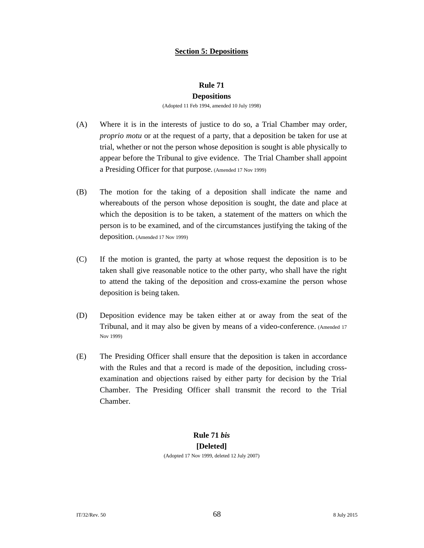## **Section 5: Depositions**

### **Rule 71**

### **Depositions**

(Adopted 11 Feb 1994, amended 10 July 1998)

- (A) Where it is in the interests of justice to do so, a Trial Chamber may order, *proprio motu* or at the request of a party, that a deposition be taken for use at trial, whether or not the person whose deposition is sought is able physically to appear before the Tribunal to give evidence. The Trial Chamber shall appoint a Presiding Officer for that purpose. (Amended 17 Nov 1999)
- (B) The motion for the taking of a deposition shall indicate the name and whereabouts of the person whose deposition is sought, the date and place at which the deposition is to be taken, a statement of the matters on which the person is to be examined, and of the circumstances justifying the taking of the deposition. (Amended 17 Nov 1999)
- (C) If the motion is granted, the party at whose request the deposition is to be taken shall give reasonable notice to the other party, who shall have the right to attend the taking of the deposition and cross-examine the person whose deposition is being taken.
- (D) Deposition evidence may be taken either at or away from the seat of the Tribunal, and it may also be given by means of a video-conference. (Amended 17 Nov 1999)
- (E) The Presiding Officer shall ensure that the deposition is taken in accordance with the Rules and that a record is made of the deposition, including crossexamination and objections raised by either party for decision by the Trial Chamber. The Presiding Officer shall transmit the record to the Trial Chamber.

**Rule 71** *bis* **[Deleted]**  (Adopted 17 Nov 1999, deleted 12 July 2007)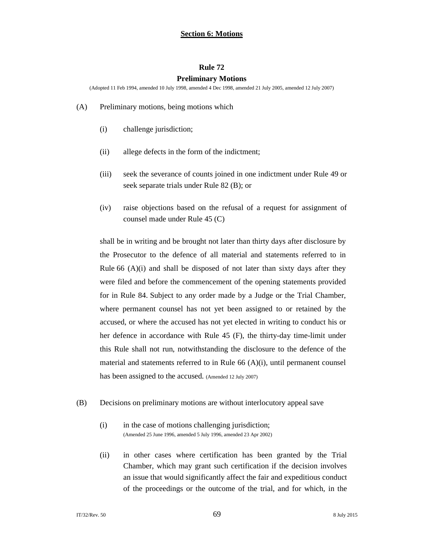### **Preliminary Motions**

(Adopted 11 Feb 1994, amended 10 July 1998, amended 4 Dec 1998, amended 21 July 2005, amended 12 July 2007)

- (A) Preliminary motions, being motions which
	- (i) challenge jurisdiction;
	- (ii) allege defects in the form of the indictment;
	- (iii) seek the severance of counts joined in one indictment under Rule 49 or seek separate trials under Rule 82 (B); or
	- (iv) raise objections based on the refusal of a request for assignment of counsel made under Rule 45 (C)

shall be in writing and be brought not later than thirty days after disclosure by the Prosecutor to the defence of all material and statements referred to in Rule 66  $(A)(i)$  and shall be disposed of not later than sixty days after they were filed and before the commencement of the opening statements provided for in Rule 84. Subject to any order made by a Judge or the Trial Chamber, where permanent counsel has not yet been assigned to or retained by the accused, or where the accused has not yet elected in writing to conduct his or her defence in accordance with Rule 45 (F), the thirty-day time-limit under this Rule shall not run, notwithstanding the disclosure to the defence of the material and statements referred to in Rule 66 (A)(i), until permanent counsel has been assigned to the accused. (Amended 12 July 2007)

- (B) Decisions on preliminary motions are without interlocutory appeal save
	- (i) in the case of motions challenging jurisdiction; (Amended 25 June 1996, amended 5 July 1996, amended 23 Apr 2002)
	- (ii) in other cases where certification has been granted by the Trial Chamber, which may grant such certification if the decision involves an issue that would significantly affect the fair and expeditious conduct of the proceedings or the outcome of the trial, and for which, in the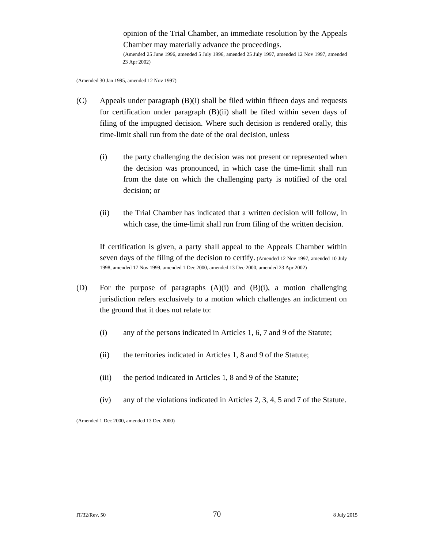opinion of the Trial Chamber, an immediate resolution by the Appeals Chamber may materially advance the proceedings. (Amended 25 June 1996, amended 5 July 1996, amended 25 July 1997, amended 12 Nov 1997, amended 23 Apr 2002)

(Amended 30 Jan 1995, amended 12 Nov 1997)

- (C) Appeals under paragraph (B)(i) shall be filed within fifteen days and requests for certification under paragraph (B)(ii) shall be filed within seven days of filing of the impugned decision. Where such decision is rendered orally, this time-limit shall run from the date of the oral decision, unless
	- (i) the party challenging the decision was not present or represented when the decision was pronounced, in which case the time-limit shall run from the date on which the challenging party is notified of the oral decision; or
	- (ii) the Trial Chamber has indicated that a written decision will follow, in which case, the time-limit shall run from filing of the written decision.

If certification is given, a party shall appeal to the Appeals Chamber within seven days of the filing of the decision to certify. (Amended 12 Nov 1997, amended 10 July 1998, amended 17 Nov 1999, amended 1 Dec 2000, amended 13 Dec 2000, amended 23 Apr 2002)

- (D) For the purpose of paragraphs (A)(i) and (B)(i), a motion challenging jurisdiction refers exclusively to a motion which challenges an indictment on the ground that it does not relate to:
	- (i) any of the persons indicated in Articles 1, 6, 7 and 9 of the Statute;
	- (ii) the territories indicated in Articles 1, 8 and 9 of the Statute;
	- (iii) the period indicated in Articles 1, 8 and 9 of the Statute;
	- (iv) any of the violations indicated in Articles 2, 3, 4, 5 and 7 of the Statute.

(Amended 1 Dec 2000, amended 13 Dec 2000)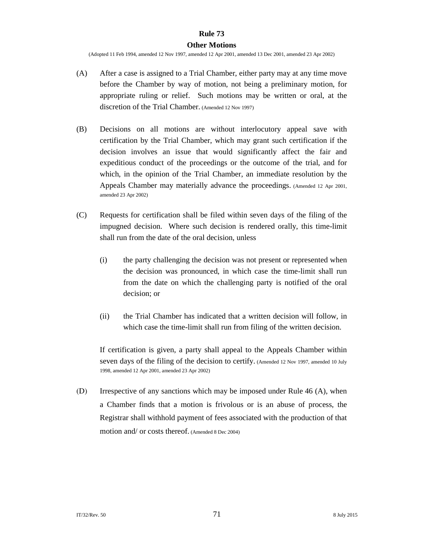### **Other Motions**

(Adopted 11 Feb 1994, amended 12 Nov 1997, amended 12 Apr 2001, amended 13 Dec 2001, amended 23 Apr 2002)

- (A) After a case is assigned to a Trial Chamber, either party may at any time move before the Chamber by way of motion, not being a preliminary motion, for appropriate ruling or relief. Such motions may be written or oral, at the discretion of the Trial Chamber. (Amended 12 Nov 1997)
- (B) Decisions on all motions are without interlocutory appeal save with certification by the Trial Chamber, which may grant such certification if the decision involves an issue that would significantly affect the fair and expeditious conduct of the proceedings or the outcome of the trial, and for which, in the opinion of the Trial Chamber, an immediate resolution by the Appeals Chamber may materially advance the proceedings. (Amended 12 Apr 2001, amended 23 Apr 2002)
- (C) Requests for certification shall be filed within seven days of the filing of the impugned decision. Where such decision is rendered orally, this time-limit shall run from the date of the oral decision, unless
	- (i) the party challenging the decision was not present or represented when the decision was pronounced, in which case the time-limit shall run from the date on which the challenging party is notified of the oral decision; or
	- (ii) the Trial Chamber has indicated that a written decision will follow, in which case the time-limit shall run from filing of the written decision.

If certification is given, a party shall appeal to the Appeals Chamber within seven days of the filing of the decision to certify. (Amended 12 Nov 1997, amended 10 July 1998, amended 12 Apr 2001, amended 23 Apr 2002)

(D) Irrespective of any sanctions which may be imposed under Rule 46 (A), when a Chamber finds that a motion is frivolous or is an abuse of process, the Registrar shall withhold payment of fees associated with the production of that motion and/ or costs thereof. (Amended 8 Dec 2004)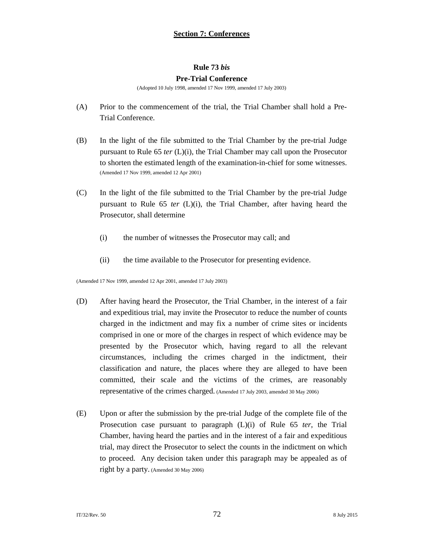### **Rule 73** *bis* **Pre-Trial Conference**

(Adopted 10 July 1998, amended 17 Nov 1999, amended 17 July 2003)

- (A) Prior to the commencement of the trial, the Trial Chamber shall hold a Pre-Trial Conference.
- (B) In the light of the file submitted to the Trial Chamber by the pre-trial Judge pursuant to Rule 65 *ter* (L)(i), the Trial Chamber may call upon the Prosecutor to shorten the estimated length of the examination-in-chief for some witnesses. (Amended 17 Nov 1999, amended 12 Apr 2001)
- (C) In the light of the file submitted to the Trial Chamber by the pre-trial Judge pursuant to Rule 65 *ter* (L)(i), the Trial Chamber, after having heard the Prosecutor, shall determine
	- (i) the number of witnesses the Prosecutor may call; and
	- (ii) the time available to the Prosecutor for presenting evidence.

(Amended 17 Nov 1999, amended 12 Apr 2001, amended 17 July 2003)

- (D) After having heard the Prosecutor, the Trial Chamber, in the interest of a fair and expeditious trial, may invite the Prosecutor to reduce the number of counts charged in the indictment and may fix a number of crime sites or incidents comprised in one or more of the charges in respect of which evidence may be presented by the Prosecutor which, having regard to all the relevant circumstances, including the crimes charged in the indictment, their classification and nature, the places where they are alleged to have been committed, their scale and the victims of the crimes, are reasonably representative of the crimes charged. (Amended 17 July 2003, amended 30 May 2006)
- (E) Upon or after the submission by the pre-trial Judge of the complete file of the Prosecution case pursuant to paragraph (L)(i) of Rule 65 *ter*, the Trial Chamber, having heard the parties and in the interest of a fair and expeditious trial, may direct the Prosecutor to select the counts in the indictment on which to proceed. Any decision taken under this paragraph may be appealed as of right by a party. (Amended 30 May 2006)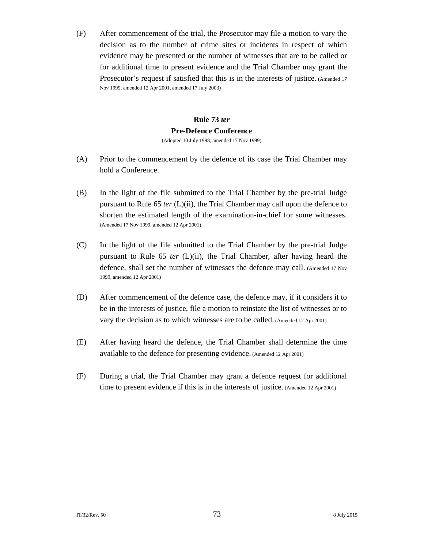(F) After commencement of the trial, the Prosecutor may file a motion to vary the decision as to the number of crime sites or incidents in respect of which evidence may be presented or the number of witnesses that are to be called or for additional time to present evidence and the Trial Chamber may grant the Prosecutor's request if satisfied that this is in the interests of justice. (Amended 17 Nov 1999, amended 12 Apr 2001, amended 17 July 2003)

# **Rule 73** *ter*  **Pre-Defence Conference**

(Adopted 10 July 1998, amended 17 Nov 1999)

- (A) Prior to the commencement by the defence of its case the Trial Chamber may hold a Conference.
- (B) In the light of the file submitted to the Trial Chamber by the pre-trial Judge pursuant to Rule 65 *ter* (L)(ii), the Trial Chamber may call upon the defence to shorten the estimated length of the examination-in-chief for some witnesses. (Amended 17 Nov 1999, amended 12 Apr 2001)
- (C) In the light of the file submitted to the Trial Chamber by the pre-trial Judge pursuant to Rule 65 *ter* (L)(ii), the Trial Chamber, after having heard the defence, shall set the number of witnesses the defence may call. (Amended 17 Nov 1999, amended 12 Apr 2001)
- (D) After commencement of the defence case, the defence may, if it considers it to be in the interests of justice, file a motion to reinstate the list of witnesses or to vary the decision as to which witnesses are to be called. (Amended 12 Apr 2001)
- (E) After having heard the defence, the Trial Chamber shall determine the time available to the defence for presenting evidence. (Amended 12 Apr 2001)
- (F) During a trial, the Trial Chamber may grant a defence request for additional time to present evidence if this is in the interests of justice. (Amended 12 Apr 2001)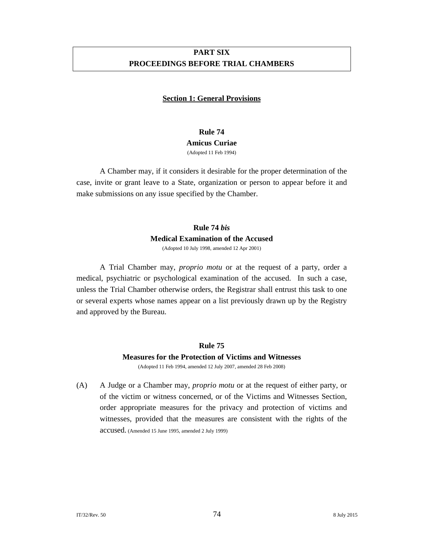## **PART SIX PROCEEDINGS BEFORE TRIAL CHAMBERS**

### **Section 1: General Provisions**

# **Rule 74**

### **Amicus Curiae**

(Adopted 11 Feb 1994)

 A Chamber may, if it considers it desirable for the proper determination of the case, invite or grant leave to a State, organization or person to appear before it and make submissions on any issue specified by the Chamber.

# **Rule 74** *bis* **Medical Examination of the Accused**

(Adopted 10 July 1998, amended 12 Apr 2001)

A Trial Chamber may, *proprio motu* or at the request of a party, order a medical, psychiatric or psychological examination of the accused. In such a case, unless the Trial Chamber otherwise orders, the Registrar shall entrust this task to one or several experts whose names appear on a list previously drawn up by the Registry and approved by the Bureau.

### **Rule 75**

## **Measures for the Protection of Victims and Witnesses**

(Adopted 11 Feb 1994, amended 12 July 2007, amended 28 Feb 2008)

(A) A Judge or a Chamber may, *proprio motu* or at the request of either party, or of the victim or witness concerned, or of the Victims and Witnesses Section, order appropriate measures for the privacy and protection of victims and witnesses, provided that the measures are consistent with the rights of the accused. (Amended 15 June 1995, amended 2 July 1999)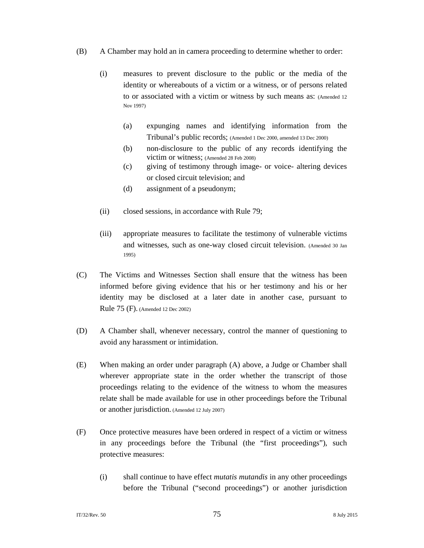- (B) A Chamber may hold an in camera proceeding to determine whether to order:
	- (i) measures to prevent disclosure to the public or the media of the identity or whereabouts of a victim or a witness, or of persons related to or associated with a victim or witness by such means as: (Amended 12 Nov 1997)
		- (a) expunging names and identifying information from the Tribunal's public records; (Amended 1 Dec 2000, amended 13 Dec 2000)
		- (b) non-disclosure to the public of any records identifying the victim or witness; (Amended 28 Feb 2008)
		- (c) giving of testimony through image- or voice- altering devices or closed circuit television; and
		- (d) assignment of a pseudonym;
	- (ii) closed sessions, in accordance with Rule 79;
	- (iii) appropriate measures to facilitate the testimony of vulnerable victims and witnesses, such as one-way closed circuit television. (Amended 30 Jan 1995)
- (C) The Victims and Witnesses Section shall ensure that the witness has been informed before giving evidence that his or her testimony and his or her identity may be disclosed at a later date in another case, pursuant to Rule 75 (F). (Amended 12 Dec 2002)
- (D) A Chamber shall, whenever necessary, control the manner of questioning to avoid any harassment or intimidation.
- (E) When making an order under paragraph (A) above, a Judge or Chamber shall wherever appropriate state in the order whether the transcript of those proceedings relating to the evidence of the witness to whom the measures relate shall be made available for use in other proceedings before the Tribunal or another jurisdiction. (Amended 12 July 2007)
- (F) Once protective measures have been ordered in respect of a victim or witness in any proceedings before the Tribunal (the "first proceedings"), such protective measures:
	- (i) shall continue to have effect *mutatis mutandis* in any other proceedings before the Tribunal ("second proceedings") or another jurisdiction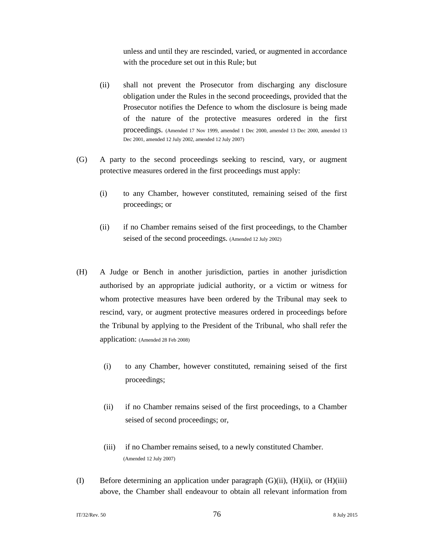unless and until they are rescinded, varied, or augmented in accordance with the procedure set out in this Rule; but

- (ii) shall not prevent the Prosecutor from discharging any disclosure obligation under the Rules in the second proceedings, provided that the Prosecutor notifies the Defence to whom the disclosure is being made of the nature of the protective measures ordered in the first proceedings. (Amended 17 Nov 1999, amended 1 Dec 2000, amended 13 Dec 2000, amended 13 Dec 2001, amended 12 July 2002, amended 12 July 2007)
- (G) A party to the second proceedings seeking to rescind, vary, or augment protective measures ordered in the first proceedings must apply:
	- (i) to any Chamber, however constituted, remaining seised of the first proceedings; or
	- (ii) if no Chamber remains seised of the first proceedings, to the Chamber seised of the second proceedings. (Amended 12 July 2002)
- (H) A Judge or Bench in another jurisdiction, parties in another jurisdiction authorised by an appropriate judicial authority, or a victim or witness for whom protective measures have been ordered by the Tribunal may seek to rescind, vary, or augment protective measures ordered in proceedings before the Tribunal by applying to the President of the Tribunal, who shall refer the application: (Amended 28 Feb 2008)
	- (i) to any Chamber, however constituted, remaining seised of the first proceedings;
	- (ii) if no Chamber remains seised of the first proceedings, to a Chamber seised of second proceedings; or,
	- (iii) if no Chamber remains seised, to a newly constituted Chamber. (Amended 12 July 2007)
- (I) Before determining an application under paragraph  $(G)(ii)$ ,  $(H)(ii)$ , or  $(H)(iii)$ above, the Chamber shall endeavour to obtain all relevant information from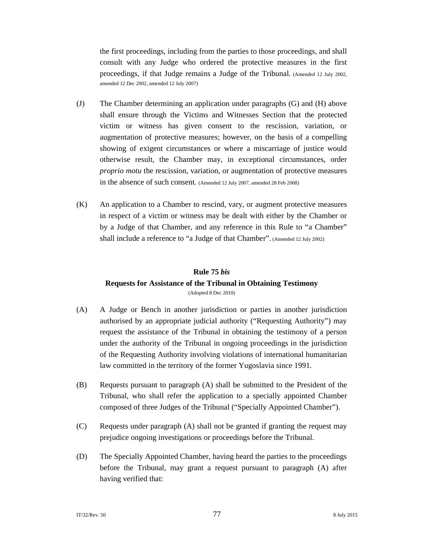the first proceedings, including from the parties to those proceedings, and shall consult with any Judge who ordered the protective measures in the first proceedings, if that Judge remains a Judge of the Tribunal. (Amended 12 July 2002, amended 12 Dec 2002, amended 12 July 2007)

- (J) The Chamber determining an application under paragraphs (G) and (H) above shall ensure through the Victims and Witnesses Section that the protected victim or witness has given consent to the rescission, variation, or augmentation of protective measures; however, on the basis of a compelling showing of exigent circumstances or where a miscarriage of justice would otherwise result, the Chamber may, in exceptional circumstances, order *proprio motu* the rescission, variation, or augmentation of protective measures in the absence of such consent. (Amended 12 July 2007, amended 28 Feb 2008)
- (K) An application to a Chamber to rescind, vary, or augment protective measures in respect of a victim or witness may be dealt with either by the Chamber or by a Judge of that Chamber, and any reference in this Rule to "a Chamber" shall include a reference to "a Judge of that Chamber". (Amended 12 July 2002)

# **Rule 75** *bis* **Requests for Assistance of the Tribunal in Obtaining Testimony**  (Adopted 8 Dec 2010)

- (A) A Judge or Bench in another jurisdiction or parties in another jurisdiction authorised by an appropriate judicial authority ("Requesting Authority") may request the assistance of the Tribunal in obtaining the testimony of a person under the authority of the Tribunal in ongoing proceedings in the jurisdiction of the Requesting Authority involving violations of international humanitarian law committed in the territory of the former Yugoslavia since 1991.
- (B) Requests pursuant to paragraph (A) shall be submitted to the President of the Tribunal, who shall refer the application to a specially appointed Chamber composed of three Judges of the Tribunal ("Specially Appointed Chamber").
- (C) Requests under paragraph (A) shall not be granted if granting the request may prejudice ongoing investigations or proceedings before the Tribunal.
- (D) The Specially Appointed Chamber, having heard the parties to the proceedings before the Tribunal, may grant a request pursuant to paragraph (A) after having verified that: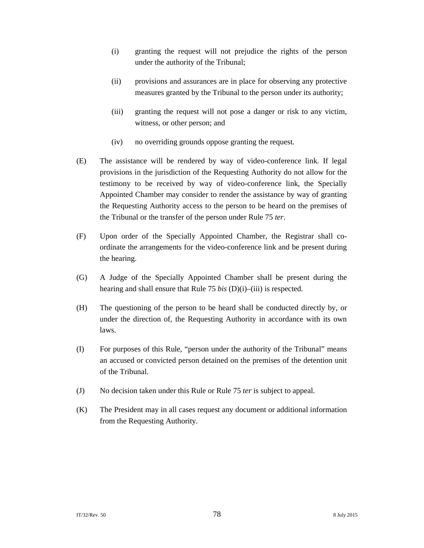- (i) granting the request will not prejudice the rights of the person under the authority of the Tribunal;
- (ii) provisions and assurances are in place for observing any protective measures granted by the Tribunal to the person under its authority;
- (iii) granting the request will not pose a danger or risk to any victim, witness, or other person; and
- (iv) no overriding grounds oppose granting the request.
- (E) The assistance will be rendered by way of video-conference link. If legal provisions in the jurisdiction of the Requesting Authority do not allow for the testimony to be received by way of video-conference link, the Specially Appointed Chamber may consider to render the assistance by way of granting the Requesting Authority access to the person to be heard on the premises of the Tribunal or the transfer of the person under Rule 75 *ter*.
- (F) Upon order of the Specially Appointed Chamber, the Registrar shall coordinate the arrangements for the video-conference link and be present during the hearing.
- (G) A Judge of the Specially Appointed Chamber shall be present during the hearing and shall ensure that Rule 75 *bis* (D)(i)–(iii) is respected.
- (H) The questioning of the person to be heard shall be conducted directly by, or under the direction of, the Requesting Authority in accordance with its own laws.
- (I) For purposes of this Rule, "person under the authority of the Tribunal" means an accused or convicted person detained on the premises of the detention unit of the Tribunal.
- (J) No decision taken under this Rule or Rule 75 *ter* is subject to appeal.
- (K) The President may in all cases request any document or additional information from the Requesting Authority.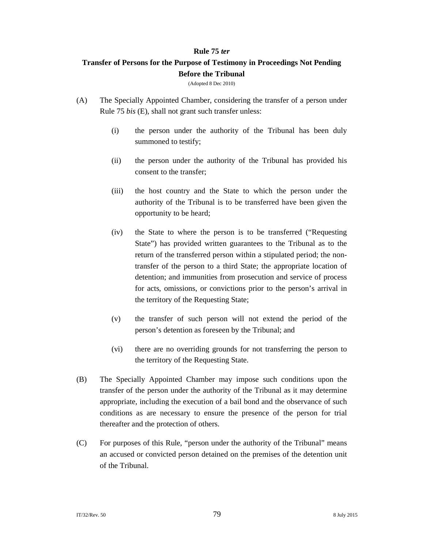### **Rule 75** *ter*

# **Transfer of Persons for the Purpose of Testimony in Proceedings Not Pending Before the Tribunal**

(Adopted 8 Dec 2010)

- (A) The Specially Appointed Chamber, considering the transfer of a person under Rule 75 *bis* (E), shall not grant such transfer unless:
	- (i) the person under the authority of the Tribunal has been duly summoned to testify;
	- (ii) the person under the authority of the Tribunal has provided his consent to the transfer;
	- (iii) the host country and the State to which the person under the authority of the Tribunal is to be transferred have been given the opportunity to be heard;
	- (iv) the State to where the person is to be transferred ("Requesting State") has provided written guarantees to the Tribunal as to the return of the transferred person within a stipulated period; the nontransfer of the person to a third State; the appropriate location of detention; and immunities from prosecution and service of process for acts, omissions, or convictions prior to the person's arrival in the territory of the Requesting State;
	- (v) the transfer of such person will not extend the period of the person's detention as foreseen by the Tribunal; and
	- (vi) there are no overriding grounds for not transferring the person to the territory of the Requesting State.
- (B) The Specially Appointed Chamber may impose such conditions upon the transfer of the person under the authority of the Tribunal as it may determine appropriate, including the execution of a bail bond and the observance of such conditions as are necessary to ensure the presence of the person for trial thereafter and the protection of others.
- (C) For purposes of this Rule, "person under the authority of the Tribunal" means an accused or convicted person detained on the premises of the detention unit of the Tribunal.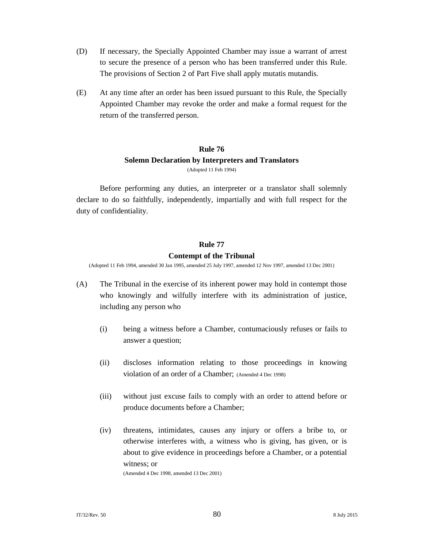- (D) If necessary, the Specially Appointed Chamber may issue a warrant of arrest to secure the presence of a person who has been transferred under this Rule. The provisions of Section 2 of Part Five shall apply mutatis mutandis.
- (E) At any time after an order has been issued pursuant to this Rule, the Specially Appointed Chamber may revoke the order and make a formal request for the return of the transferred person.

## **Rule 76 Solemn Declaration by Interpreters and Translators**  (Adopted 11 Feb 1994)

 Before performing any duties, an interpreter or a translator shall solemnly declare to do so faithfully, independently, impartially and with full respect for the duty of confidentiality.

## **Rule 77**

### **Contempt of the Tribunal**

(Adopted 11 Feb 1994, amended 30 Jan 1995, amended 25 July 1997, amended 12 Nov 1997, amended 13 Dec 2001)

- (A) The Tribunal in the exercise of its inherent power may hold in contempt those who knowingly and wilfully interfere with its administration of justice, including any person who
	- (i) being a witness before a Chamber, contumaciously refuses or fails to answer a question;
	- (ii) discloses information relating to those proceedings in knowing violation of an order of a Chamber; (Amended 4 Dec 1998)
	- (iii) without just excuse fails to comply with an order to attend before or produce documents before a Chamber;
	- (iv) threatens, intimidates, causes any injury or offers a bribe to, or otherwise interferes with, a witness who is giving, has given, or is about to give evidence in proceedings before a Chamber, or a potential witness; or (Amended 4 Dec 1998, amended 13 Dec 2001)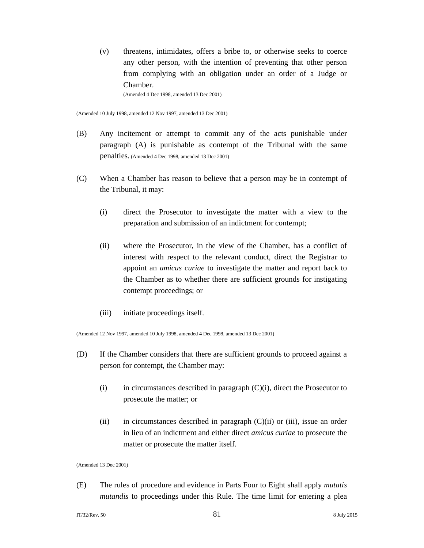(v) threatens, intimidates, offers a bribe to, or otherwise seeks to coerce any other person, with the intention of preventing that other person from complying with an obligation under an order of a Judge or Chamber.

(Amended 4 Dec 1998, amended 13 Dec 2001)

(Amended 10 July 1998, amended 12 Nov 1997, amended 13 Dec 2001)

- (B) Any incitement or attempt to commit any of the acts punishable under paragraph (A) is punishable as contempt of the Tribunal with the same penalties. (Amended 4 Dec 1998, amended 13 Dec 2001)
- (C) When a Chamber has reason to believe that a person may be in contempt of the Tribunal, it may:
	- (i) direct the Prosecutor to investigate the matter with a view to the preparation and submission of an indictment for contempt;
	- (ii) where the Prosecutor, in the view of the Chamber, has a conflict of interest with respect to the relevant conduct, direct the Registrar to appoint an *amicus curiae* to investigate the matter and report back to the Chamber as to whether there are sufficient grounds for instigating contempt proceedings; or
	- (iii) initiate proceedings itself.

(Amended 12 Nov 1997, amended 10 July 1998, amended 4 Dec 1998, amended 13 Dec 2001)

- (D) If the Chamber considers that there are sufficient grounds to proceed against a person for contempt, the Chamber may:
	- (i) in circumstances described in paragraph  $(C)(i)$ , direct the Prosecutor to prosecute the matter; or
	- (ii) in circumstances described in paragraph  $(C)(ii)$  or (iii), issue an order in lieu of an indictment and either direct *amicus curiae* to prosecute the matter or prosecute the matter itself.

(Amended 13 Dec 2001)

(E) The rules of procedure and evidence in Parts Four to Eight shall apply *mutatis mutandis* to proceedings under this Rule. The time limit for entering a plea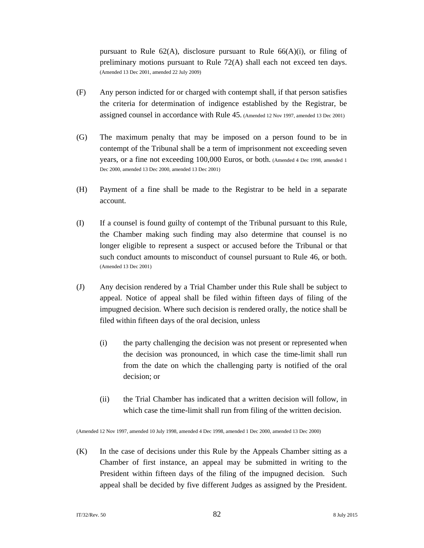pursuant to Rule  $62(A)$ , disclosure pursuant to Rule  $66(A)(i)$ , or filing of preliminary motions pursuant to Rule 72(A) shall each not exceed ten days. (Amended 13 Dec 2001, amended 22 July 2009)

- (F) Any person indicted for or charged with contempt shall, if that person satisfies the criteria for determination of indigence established by the Registrar, be assigned counsel in accordance with Rule 45. (Amended 12 Nov 1997, amended 13 Dec 2001)
- (G) The maximum penalty that may be imposed on a person found to be in contempt of the Tribunal shall be a term of imprisonment not exceeding seven years, or a fine not exceeding 100,000 Euros, or both. (Amended 4 Dec 1998, amended 1 Dec 2000, amended 13 Dec 2000, amended 13 Dec 2001)
- (H) Payment of a fine shall be made to the Registrar to be held in a separate account.
- (I) If a counsel is found guilty of contempt of the Tribunal pursuant to this Rule, the Chamber making such finding may also determine that counsel is no longer eligible to represent a suspect or accused before the Tribunal or that such conduct amounts to misconduct of counsel pursuant to Rule 46, or both. (Amended 13 Dec 2001)
- (J) Any decision rendered by a Trial Chamber under this Rule shall be subject to appeal. Notice of appeal shall be filed within fifteen days of filing of the impugned decision. Where such decision is rendered orally, the notice shall be filed within fifteen days of the oral decision, unless
	- (i) the party challenging the decision was not present or represented when the decision was pronounced, in which case the time-limit shall run from the date on which the challenging party is notified of the oral decision; or
	- (ii) the Trial Chamber has indicated that a written decision will follow, in which case the time-limit shall run from filing of the written decision.

(Amended 12 Nov 1997, amended 10 July 1998, amended 4 Dec 1998, amended 1 Dec 2000, amended 13 Dec 2000)

(K) In the case of decisions under this Rule by the Appeals Chamber sitting as a Chamber of first instance, an appeal may be submitted in writing to the President within fifteen days of the filing of the impugned decision. Such appeal shall be decided by five different Judges as assigned by the President.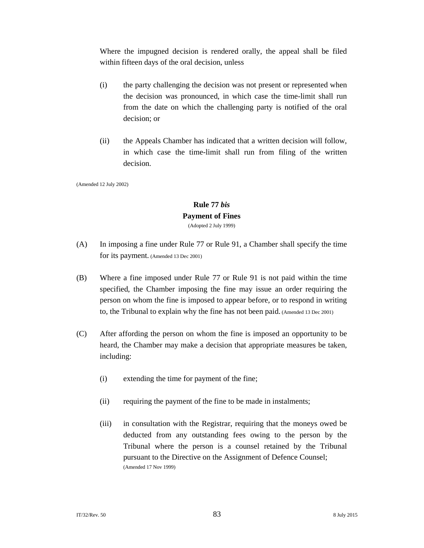Where the impugned decision is rendered orally, the appeal shall be filed within fifteen days of the oral decision, unless

- (i) the party challenging the decision was not present or represented when the decision was pronounced, in which case the time-limit shall run from the date on which the challenging party is notified of the oral decision; or
- (ii) the Appeals Chamber has indicated that a written decision will follow, in which case the time-limit shall run from filing of the written decision.

(Amended 12 July 2002)

### **Rule 77** *bis*

### **Payment of Fines**

(Adopted 2 July 1999)

- (A) In imposing a fine under Rule 77 or Rule 91, a Chamber shall specify the time for its payment. (Amended 13 Dec 2001)
- (B) Where a fine imposed under Rule 77 or Rule 91 is not paid within the time specified, the Chamber imposing the fine may issue an order requiring the person on whom the fine is imposed to appear before, or to respond in writing to, the Tribunal to explain why the fine has not been paid. (Amended 13 Dec 2001)
- (C) After affording the person on whom the fine is imposed an opportunity to be heard, the Chamber may make a decision that appropriate measures be taken, including:
	- (i) extending the time for payment of the fine;
	- (ii) requiring the payment of the fine to be made in instalments;
	- (iii) in consultation with the Registrar, requiring that the moneys owed be deducted from any outstanding fees owing to the person by the Tribunal where the person is a counsel retained by the Tribunal pursuant to the Directive on the Assignment of Defence Counsel; (Amended 17 Nov 1999)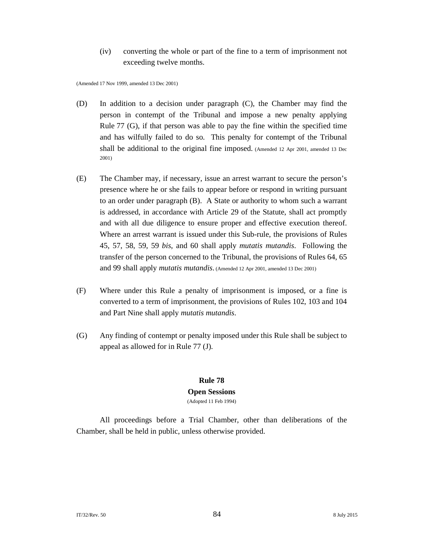(iv) converting the whole or part of the fine to a term of imprisonment not exceeding twelve months.

(Amended 17 Nov 1999, amended 13 Dec 2001)

- (D) In addition to a decision under paragraph (C), the Chamber may find the person in contempt of the Tribunal and impose a new penalty applying Rule 77 (G), if that person was able to pay the fine within the specified time and has wilfully failed to do so. This penalty for contempt of the Tribunal shall be additional to the original fine imposed. (Amended 12 Apr 2001, amended 13 Dec 2001)
- (E) The Chamber may, if necessary, issue an arrest warrant to secure the person's presence where he or she fails to appear before or respond in writing pursuant to an order under paragraph (B). A State or authority to whom such a warrant is addressed, in accordance with Article 29 of the Statute, shall act promptly and with all due diligence to ensure proper and effective execution thereof. Where an arrest warrant is issued under this Sub-rule, the provisions of Rules 45, 57, 58, 59, 59 *bis*, and 60 shall apply *mutatis mutandis*. Following the transfer of the person concerned to the Tribunal, the provisions of Rules 64, 65 and 99 shall apply *mutatis mutandis*. (Amended 12 Apr 2001, amended 13 Dec 2001)
- (F) Where under this Rule a penalty of imprisonment is imposed, or a fine is converted to a term of imprisonment, the provisions of Rules 102, 103 and 104 and Part Nine shall apply *mutatis mutandis*.
- (G) Any finding of contempt or penalty imposed under this Rule shall be subject to appeal as allowed for in Rule 77 (J).

### **Rule 78**

### **Open Sessions**

(Adopted 11 Feb 1994)

 All proceedings before a Trial Chamber, other than deliberations of the Chamber, shall be held in public, unless otherwise provided.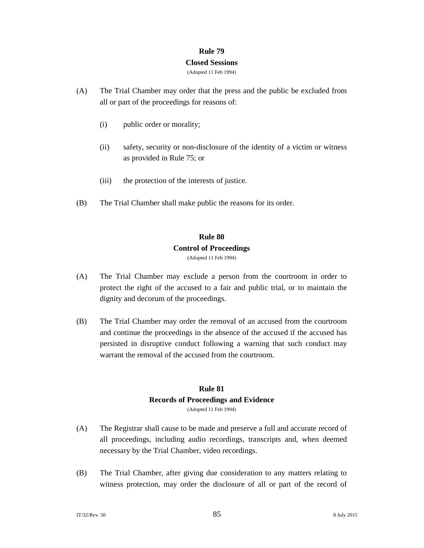### **Closed Sessions**

(Adopted 11 Feb 1994)

- (A) The Trial Chamber may order that the press and the public be excluded from all or part of the proceedings for reasons of:
	- (i) public order or morality;
	- (ii) safety, security or non-disclosure of the identity of a victim or witness as provided in Rule 75; or
	- (iii) the protection of the interests of justice.
- (B) The Trial Chamber shall make public the reasons for its order.

# **Rule 80 Control of Proceedings**

(Adopted 11 Feb 1994)

- (A) The Trial Chamber may exclude a person from the courtroom in order to protect the right of the accused to a fair and public trial, or to maintain the dignity and decorum of the proceedings.
- (B) The Trial Chamber may order the removal of an accused from the courtroom and continue the proceedings in the absence of the accused if the accused has persisted in disruptive conduct following a warning that such conduct may warrant the removal of the accused from the courtroom.

### **Rule 81**

# **Records of Proceedings and Evidence**

(Adopted 11 Feb 1994)

- (A) The Registrar shall cause to be made and preserve a full and accurate record of all proceedings, including audio recordings, transcripts and, when deemed necessary by the Trial Chamber, video recordings.
- (B) The Trial Chamber, after giving due consideration to any matters relating to witness protection, may order the disclosure of all or part of the record of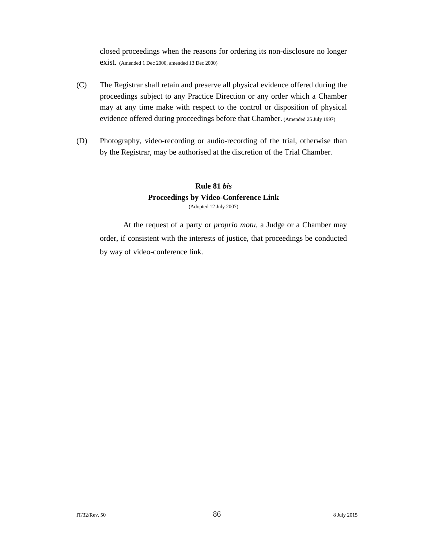closed proceedings when the reasons for ordering its non-disclosure no longer exist. (Amended 1 Dec 2000, amended 13 Dec 2000)

- (C) The Registrar shall retain and preserve all physical evidence offered during the proceedings subject to any Practice Direction or any order which a Chamber may at any time make with respect to the control or disposition of physical evidence offered during proceedings before that Chamber. (Amended 25 July 1997)
- (D) Photography, video-recording or audio-recording of the trial, otherwise than by the Registrar, may be authorised at the discretion of the Trial Chamber.

## **Rule 81** *bis* **Proceedings by Video-Conference Link**  (Adopted 12 July 2007)

 At the request of a party or *proprio motu,* a Judge or a Chamber may order, if consistent with the interests of justice, that proceedings be conducted by way of video-conference link.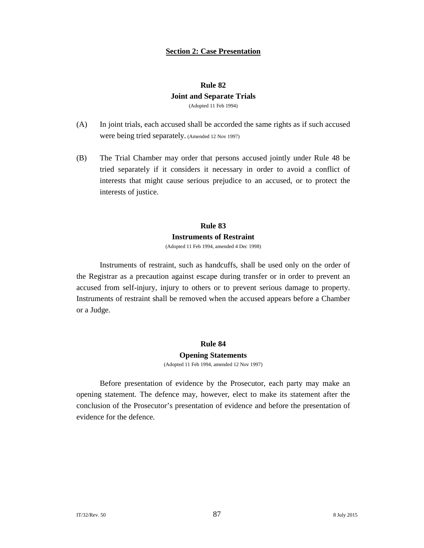### **Section 2: Case Presentation**

## **Rule 82 Joint and Separate Trials**

# (Adopted 11 Feb 1994)

- (A) In joint trials, each accused shall be accorded the same rights as if such accused were being tried separately. (Amended 12 Nov 1997)
- (B) The Trial Chamber may order that persons accused jointly under Rule 48 be tried separately if it considers it necessary in order to avoid a conflict of interests that might cause serious prejudice to an accused, or to protect the interests of justice.

# **Rule 83 Instruments of Restraint**

(Adopted 11 Feb 1994, amended 4 Dec 1998)

 Instruments of restraint, such as handcuffs, shall be used only on the order of the Registrar as a precaution against escape during transfer or in order to prevent an accused from self-injury, injury to others or to prevent serious damage to property. Instruments of restraint shall be removed when the accused appears before a Chamber or a Judge.

# **Rule 84 Opening Statements**

(Adopted 11 Feb 1994, amended 12 Nov 1997)

 Before presentation of evidence by the Prosecutor, each party may make an opening statement. The defence may, however, elect to make its statement after the conclusion of the Prosecutor's presentation of evidence and before the presentation of evidence for the defence.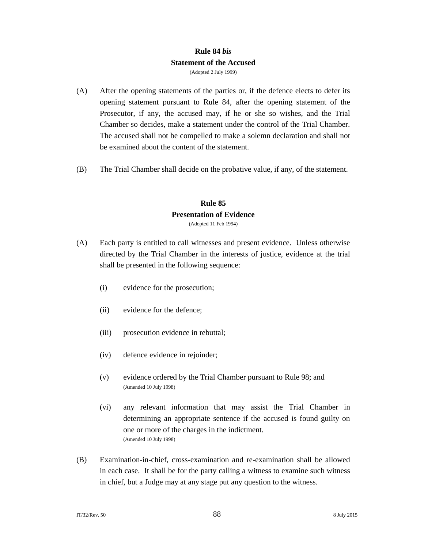# **Rule 84** *bis*  **Statement of the Accused**

(Adopted 2 July 1999)

- (A) After the opening statements of the parties or, if the defence elects to defer its opening statement pursuant to Rule 84, after the opening statement of the Prosecutor, if any, the accused may, if he or she so wishes, and the Trial Chamber so decides, make a statement under the control of the Trial Chamber. The accused shall not be compelled to make a solemn declaration and shall not be examined about the content of the statement.
- (B) The Trial Chamber shall decide on the probative value, if any, of the statement.

# **Rule 85 Presentation of Evidence**

(Adopted 11 Feb 1994)

- (A) Each party is entitled to call witnesses and present evidence. Unless otherwise directed by the Trial Chamber in the interests of justice, evidence at the trial shall be presented in the following sequence:
	- (i) evidence for the prosecution;
	- (ii) evidence for the defence;
	- (iii) prosecution evidence in rebuttal;
	- (iv) defence evidence in rejoinder;
	- (v) evidence ordered by the Trial Chamber pursuant to Rule 98; and (Amended 10 July 1998)
	- (vi) any relevant information that may assist the Trial Chamber in determining an appropriate sentence if the accused is found guilty on one or more of the charges in the indictment. (Amended 10 July 1998)
- (B) Examination-in-chief, cross-examination and re-examination shall be allowed in each case. It shall be for the party calling a witness to examine such witness in chief, but a Judge may at any stage put any question to the witness.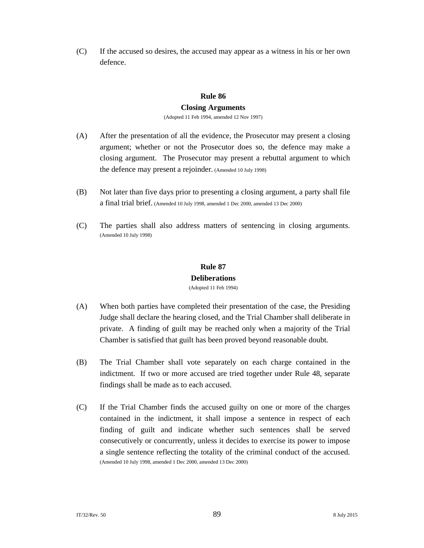(C) If the accused so desires, the accused may appear as a witness in his or her own defence.

## **Rule 86 Closing Arguments**

(Adopted 11 Feb 1994, amended 12 Nov 1997)

- (A) After the presentation of all the evidence, the Prosecutor may present a closing argument; whether or not the Prosecutor does so, the defence may make a closing argument. The Prosecutor may present a rebuttal argument to which the defence may present a rejoinder. (Amended 10 July 1998)
- (B) Not later than five days prior to presenting a closing argument, a party shall file a final trial brief. (Amended 10 July 1998, amended 1 Dec 2000, amended 13 Dec 2000)
- (C) The parties shall also address matters of sentencing in closing arguments. (Amended 10 July 1998)

## **Rule 87 Deliberations**

(Adopted 11 Feb 1994)

- (A) When both parties have completed their presentation of the case, the Presiding Judge shall declare the hearing closed, and the Trial Chamber shall deliberate in private. A finding of guilt may be reached only when a majority of the Trial Chamber is satisfied that guilt has been proved beyond reasonable doubt.
- (B) The Trial Chamber shall vote separately on each charge contained in the indictment. If two or more accused are tried together under Rule 48, separate findings shall be made as to each accused.
- (C) If the Trial Chamber finds the accused guilty on one or more of the charges contained in the indictment, it shall impose a sentence in respect of each finding of guilt and indicate whether such sentences shall be served consecutively or concurrently, unless it decides to exercise its power to impose a single sentence reflecting the totality of the criminal conduct of the accused. (Amended 10 July 1998, amended 1 Dec 2000, amended 13 Dec 2000)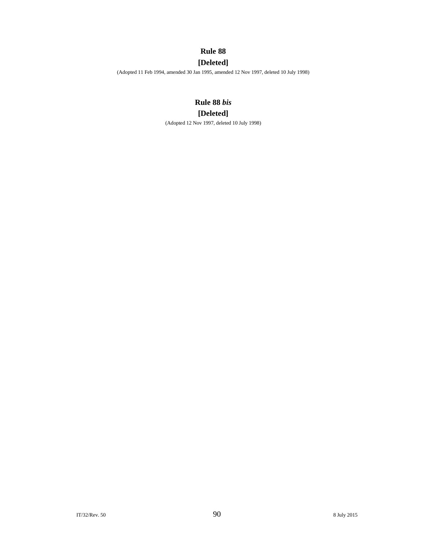### **[Deleted]**

(Adopted 11 Feb 1994, amended 30 Jan 1995, amended 12 Nov 1997, deleted 10 July 1998)

**Rule 88** *bis*

### **[Deleted]**

(Adopted 12 Nov 1997, deleted 10 July 1998)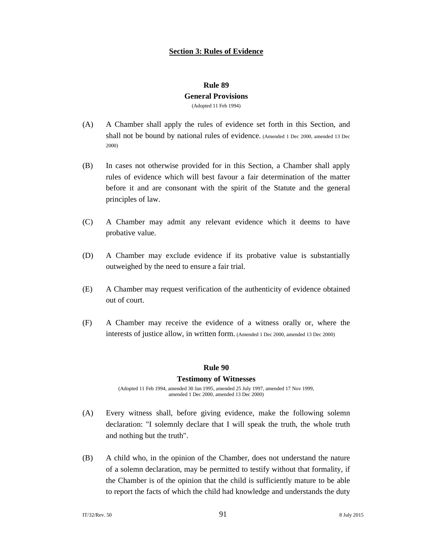### **Section 3: Rules of Evidence**

### **Rule 89**

### **General Provisions**

(Adopted 11 Feb 1994)

- (A) A Chamber shall apply the rules of evidence set forth in this Section, and shall not be bound by national rules of evidence. (Amended 1 Dec 2000, amended 13 Dec 2000)
- (B) In cases not otherwise provided for in this Section, a Chamber shall apply rules of evidence which will best favour a fair determination of the matter before it and are consonant with the spirit of the Statute and the general principles of law.
- (C) A Chamber may admit any relevant evidence which it deems to have probative value.
- (D) A Chamber may exclude evidence if its probative value is substantially outweighed by the need to ensure a fair trial.
- (E) A Chamber may request verification of the authenticity of evidence obtained out of court.
- (F) A Chamber may receive the evidence of a witness orally or, where the interests of justice allow, in written form. (Amended 1 Dec 2000, amended 13 Dec 2000)

#### **Rule 90**

#### **Testimony of Witnesses**

(Adopted 11 Feb 1994, amended 30 Jan 1995, amended 25 July 1997, amended 17 Nov 1999, amended 1 Dec 2000, amended 13 Dec 2000)

- (A) Every witness shall, before giving evidence, make the following solemn declaration: "I solemnly declare that I will speak the truth, the whole truth and nothing but the truth".
- (B) A child who, in the opinion of the Chamber, does not understand the nature of a solemn declaration, may be permitted to testify without that formality, if the Chamber is of the opinion that the child is sufficiently mature to be able to report the facts of which the child had knowledge and understands the duty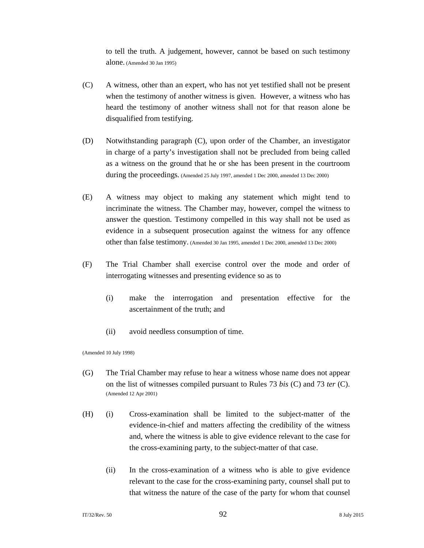to tell the truth. A judgement, however, cannot be based on such testimony alone. (Amended 30 Jan 1995)

- (C) A witness, other than an expert, who has not yet testified shall not be present when the testimony of another witness is given. However, a witness who has heard the testimony of another witness shall not for that reason alone be disqualified from testifying.
- (D) Notwithstanding paragraph (C), upon order of the Chamber, an investigator in charge of a party's investigation shall not be precluded from being called as a witness on the ground that he or she has been present in the courtroom during the proceedings. (Amended 25 July 1997, amended 1 Dec 2000, amended 13 Dec 2000)
- (E) A witness may object to making any statement which might tend to incriminate the witness. The Chamber may, however, compel the witness to answer the question. Testimony compelled in this way shall not be used as evidence in a subsequent prosecution against the witness for any offence other than false testimony. (Amended 30 Jan 1995, amended 1 Dec 2000, amended 13 Dec 2000)
- (F) The Trial Chamber shall exercise control over the mode and order of interrogating witnesses and presenting evidence so as to
	- (i) make the interrogation and presentation effective for the ascertainment of the truth; and
	- (ii) avoid needless consumption of time.

(Amended 10 July 1998)

- (G) The Trial Chamber may refuse to hear a witness whose name does not appear on the list of witnesses compiled pursuant to Rules 73 *bis* (C) and 73 *ter* (C). (Amended 12 Apr 2001)
- (H) (i) Cross-examination shall be limited to the subject-matter of the evidence-in-chief and matters affecting the credibility of the witness and, where the witness is able to give evidence relevant to the case for the cross-examining party, to the subject-matter of that case.
	- (ii) In the cross-examination of a witness who is able to give evidence relevant to the case for the cross-examining party, counsel shall put to that witness the nature of the case of the party for whom that counsel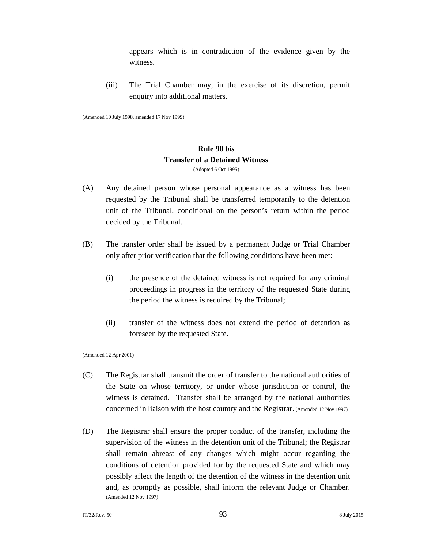appears which is in contradiction of the evidence given by the witness.

(iii) The Trial Chamber may, in the exercise of its discretion, permit enquiry into additional matters.

(Amended 10 July 1998, amended 17 Nov 1999)

## **Rule 90** *bis* **Transfer of a Detained Witness**  (Adopted 6 Oct 1995)

- (A) Any detained person whose personal appearance as a witness has been requested by the Tribunal shall be transferred temporarily to the detention unit of the Tribunal, conditional on the person's return within the period decided by the Tribunal.
- (B) The transfer order shall be issued by a permanent Judge or Trial Chamber only after prior verification that the following conditions have been met:
	- (i) the presence of the detained witness is not required for any criminal proceedings in progress in the territory of the requested State during the period the witness is required by the Tribunal;
	- (ii) transfer of the witness does not extend the period of detention as foreseen by the requested State.

(Amended 12 Apr 2001)

- (C) The Registrar shall transmit the order of transfer to the national authorities of the State on whose territory, or under whose jurisdiction or control, the witness is detained. Transfer shall be arranged by the national authorities concerned in liaison with the host country and the Registrar. (Amended 12 Nov 1997)
- (D) The Registrar shall ensure the proper conduct of the transfer, including the supervision of the witness in the detention unit of the Tribunal; the Registrar shall remain abreast of any changes which might occur regarding the conditions of detention provided for by the requested State and which may possibly affect the length of the detention of the witness in the detention unit and, as promptly as possible, shall inform the relevant Judge or Chamber. (Amended 12 Nov 1997)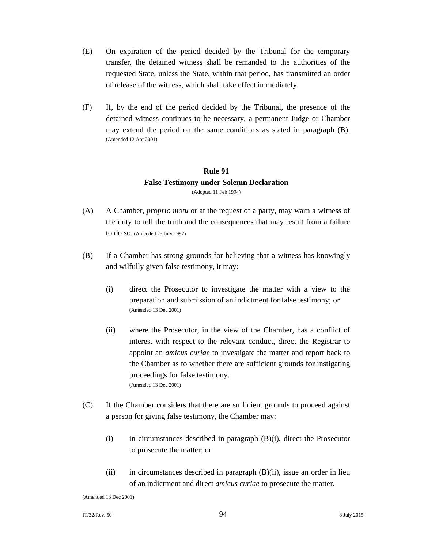- (E) On expiration of the period decided by the Tribunal for the temporary transfer, the detained witness shall be remanded to the authorities of the requested State, unless the State, within that period, has transmitted an order of release of the witness, which shall take effect immediately.
- (F) If, by the end of the period decided by the Tribunal, the presence of the detained witness continues to be necessary, a permanent Judge or Chamber may extend the period on the same conditions as stated in paragraph (B). (Amended 12 Apr 2001)

# **Rule 91 False Testimony under Solemn Declaration**

(Adopted 11 Feb 1994)

- (A) A Chamber, *proprio motu* or at the request of a party, may warn a witness of the duty to tell the truth and the consequences that may result from a failure to do so. (Amended 25 July 1997)
- (B) If a Chamber has strong grounds for believing that a witness has knowingly and wilfully given false testimony, it may:
	- (i) direct the Prosecutor to investigate the matter with a view to the preparation and submission of an indictment for false testimony; or (Amended 13 Dec 2001)
	- (ii) where the Prosecutor, in the view of the Chamber, has a conflict of interest with respect to the relevant conduct, direct the Registrar to appoint an *amicus curiae* to investigate the matter and report back to the Chamber as to whether there are sufficient grounds for instigating proceedings for false testimony. (Amended 13 Dec 2001)
- (C) If the Chamber considers that there are sufficient grounds to proceed against a person for giving false testimony, the Chamber may:
	- (i) in circumstances described in paragraph (B)(i), direct the Prosecutor to prosecute the matter; or
	- (ii) in circumstances described in paragraph (B)(ii), issue an order in lieu of an indictment and direct *amicus curiae* to prosecute the matter.

<sup>(</sup>Amended 13 Dec 2001)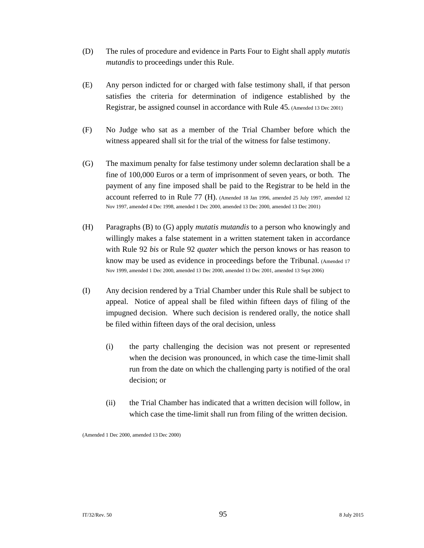- (D) The rules of procedure and evidence in Parts Four to Eight shall apply *mutatis mutandis* to proceedings under this Rule.
- (E) Any person indicted for or charged with false testimony shall, if that person satisfies the criteria for determination of indigence established by the Registrar, be assigned counsel in accordance with Rule 45. (Amended 13 Dec 2001)
- (F) No Judge who sat as a member of the Trial Chamber before which the witness appeared shall sit for the trial of the witness for false testimony.
- (G) The maximum penalty for false testimony under solemn declaration shall be a fine of 100,000 Euros or a term of imprisonment of seven years, or both. The payment of any fine imposed shall be paid to the Registrar to be held in the account referred to in Rule 77 (H). (Amended 18 Jan 1996, amended 25 July 1997, amended 12 Nov 1997, amended 4 Dec 1998, amended 1 Dec 2000, amended 13 Dec 2000, amended 13 Dec 2001)
- (H) Paragraphs (B) to (G) apply *mutatis mutandis* to a person who knowingly and willingly makes a false statement in a written statement taken in accordance with Rule 92 *bis* or Rule 92 *quater* which the person knows or has reason to know may be used as evidence in proceedings before the Tribunal. (Amended 17 Nov 1999, amended 1 Dec 2000, amended 13 Dec 2000, amended 13 Dec 2001, amended 13 Sept 2006)
- (I) Any decision rendered by a Trial Chamber under this Rule shall be subject to appeal. Notice of appeal shall be filed within fifteen days of filing of the impugned decision. Where such decision is rendered orally, the notice shall be filed within fifteen days of the oral decision, unless
	- (i) the party challenging the decision was not present or represented when the decision was pronounced, in which case the time-limit shall run from the date on which the challenging party is notified of the oral decision; or
	- (ii) the Trial Chamber has indicated that a written decision will follow, in which case the time-limit shall run from filing of the written decision.

(Amended 1 Dec 2000, amended 13 Dec 2000)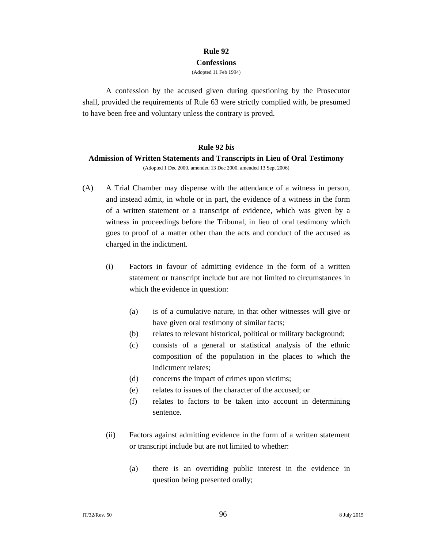### **Confessions**

(Adopted 11 Feb 1994)

 A confession by the accused given during questioning by the Prosecutor shall, provided the requirements of Rule 63 were strictly complied with, be presumed to have been free and voluntary unless the contrary is proved.

### **Rule 92** *bis*

# **Admission of Written Statements and Transcripts in Lieu of Oral Testimony**

(Adopted 1 Dec 2000, amended 13 Dec 2000, amended 13 Sept 2006)

- (A) A Trial Chamber may dispense with the attendance of a witness in person, and instead admit, in whole or in part, the evidence of a witness in the form of a written statement or a transcript of evidence, which was given by a witness in proceedings before the Tribunal, in lieu of oral testimony which goes to proof of a matter other than the acts and conduct of the accused as charged in the indictment.
	- (i) Factors in favour of admitting evidence in the form of a written statement or transcript include but are not limited to circumstances in which the evidence in question:
		- (a) is of a cumulative nature, in that other witnesses will give or have given oral testimony of similar facts;
		- (b) relates to relevant historical, political or military background;
		- (c) consists of a general or statistical analysis of the ethnic composition of the population in the places to which the indictment relates;
		- (d) concerns the impact of crimes upon victims;
		- (e) relates to issues of the character of the accused; or
		- (f) relates to factors to be taken into account in determining sentence.
	- (ii) Factors against admitting evidence in the form of a written statement or transcript include but are not limited to whether:
		- (a) there is an overriding public interest in the evidence in question being presented orally;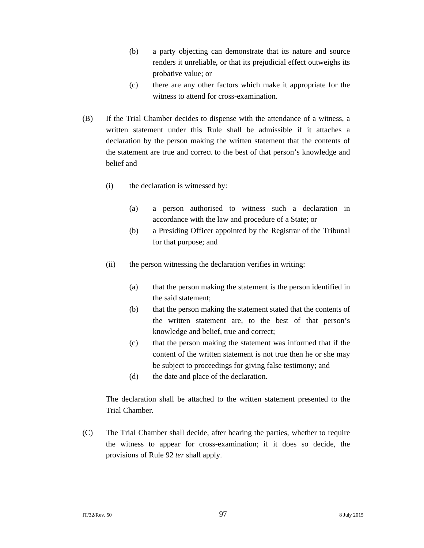- (b) a party objecting can demonstrate that its nature and source renders it unreliable, or that its prejudicial effect outweighs its probative value; or
- (c) there are any other factors which make it appropriate for the witness to attend for cross-examination.
- (B) If the Trial Chamber decides to dispense with the attendance of a witness, a written statement under this Rule shall be admissible if it attaches a declaration by the person making the written statement that the contents of the statement are true and correct to the best of that person's knowledge and belief and
	- (i) the declaration is witnessed by:
		- (a) a person authorised to witness such a declaration in accordance with the law and procedure of a State; or
		- (b) a Presiding Officer appointed by the Registrar of the Tribunal for that purpose; and
	- (ii) the person witnessing the declaration verifies in writing:
		- (a) that the person making the statement is the person identified in the said statement;
		- (b) that the person making the statement stated that the contents of the written statement are, to the best of that person's knowledge and belief, true and correct;
		- (c) that the person making the statement was informed that if the content of the written statement is not true then he or she may be subject to proceedings for giving false testimony; and
		- (d) the date and place of the declaration.

The declaration shall be attached to the written statement presented to the Trial Chamber.

(C) The Trial Chamber shall decide, after hearing the parties, whether to require the witness to appear for cross-examination; if it does so decide, the provisions of Rule 92 *ter* shall apply.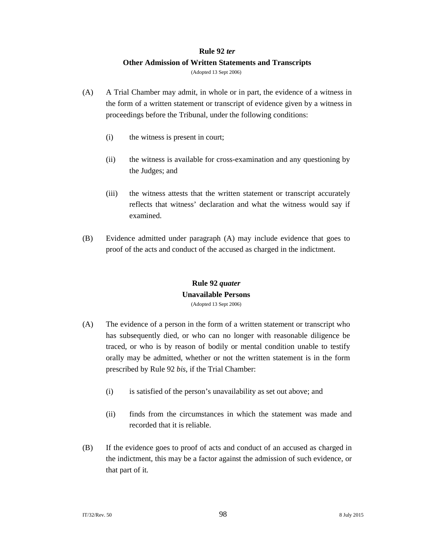### **Rule 92** *ter*

### **Other Admission of Written Statements and Transcripts**

(Adopted 13 Sept 2006)

- (A) A Trial Chamber may admit, in whole or in part, the evidence of a witness in the form of a written statement or transcript of evidence given by a witness in proceedings before the Tribunal, under the following conditions:
	- (i) the witness is present in court;
	- (ii) the witness is available for cross-examination and any questioning by the Judges; and
	- (iii) the witness attests that the written statement or transcript accurately reflects that witness' declaration and what the witness would say if examined.
- (B) Evidence admitted under paragraph (A) may include evidence that goes to proof of the acts and conduct of the accused as charged in the indictment.

## **Rule 92** *quater* **Unavailable Persons**  (Adopted 13 Sept 2006)

- (A) The evidence of a person in the form of a written statement or transcript who has subsequently died, or who can no longer with reasonable diligence be traced, or who is by reason of bodily or mental condition unable to testify orally may be admitted, whether or not the written statement is in the form prescribed by Rule 92 *bis*, if the Trial Chamber:
	- (i) is satisfied of the person's unavailability as set out above; and
	- (ii) finds from the circumstances in which the statement was made and recorded that it is reliable.
- (B) If the evidence goes to proof of acts and conduct of an accused as charged in the indictment, this may be a factor against the admission of such evidence, or that part of it.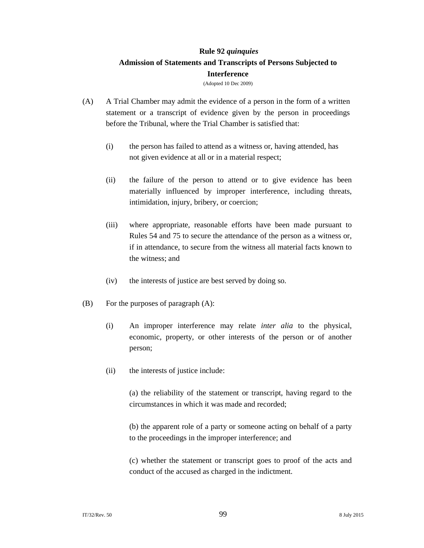## **Rule 92** *quinquies* **Admission of Statements and Transcripts of Persons Subjected to Interference**  (Adopted 10 Dec 2009)

- (A) A Trial Chamber may admit the evidence of a person in the form of a written statement or a transcript of evidence given by the person in proceedings before the Tribunal, where the Trial Chamber is satisfied that:
	- (i) the person has failed to attend as a witness or, having attended, has not given evidence at all or in a material respect;
	- (ii) the failure of the person to attend or to give evidence has been materially influenced by improper interference, including threats, intimidation, injury, bribery, or coercion;
	- (iii) where appropriate, reasonable efforts have been made pursuant to Rules 54 and 75 to secure the attendance of the person as a witness or, if in attendance, to secure from the witness all material facts known to the witness; and
	- (iv) the interests of justice are best served by doing so.
- (B) For the purposes of paragraph (A):
	- (i) An improper interference may relate *inter alia* to the physical, economic, property, or other interests of the person or of another person;
	- (ii) the interests of justice include:

 (a) the reliability of the statement or transcript, having regard to the circumstances in which it was made and recorded;

 (b) the apparent role of a party or someone acting on behalf of a party to the proceedings in the improper interference; and

(c) whether the statement or transcript goes to proof of the acts and conduct of the accused as charged in the indictment.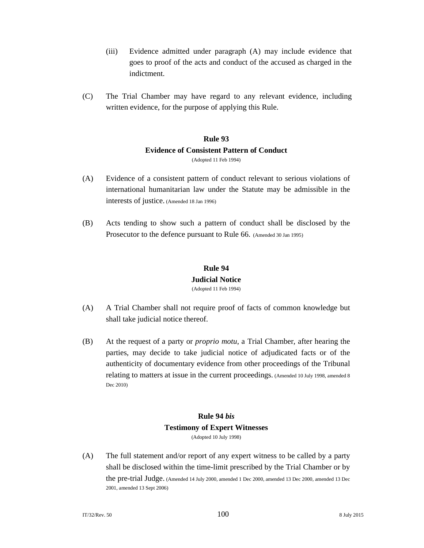- (iii) Evidence admitted under paragraph (A) may include evidence that goes to proof of the acts and conduct of the accused as charged in the indictment.
- (C) The Trial Chamber may have regard to any relevant evidence, including written evidence, for the purpose of applying this Rule.

### **Rule 93 Evidence of Consistent Pattern of Conduct**  (Adopted 11 Feb 1994)

- (A) Evidence of a consistent pattern of conduct relevant to serious violations of international humanitarian law under the Statute may be admissible in the interests of justice. (Amended 18 Jan 1996)
- (B) Acts tending to show such a pattern of conduct shall be disclosed by the Prosecutor to the defence pursuant to Rule 66. (Amended 30 Jan 1995)

### **Rule 94 Judicial Notice**  (Adopted 11 Feb 1994)

- (A) A Trial Chamber shall not require proof of facts of common knowledge but shall take judicial notice thereof.
- (B) At the request of a party or *proprio motu*, a Trial Chamber, after hearing the parties, may decide to take judicial notice of adjudicated facts or of the authenticity of documentary evidence from other proceedings of the Tribunal relating to matters at issue in the current proceedings. (Amended 10 July 1998, amended 8 Dec 2010)

## **Rule 94** *bis* **Testimony of Expert Witnesses**  (Adopted 10 July 1998)

(A) The full statement and/or report of any expert witness to be called by a party shall be disclosed within the time-limit prescribed by the Trial Chamber or by the pre-trial Judge. (Amended 14 July 2000, amended 1 Dec 2000, amended 13 Dec 2000, amended 13 Dec 2001, amended 13 Sept 2006)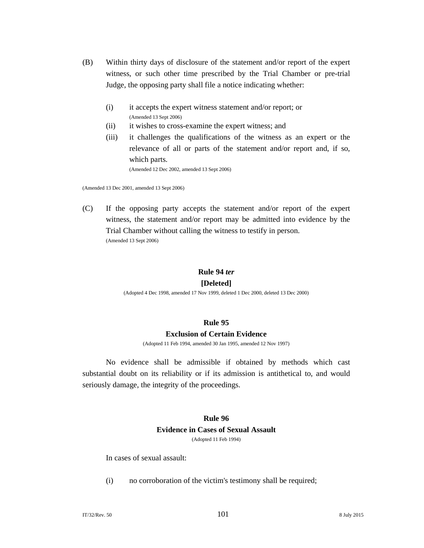- (B) Within thirty days of disclosure of the statement and/or report of the expert witness, or such other time prescribed by the Trial Chamber or pre-trial Judge, the opposing party shall file a notice indicating whether:
	- (i) it accepts the expert witness statement and/or report; or (Amended 13 Sept 2006)
	- (ii) it wishes to cross-examine the expert witness; and
	- (iii) it challenges the qualifications of the witness as an expert or the relevance of all or parts of the statement and/or report and, if so, which parts. (Amended 12 Dec 2002, amended 13 Sept 2006)

(Amended 13 Dec 2001, amended 13 Sept 2006)

(C) If the opposing party accepts the statement and/or report of the expert witness, the statement and/or report may be admitted into evidence by the Trial Chamber without calling the witness to testify in person. (Amended 13 Sept 2006)

### **Rule 94** *ter*

### **[Deleted]**

(Adopted 4 Dec 1998, amended 17 Nov 1999, deleted 1 Dec 2000, deleted 13 Dec 2000)

### **Rule 95**

#### **Exclusion of Certain Evidence**

(Adopted 11 Feb 1994, amended 30 Jan 1995, amended 12 Nov 1997)

No evidence shall be admissible if obtained by methods which cast substantial doubt on its reliability or if its admission is antithetical to, and would seriously damage, the integrity of the proceedings.

# **Rule 96 Evidence in Cases of Sexual Assault**

(Adopted 11 Feb 1994)

In cases of sexual assault:

(i) no corroboration of the victim's testimony shall be required;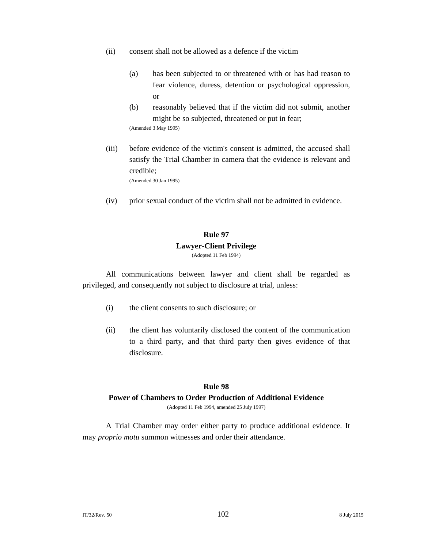- (ii) consent shall not be allowed as a defence if the victim
	- (a) has been subjected to or threatened with or has had reason to fear violence, duress, detention or psychological oppression, or
	- (b) reasonably believed that if the victim did not submit, another might be so subjected, threatened or put in fear; (Amended 3 May 1995)
- (iii) before evidence of the victim's consent is admitted, the accused shall satisfy the Trial Chamber in camera that the evidence is relevant and credible; (Amended 30 Jan 1995)
- (iv) prior sexual conduct of the victim shall not be admitted in evidence.

# **Rule 97 Lawyer-Client Privilege**

(Adopted 11 Feb 1994)

 All communications between lawyer and client shall be regarded as privileged, and consequently not subject to disclosure at trial, unless:

- (i) the client consents to such disclosure; or
- (ii) the client has voluntarily disclosed the content of the communication to a third party, and that third party then gives evidence of that disclosure.

# **Rule 98 Power of Chambers to Order Production of Additional Evidence**

(Adopted 11 Feb 1994, amended 25 July 1997)

 A Trial Chamber may order either party to produce additional evidence. It may *proprio motu* summon witnesses and order their attendance.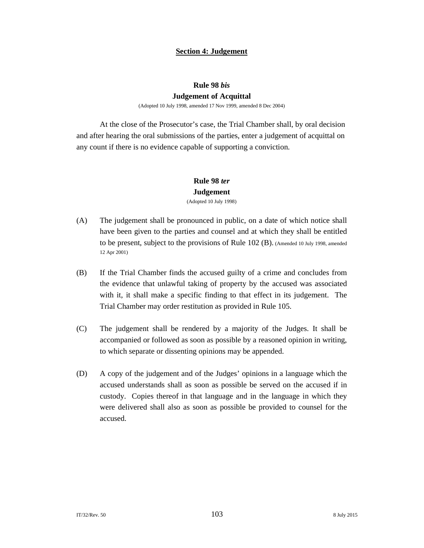### **Section 4: Judgement**

### **Rule 98** *bis*

### **Judgement of Acquittal**

(Adopted 10 July 1998, amended 17 Nov 1999, amended 8 Dec 2004)

At the close of the Prosecutor's case, the Trial Chamber shall, by oral decision and after hearing the oral submissions of the parties, enter a judgement of acquittal on any count if there is no evidence capable of supporting a conviction.

## **Rule 98** *ter* **Judgement**

#### (Adopted 10 July 1998)

- (A) The judgement shall be pronounced in public, on a date of which notice shall have been given to the parties and counsel and at which they shall be entitled to be present, subject to the provisions of Rule 102 (B). (Amended 10 July 1998, amended 12 Apr 2001)
- (B) If the Trial Chamber finds the accused guilty of a crime and concludes from the evidence that unlawful taking of property by the accused was associated with it, it shall make a specific finding to that effect in its judgement. The Trial Chamber may order restitution as provided in Rule 105.
- (C) The judgement shall be rendered by a majority of the Judges. It shall be accompanied or followed as soon as possible by a reasoned opinion in writing, to which separate or dissenting opinions may be appended.
- (D) A copy of the judgement and of the Judges' opinions in a language which the accused understands shall as soon as possible be served on the accused if in custody. Copies thereof in that language and in the language in which they were delivered shall also as soon as possible be provided to counsel for the accused.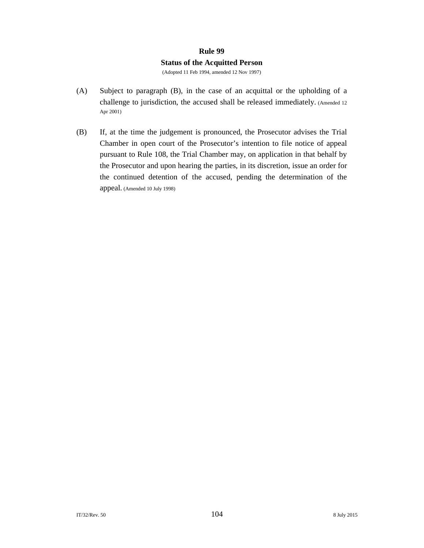### **Status of the Acquitted Person**

(Adopted 11 Feb 1994, amended 12 Nov 1997)

- (A) Subject to paragraph (B), in the case of an acquittal or the upholding of a challenge to jurisdiction, the accused shall be released immediately. (Amended 12 Apr 2001)
- (B) If, at the time the judgement is pronounced, the Prosecutor advises the Trial Chamber in open court of the Prosecutor's intention to file notice of appeal pursuant to Rule 108, the Trial Chamber may, on application in that behalf by the Prosecutor and upon hearing the parties, in its discretion, issue an order for the continued detention of the accused, pending the determination of the appeal. (Amended 10 July 1998)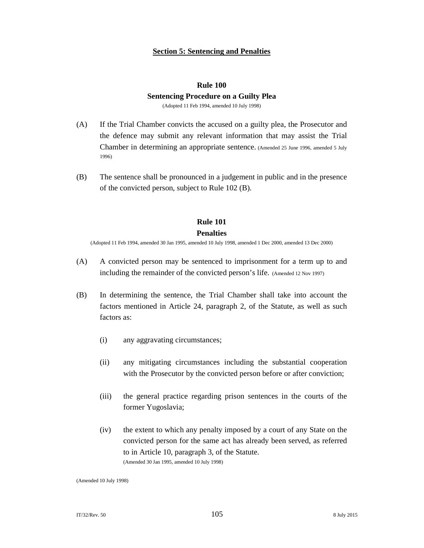### **Section 5: Sentencing and Penalties**

#### **Rule 100**

### **Sentencing Procedure on a Guilty Plea**

(Adopted 11 Feb 1994, amended 10 July 1998)

- (A) If the Trial Chamber convicts the accused on a guilty plea, the Prosecutor and the defence may submit any relevant information that may assist the Trial Chamber in determining an appropriate sentence. (Amended 25 June 1996, amended 5 July 1996)
- (B) The sentence shall be pronounced in a judgement in public and in the presence of the convicted person, subject to Rule 102 (B).

### **Rule 101**

### **Penalties**

(Adopted 11 Feb 1994, amended 30 Jan 1995, amended 10 July 1998, amended 1 Dec 2000, amended 13 Dec 2000)

- (A) A convicted person may be sentenced to imprisonment for a term up to and including the remainder of the convicted person's life. (Amended 12 Nov 1997)
- (B) In determining the sentence, the Trial Chamber shall take into account the factors mentioned in Article 24, paragraph 2, of the Statute, as well as such factors as:
	- (i) any aggravating circumstances;
	- (ii) any mitigating circumstances including the substantial cooperation with the Prosecutor by the convicted person before or after conviction;
	- (iii) the general practice regarding prison sentences in the courts of the former Yugoslavia;
	- (iv) the extent to which any penalty imposed by a court of any State on the convicted person for the same act has already been served, as referred to in Article 10, paragraph 3, of the Statute. (Amended 30 Jan 1995, amended 10 July 1998)

(Amended 10 July 1998)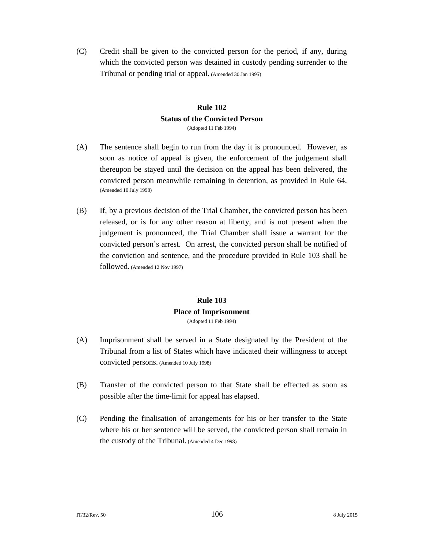(C) Credit shall be given to the convicted person for the period, if any, during which the convicted person was detained in custody pending surrender to the Tribunal or pending trial or appeal. (Amended 30 Jan 1995)

# **Rule 102 Status of the Convicted Person**

(Adopted 11 Feb 1994)

- (A) The sentence shall begin to run from the day it is pronounced. However, as soon as notice of appeal is given, the enforcement of the judgement shall thereupon be stayed until the decision on the appeal has been delivered, the convicted person meanwhile remaining in detention, as provided in Rule 64. (Amended 10 July 1998)
- (B) If, by a previous decision of the Trial Chamber, the convicted person has been released, or is for any other reason at liberty, and is not present when the judgement is pronounced, the Trial Chamber shall issue a warrant for the convicted person's arrest. On arrest, the convicted person shall be notified of the conviction and sentence, and the procedure provided in Rule 103 shall be followed. (Amended 12 Nov 1997)

### **Rule 103 Place of Imprisonment**  (Adopted 11 Feb 1994)

- (A) Imprisonment shall be served in a State designated by the President of the Tribunal from a list of States which have indicated their willingness to accept convicted persons. (Amended 10 July 1998)
- (B) Transfer of the convicted person to that State shall be effected as soon as possible after the time-limit for appeal has elapsed.
- (C) Pending the finalisation of arrangements for his or her transfer to the State where his or her sentence will be served, the convicted person shall remain in the custody of the Tribunal. (Amended 4 Dec 1998)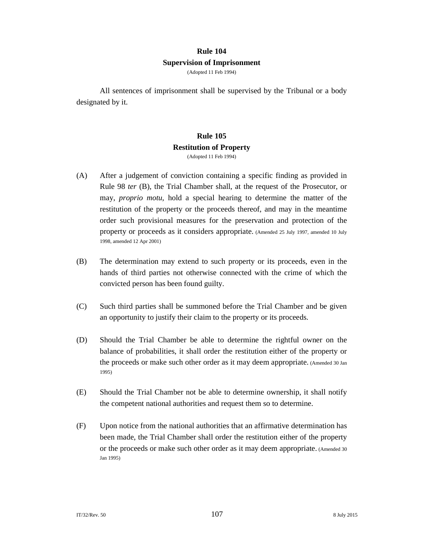# **Rule 104 Supervision of Imprisonment**

(Adopted 11 Feb 1994)

 All sentences of imprisonment shall be supervised by the Tribunal or a body designated by it.

### **Rule 105 Restitution of Property**  (Adopted 11 Feb 1994)

- (A) After a judgement of conviction containing a specific finding as provided in Rule 98 *ter* (B), the Trial Chamber shall, at the request of the Prosecutor, or may, *proprio motu*, hold a special hearing to determine the matter of the restitution of the property or the proceeds thereof, and may in the meantime order such provisional measures for the preservation and protection of the property or proceeds as it considers appropriate. (Amended 25 July 1997, amended 10 July 1998, amended 12 Apr 2001)
- (B) The determination may extend to such property or its proceeds, even in the hands of third parties not otherwise connected with the crime of which the convicted person has been found guilty.
- (C) Such third parties shall be summoned before the Trial Chamber and be given an opportunity to justify their claim to the property or its proceeds.
- (D) Should the Trial Chamber be able to determine the rightful owner on the balance of probabilities, it shall order the restitution either of the property or the proceeds or make such other order as it may deem appropriate. (Amended 30 Jan 1995)
- (E) Should the Trial Chamber not be able to determine ownership, it shall notify the competent national authorities and request them so to determine.
- (F) Upon notice from the national authorities that an affirmative determination has been made, the Trial Chamber shall order the restitution either of the property or the proceeds or make such other order as it may deem appropriate. (Amended 30 Jan 1995)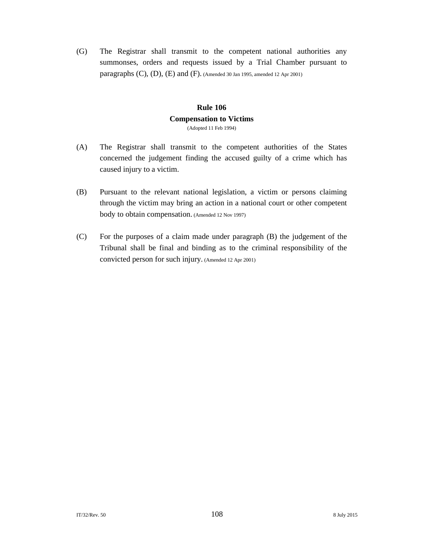(G) The Registrar shall transmit to the competent national authorities any summonses, orders and requests issued by a Trial Chamber pursuant to paragraphs (C), (D), (E) and (F). (Amended 30 Jan 1995, amended 12 Apr 2001)

# **Rule 106 Compensation to Victims**

(Adopted 11 Feb 1994)

- (A) The Registrar shall transmit to the competent authorities of the States concerned the judgement finding the accused guilty of a crime which has caused injury to a victim.
- (B) Pursuant to the relevant national legislation, a victim or persons claiming through the victim may bring an action in a national court or other competent body to obtain compensation. (Amended 12 Nov 1997)
- (C) For the purposes of a claim made under paragraph (B) the judgement of the Tribunal shall be final and binding as to the criminal responsibility of the convicted person for such injury. (Amended 12 Apr 2001)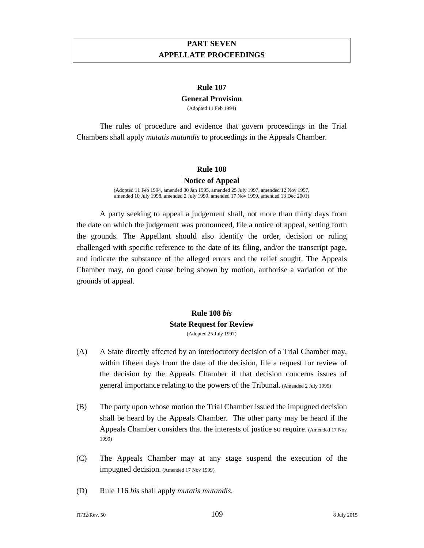## **PART SEVEN APPELLATE PROCEEDINGS**

# **Rule 107 General Provision**

(Adopted 11 Feb 1994)

 The rules of procedure and evidence that govern proceedings in the Trial Chambers shall apply *mutatis mutandis* to proceedings in the Appeals Chamber.

### **Rule 108**

#### **Notice of Appeal**

(Adopted 11 Feb 1994, amended 30 Jan 1995, amended 25 July 1997, amended 12 Nov 1997, amended 10 July 1998, amended 2 July 1999, amended 17 Nov 1999, amended 13 Dec 2001)

A party seeking to appeal a judgement shall, not more than thirty days from the date on which the judgement was pronounced, file a notice of appeal, setting forth the grounds. The Appellant should also identify the order, decision or ruling challenged with specific reference to the date of its filing, and/or the transcript page, and indicate the substance of the alleged errors and the relief sought. The Appeals Chamber may, on good cause being shown by motion, authorise a variation of the grounds of appeal.

## **Rule 108** *bis* **State Request for Review**  (Adopted 25 July 1997)

- (A) A State directly affected by an interlocutory decision of a Trial Chamber may, within fifteen days from the date of the decision, file a request for review of the decision by the Appeals Chamber if that decision concerns issues of
	- (B) The party upon whose motion the Trial Chamber issued the impugned decision shall be heard by the Appeals Chamber. The other party may be heard if the Appeals Chamber considers that the interests of justice so require. (Amended 17 Nov 1999)

general importance relating to the powers of the Tribunal. (Amended 2 July 1999)

- (C) The Appeals Chamber may at any stage suspend the execution of the impugned decision. (Amended 17 Nov 1999)
- (D) Rule 116 *bis* shall apply *mutatis mutandis*.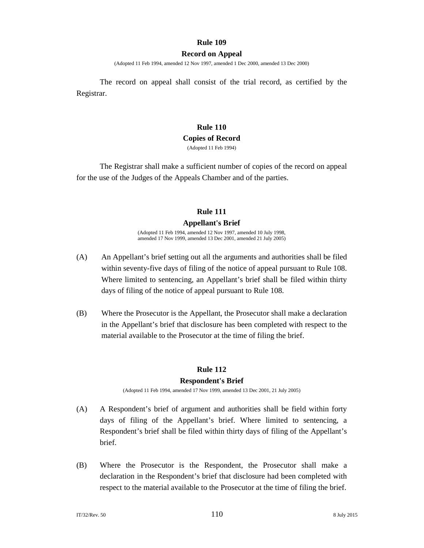### **Record on Appeal**

(Adopted 11 Feb 1994, amended 12 Nov 1997, amended 1 Dec 2000, amended 13 Dec 2000)

 The record on appeal shall consist of the trial record, as certified by the Registrar.

### **Rule 110**

# **Copies of Record**

(Adopted 11 Feb 1994)

 The Registrar shall make a sufficient number of copies of the record on appeal for the use of the Judges of the Appeals Chamber and of the parties.

### **Rule 111**

### **Appellant's Brief**

(Adopted 11 Feb 1994, amended 12 Nov 1997, amended 10 July 1998, amended 17 Nov 1999, amended 13 Dec 2001, amended 21 July 2005)

- (A) An Appellant's brief setting out all the arguments and authorities shall be filed within seventy-five days of filing of the notice of appeal pursuant to Rule 108. Where limited to sentencing, an Appellant's brief shall be filed within thirty days of filing of the notice of appeal pursuant to Rule 108.
- (B) Where the Prosecutor is the Appellant, the Prosecutor shall make a declaration in the Appellant's brief that disclosure has been completed with respect to the material available to the Prosecutor at the time of filing the brief.

### **Rule 112**

### **Respondent's Brief**

(Adopted 11 Feb 1994, amended 17 Nov 1999, amended 13 Dec 2001, 21 July 2005)

- (A) A Respondent's brief of argument and authorities shall be field within forty days of filing of the Appellant's brief. Where limited to sentencing, a Respondent's brief shall be filed within thirty days of filing of the Appellant's brief.
- (B) Where the Prosecutor is the Respondent, the Prosecutor shall make a declaration in the Respondent's brief that disclosure had been completed with respect to the material available to the Prosecutor at the time of filing the brief.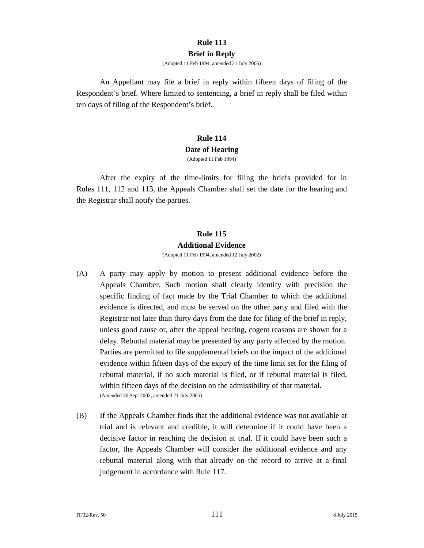#### **Brief in Reply**

(Adopted 11 Feb 1994, amended 21 July 2005)

An Appellant may file a brief in reply within fifteen days of filing of the Respondent's brief. Where limited to sentencing, a brief in reply shall be filed within ten days of filing of the Respondent's brief.

### **Rule 114 Date of Hearing**  (Adopted 11 Feb 1994)

 After the expiry of the time-limits for filing the briefs provided for in Rules 111, 112 and 113, the Appeals Chamber shall set the date for the hearing and the Registrar shall notify the parties.

# **Rule 115 Additional Evidence**

(Adopted 11 Feb 1994, amended 12 July 2002)

- (A) A party may apply by motion to present additional evidence before the Appeals Chamber. Such motion shall clearly identify with precision the specific finding of fact made by the Trial Chamber to which the additional evidence is directed, and must be served on the other party and filed with the Registrar not later than thirty days from the date for filing of the brief in reply, unless good cause or, after the appeal hearing, cogent reasons are shown for a delay. Rebuttal material may be presented by any party affected by the motion. Parties are permitted to file supplemental briefs on the impact of the additional evidence within fifteen days of the expiry of the time limit set for the filing of rebuttal material, if no such material is filed, or if rebuttal material is filed, within fifteen days of the decision on the admissibility of that material. (Amended 30 Sept 2002, amended 21 July 2005)
- (B) If the Appeals Chamber finds that the additional evidence was not available at trial and is relevant and credible, it will determine if it could have been a decisive factor in reaching the decision at trial. If it could have been such a factor, the Appeals Chamber will consider the additional evidence and any rebuttal material along with that already on the record to arrive at a final judgement in accordance with Rule 117.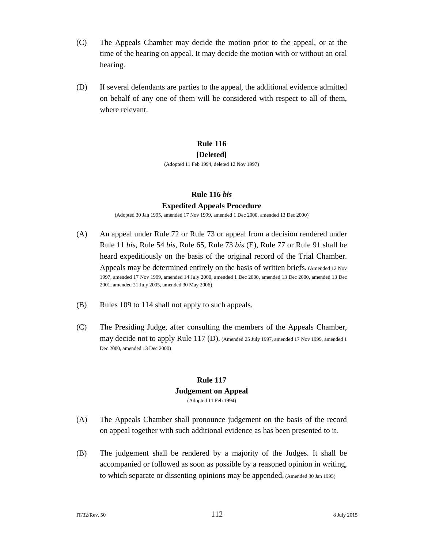- (C) The Appeals Chamber may decide the motion prior to the appeal, or at the time of the hearing on appeal. It may decide the motion with or without an oral hearing.
- (D) If several defendants are parties to the appeal, the additional evidence admitted on behalf of any one of them will be considered with respect to all of them, where relevant.

## **Rule 116 [Deleted]**

(Adopted 11 Feb 1994, deleted 12 Nov 1997)

## **Rule 116** *bis* **Expedited Appeals Procedure**

(Adopted 30 Jan 1995, amended 17 Nov 1999, amended 1 Dec 2000, amended 13 Dec 2000)

- (A) An appeal under Rule 72 or Rule 73 or appeal from a decision rendered under Rule 11 *bis,* Rule 54 *bis*, Rule 65, Rule 73 *bis* (E), Rule 77 or Rule 91 shall be heard expeditiously on the basis of the original record of the Trial Chamber. Appeals may be determined entirely on the basis of written briefs. (Amended 12 Nov 1997, amended 17 Nov 1999, amended 14 July 2000, amended 1 Dec 2000, amended 13 Dec 2000, amended 13 Dec 2001, amended 21 July 2005, amended 30 May 2006)
- (B) Rules 109 to 114 shall not apply to such appeals.
- (C) The Presiding Judge, after consulting the members of the Appeals Chamber, may decide not to apply Rule 117 (D). (Amended 25 July 1997, amended 17 Nov 1999, amended 1 Dec 2000, amended 13 Dec 2000)

# **Rule 117**

# **Judgement on Appeal**

(Adopted 11 Feb 1994)

- (A) The Appeals Chamber shall pronounce judgement on the basis of the record on appeal together with such additional evidence as has been presented to it.
- (B) The judgement shall be rendered by a majority of the Judges. It shall be accompanied or followed as soon as possible by a reasoned opinion in writing, to which separate or dissenting opinions may be appended. (Amended 30 Jan 1995)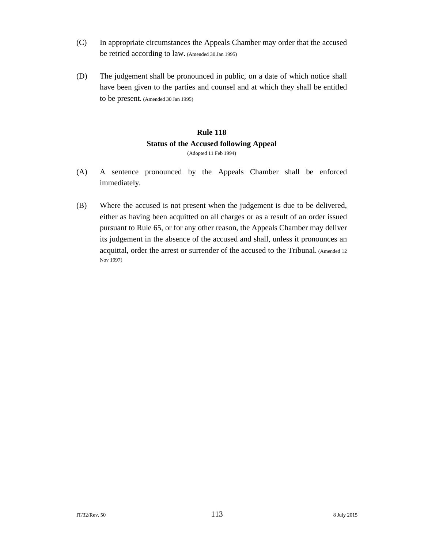- (C) In appropriate circumstances the Appeals Chamber may order that the accused be retried according to law. (Amended 30 Jan 1995)
- (D) The judgement shall be pronounced in public, on a date of which notice shall have been given to the parties and counsel and at which they shall be entitled to be present. (Amended 30 Jan 1995)

# **Rule 118 Status of the Accused following Appeal**

(Adopted 11 Feb 1994)

- (A) A sentence pronounced by the Appeals Chamber shall be enforced immediately.
- (B) Where the accused is not present when the judgement is due to be delivered, either as having been acquitted on all charges or as a result of an order issued pursuant to Rule 65, or for any other reason, the Appeals Chamber may deliver its judgement in the absence of the accused and shall, unless it pronounces an acquittal, order the arrest or surrender of the accused to the Tribunal. (Amended 12 Nov 1997)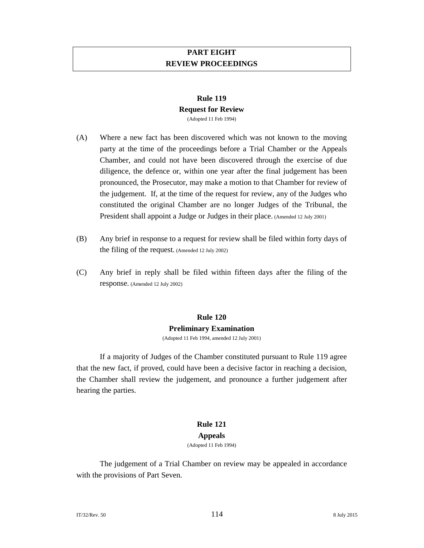## **PART EIGHT REVIEW PROCEEDINGS**

# **Rule 119 Request for Review**

(Adopted 11 Feb 1994)

- (A) Where a new fact has been discovered which was not known to the moving party at the time of the proceedings before a Trial Chamber or the Appeals Chamber, and could not have been discovered through the exercise of due diligence, the defence or, within one year after the final judgement has been pronounced, the Prosecutor, may make a motion to that Chamber for review of the judgement. If, at the time of the request for review, any of the Judges who constituted the original Chamber are no longer Judges of the Tribunal, the President shall appoint a Judge or Judges in their place. (Amended 12 July 2001)
- (B) Any brief in response to a request for review shall be filed within forty days of the filing of the request. (Amended 12 July 2002)
- (C) Any brief in reply shall be filed within fifteen days after the filing of the response. (Amended 12 July 2002)

# **Rule 120 Preliminary Examination**

(Adopted 11 Feb 1994, amended 12 July 2001)

 If a majority of Judges of the Chamber constituted pursuant to Rule 119 agree that the new fact, if proved, could have been a decisive factor in reaching a decision, the Chamber shall review the judgement, and pronounce a further judgement after hearing the parties.

## **Rule 121 Appeals**  (Adopted 11 Feb 1994)

 The judgement of a Trial Chamber on review may be appealed in accordance with the provisions of Part Seven.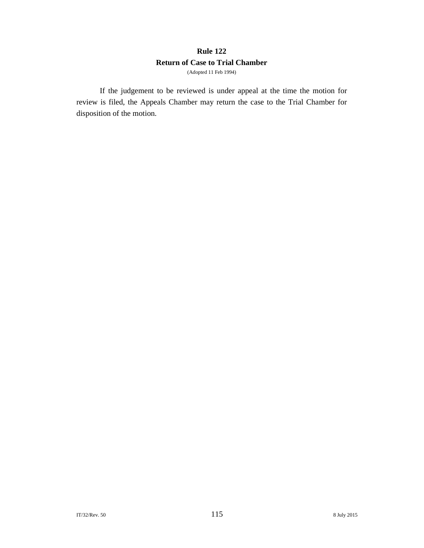# **Rule 122 Return of Case to Trial Chamber**

(Adopted 11 Feb 1994)

 If the judgement to be reviewed is under appeal at the time the motion for review is filed, the Appeals Chamber may return the case to the Trial Chamber for disposition of the motion.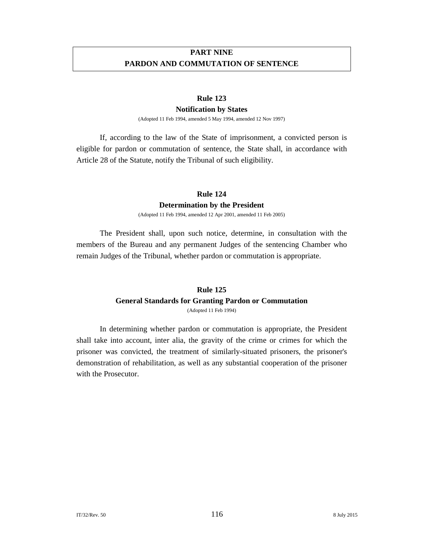## **PART NINE PARDON AND COMMUTATION OF SENTENCE**

### **Rule 123**

### **Notification by States**

(Adopted 11 Feb 1994, amended 5 May 1994, amended 12 Nov 1997)

 If, according to the law of the State of imprisonment, a convicted person is eligible for pardon or commutation of sentence, the State shall, in accordance with Article 28 of the Statute, notify the Tribunal of such eligibility.

## **Rule 124 Determination by the President**

(Adopted 11 Feb 1994, amended 12 Apr 2001, amended 11 Feb 2005)

 The President shall, upon such notice, determine, in consultation with the members of the Bureau and any permanent Judges of the sentencing Chamber who remain Judges of the Tribunal, whether pardon or commutation is appropriate.

### **Rule 125 General Standards for Granting Pardon or Commutation**  (Adopted 11 Feb 1994)

 In determining whether pardon or commutation is appropriate, the President shall take into account, inter alia, the gravity of the crime or crimes for which the prisoner was convicted, the treatment of similarly-situated prisoners, the prisoner's demonstration of rehabilitation, as well as any substantial cooperation of the prisoner with the Prosecutor.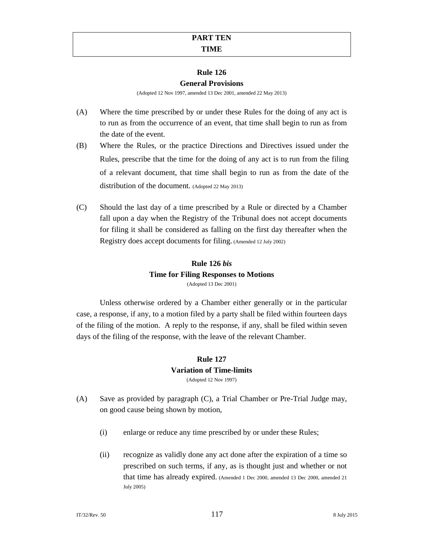### **General Provisions**

(Adopted 12 Nov 1997, amended 13 Dec 2001, amended 22 May 2013)

- (A) Where the time prescribed by or under these Rules for the doing of any act is to run as from the occurrence of an event, that time shall begin to run as from the date of the event.
- (B) Where the Rules, or the practice Directions and Directives issued under the Rules, prescribe that the time for the doing of any act is to run from the filing of a relevant document, that time shall begin to run as from the date of the distribution of the document. (Adopted 22 May 2013)
- (C) Should the last day of a time prescribed by a Rule or directed by a Chamber fall upon a day when the Registry of the Tribunal does not accept documents for filing it shall be considered as falling on the first day thereafter when the Registry does accept documents for filing. (Amended 12 July 2002)

# **Rule 126** *bis* **Time for Filing Responses to Motions**

(Adopted 13 Dec 2001)

Unless otherwise ordered by a Chamber either generally or in the particular case, a response, if any, to a motion filed by a party shall be filed within fourteen days of the filing of the motion. A reply to the response, if any, shall be filed within seven days of the filing of the response, with the leave of the relevant Chamber.

### **Rule 127**

### **Variation of Time-limits**

(Adopted 12 Nov 1997)

- (A) Save as provided by paragraph (C), a Trial Chamber or Pre-Trial Judge may, on good cause being shown by motion,
	- (i) enlarge or reduce any time prescribed by or under these Rules;
	- (ii) recognize as validly done any act done after the expiration of a time so prescribed on such terms, if any, as is thought just and whether or not that time has already expired. (Amended 1 Dec 2000, amended 13 Dec 2000, amended 21 July 2005)